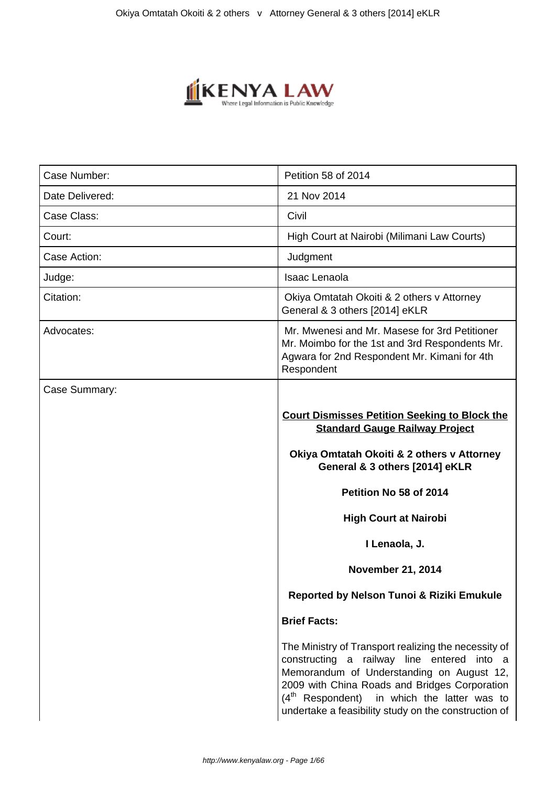

| Case Number:    | Petition 58 of 2014                                                                                                                                                                                                                                                                                                                                      |  |
|-----------------|----------------------------------------------------------------------------------------------------------------------------------------------------------------------------------------------------------------------------------------------------------------------------------------------------------------------------------------------------------|--|
| Date Delivered: | 21 Nov 2014                                                                                                                                                                                                                                                                                                                                              |  |
| Case Class:     | Civil                                                                                                                                                                                                                                                                                                                                                    |  |
| Court:          | High Court at Nairobi (Milimani Law Courts)                                                                                                                                                                                                                                                                                                              |  |
| Case Action:    | Judgment                                                                                                                                                                                                                                                                                                                                                 |  |
| Judge:          | <b>Isaac Lenaola</b>                                                                                                                                                                                                                                                                                                                                     |  |
| Citation:       | Okiya Omtatah Okoiti & 2 others v Attorney<br>General & 3 others [2014] eKLR                                                                                                                                                                                                                                                                             |  |
| Advocates:      | Mr. Mwenesi and Mr. Masese for 3rd Petitioner<br>Mr. Moimbo for the 1st and 3rd Respondents Mr.<br>Agwara for 2nd Respondent Mr. Kimani for 4th<br>Respondent                                                                                                                                                                                            |  |
| Case Summary:   | <b>Court Dismisses Petition Seeking to Block the</b><br><b>Standard Gauge Railway Project</b><br>Okiya Omtatah Okoiti & 2 others v Attorney<br>General & 3 others [2014] eKLR<br>Petition No 58 of 2014<br><b>High Court at Nairobi</b><br>I Lenaola, J.<br><b>November 21, 2014</b><br>Reported by Nelson Tunoi & Riziki Emukule<br><b>Brief Facts:</b> |  |
|                 | The Ministry of Transport realizing the necessity of<br>constructing a railway line entered into a<br>Memorandum of Understanding on August 12,<br>2009 with China Roads and Bridges Corporation<br>$(4th$ Respondent) in which the latter was to<br>undertake a feasibility study on the construction of                                                |  |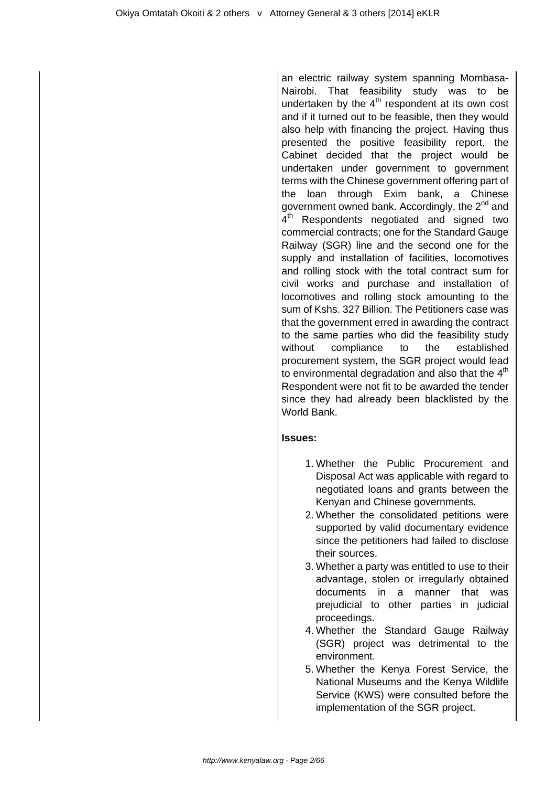an electric railway system spanning Mombasa-Nairobi. That feasibility study was to be undertaken by the  $4<sup>th</sup>$  respondent at its own cost and if it turned out to be feasible, then they would also help with financing the project. Having thus presented the positive feasibility report, the Cabinet decided that the project would be undertaken under government to government terms with the Chinese government offering part of the loan through Exim bank, a Chinese government owned bank. Accordingly, the 2<sup>nd</sup> and 4<sup>th</sup> Respondents negotiated and signed two commercial contracts; one for the Standard Gauge Railway (SGR) line and the second one for the supply and installation of facilities, locomotives and rolling stock with the total contract sum for civil works and purchase and installation of locomotives and rolling stock amounting to the sum of Kshs. 327 Billion. The Petitioners case was that the government erred in awarding the contract to the same parties who did the feasibility study without compliance to the established procurement system, the SGR project would lead to environmental degradation and also that the  $4<sup>th</sup>$ Respondent were not fit to be awarded the tender since they had already been blacklisted by the World Bank.

## **Issues:**

- 1. Whether the Public Procurement and Disposal Act was applicable with regard to negotiated loans and grants between the Kenyan and Chinese governments.
- 2. Whether the consolidated petitions were supported by valid documentary evidence since the petitioners had failed to disclose their sources.
- 3. Whether a party was entitled to use to their advantage, stolen or irregularly obtained documents in a manner that was prejudicial to other parties in judicial proceedings.
- 4. Whether the Standard Gauge Railway (SGR) project was detrimental to the environment.
- 5. Whether the Kenya Forest Service, the National Museums and the Kenya Wildlife Service (KWS) were consulted before the implementation of the SGR project.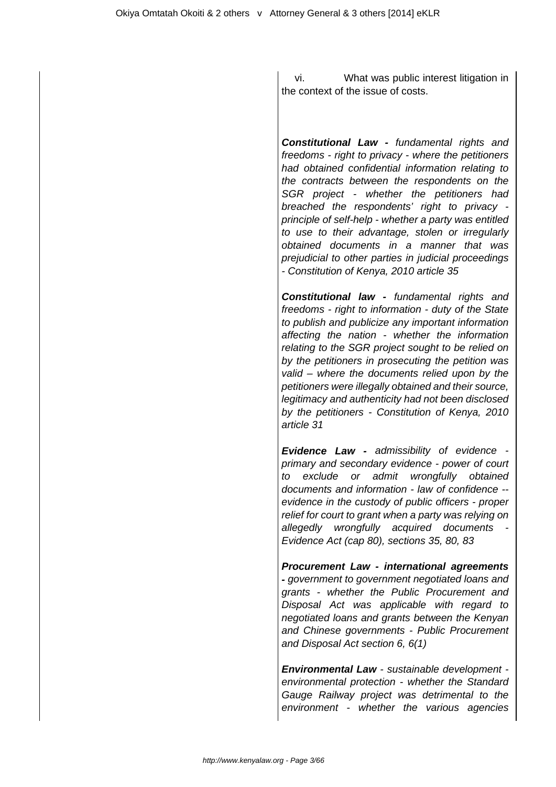vi. What was public interest litigation in the context of the issue of costs.

**Constitutional Law -** fundamental rights and freedoms - right to privacy - where the petitioners had obtained confidential information relating to the contracts between the respondents on the SGR project - whether the petitioners had breached the respondents' right to privacy principle of self-help - whether a party was entitled to use to their advantage, stolen or irregularly obtained documents in a manner that was prejudicial to other parties in judicial proceedings - Constitution of Kenya, 2010 article 35

**Constitutional law -** fundamental rights and freedoms - right to information - duty of the State to publish and publicize any important information affecting the nation - whether the information relating to the SGR project sought to be relied on by the petitioners in prosecuting the petition was valid – where the documents relied upon by the petitioners were illegally obtained and their source, legitimacy and authenticity had not been disclosed by the petitioners - Constitution of Kenya, 2010 article 31

**Evidence Law -** admissibility of evidence primary and secondary evidence - power of court to exclude or admit wrongfully obtained documents and information - law of confidence - evidence in the custody of public officers - proper relief for court to grant when a party was relying on allegedly wrongfully acquired documents - Evidence Act (cap 80), sections 35, 80, 83

**Procurement Law - international agreements -** government to government negotiated loans and grants - whether the Public Procurement and Disposal Act was applicable with regard to negotiated loans and grants between the Kenyan and Chinese governments - Public Procurement and Disposal Act section 6, 6(1)

**Environmental Law** - sustainable development environmental protection - whether the Standard Gauge Railway project was detrimental to the environment - whether the various agencies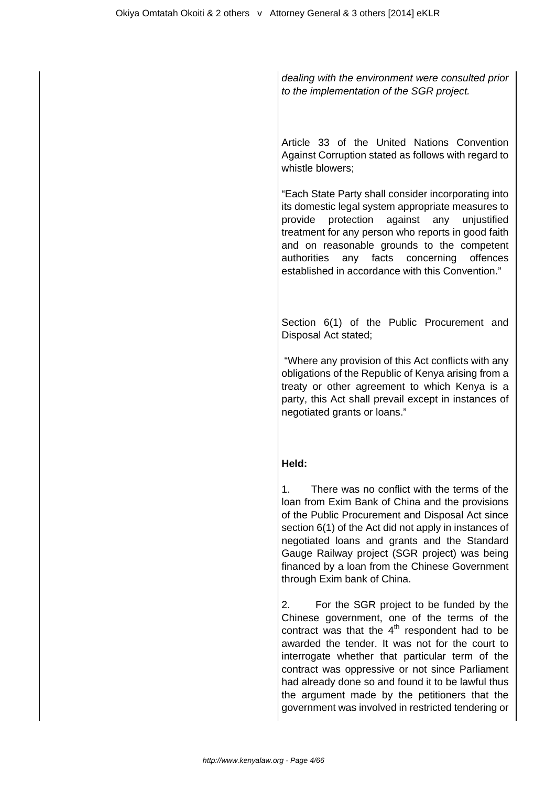dealing with the environment were consulted prior to the implementation of the SGR project.

Article 33 of the United Nations Convention Against Corruption stated as follows with regard to whistle blowers;

"Each State Party shall consider incorporating into its domestic legal system appropriate measures to provide protection against any unjustified treatment for any person who reports in good faith and on reasonable grounds to the competent authorities any facts concerning offences established in accordance with this Convention."

Section 6(1) of the Public Procurement and Disposal Act stated;

 "Where any provision of this Act conflicts with any obligations of the Republic of Kenya arising from a treaty or other agreement to which Kenya is a party, this Act shall prevail except in instances of negotiated grants or loans."

## **Held:**

1. There was no conflict with the terms of the loan from Exim Bank of China and the provisions of the Public Procurement and Disposal Act since section 6(1) of the Act did not apply in instances of negotiated loans and grants and the Standard Gauge Railway project (SGR project) was being financed by a loan from the Chinese Government through Exim bank of China.

2. For the SGR project to be funded by the Chinese government, one of the terms of the contract was that the  $4<sup>th</sup>$  respondent had to be awarded the tender. It was not for the court to interrogate whether that particular term of the contract was oppressive or not since Parliament had already done so and found it to be lawful thus the argument made by the petitioners that the government was involved in restricted tendering or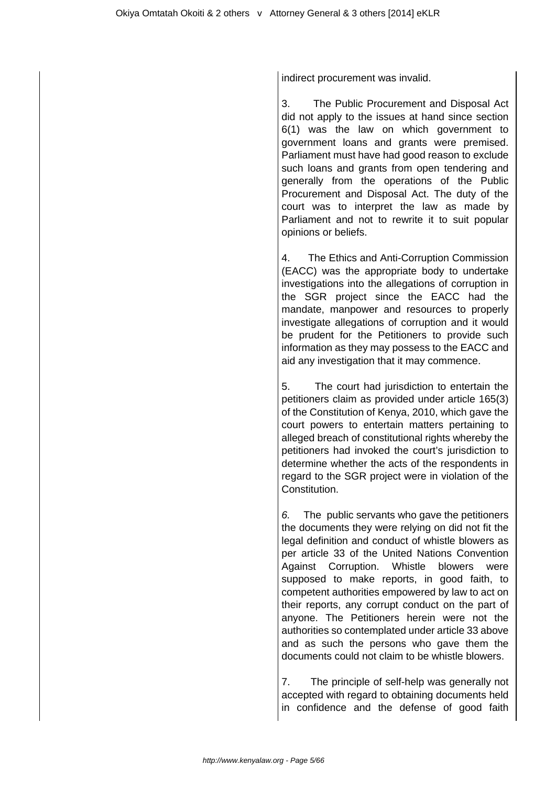indirect procurement was invalid.

3. The Public Procurement and Disposal Act did not apply to the issues at hand since section 6(1) was the law on which government to government loans and grants were premised. Parliament must have had good reason to exclude such loans and grants from open tendering and generally from the operations of the Public Procurement and Disposal Act. The duty of the court was to interpret the law as made by Parliament and not to rewrite it to suit popular opinions or beliefs.

4. The Ethics and Anti-Corruption Commission (EACC) was the appropriate body to undertake investigations into the allegations of corruption in the SGR project since the EACC had the mandate, manpower and resources to properly investigate allegations of corruption and it would be prudent for the Petitioners to provide such information as they may possess to the EACC and aid any investigation that it may commence.

5. The court had jurisdiction to entertain the petitioners claim as provided under article 165(3) of the Constitution of Kenya, 2010, which gave the court powers to entertain matters pertaining to alleged breach of constitutional rights whereby the petitioners had invoked the court's jurisdiction to determine whether the acts of the respondents in regard to the SGR project were in violation of the Constitution.

6. The public servants who gave the petitioners the documents they were relying on did not fit the legal definition and conduct of whistle blowers as per article 33 of the United Nations Convention Against Corruption. Whistle blowers were supposed to make reports, in good faith, to competent authorities empowered by law to act on their reports, any corrupt conduct on the part of anyone. The Petitioners herein were not the authorities so contemplated under article 33 above and as such the persons who gave them the documents could not claim to be whistle blowers.

7. The principle of self-help was generally not accepted with regard to obtaining documents held in confidence and the defense of good faith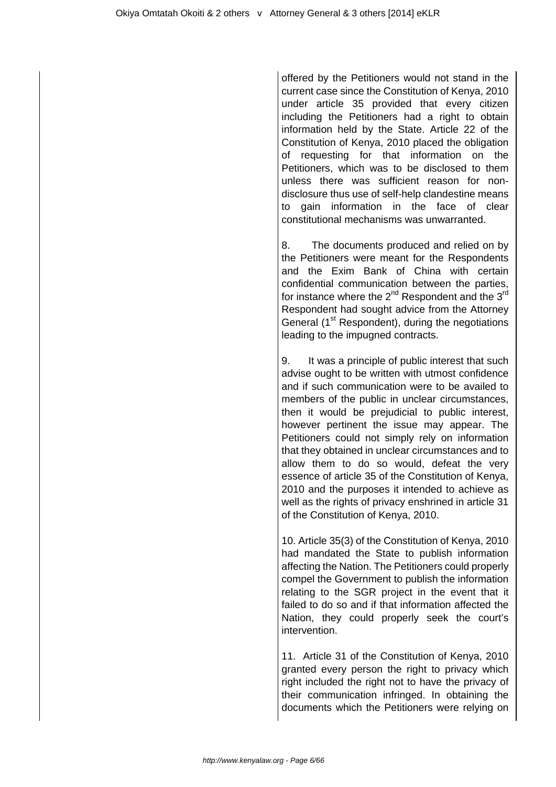offered by the Petitioners would not stand in the current case since the Constitution of Kenya, 2010 under article 35 provided that every citizen including the Petitioners had a right to obtain information held by the State. Article 22 of the Constitution of Kenya, 2010 placed the obligation of requesting for that information on the Petitioners, which was to be disclosed to them unless there was sufficient reason for nondisclosure thus use of self-help clandestine means to gain information in the face of clear constitutional mechanisms was unwarranted.

8. The documents produced and relied on by the Petitioners were meant for the Respondents and the Exim Bank of China with certain confidential communication between the parties, for instance where the  $2^{nd}$  Respondent and the  $3^{rd}$ Respondent had sought advice from the Attorney General (1<sup>st</sup> Respondent), during the negotiations leading to the impugned contracts.

9. It was a principle of public interest that such advise ought to be written with utmost confidence and if such communication were to be availed to members of the public in unclear circumstances, then it would be prejudicial to public interest, however pertinent the issue may appear. The Petitioners could not simply rely on information that they obtained in unclear circumstances and to allow them to do so would, defeat the very essence of article 35 of the Constitution of Kenya, 2010 and the purposes it intended to achieve as well as the rights of privacy enshrined in article 31 of the Constitution of Kenya, 2010.

10. Article 35(3) of the Constitution of Kenya, 2010 had mandated the State to publish information affecting the Nation. The Petitioners could properly compel the Government to publish the information relating to the SGR project in the event that it failed to do so and if that information affected the Nation, they could properly seek the court's intervention.

11. Article 31 of the Constitution of Kenya, 2010 granted every person the right to privacy which right included the right not to have the privacy of their communication infringed. In obtaining the documents which the Petitioners were relying on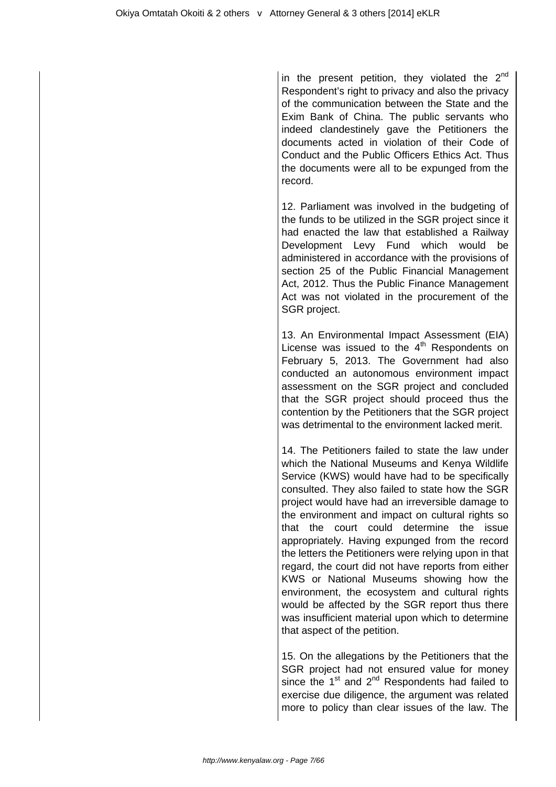in the present petition, they violated the  $2<sup>nd</sup>$ Respondent's right to privacy and also the privacy of the communication between the State and the Exim Bank of China. The public servants who indeed clandestinely gave the Petitioners the documents acted in violation of their Code of Conduct and the Public Officers Ethics Act. Thus the documents were all to be expunged from the record.

12. Parliament was involved in the budgeting of the funds to be utilized in the SGR project since it had enacted the law that established a Railway Development Levy Fund which would be administered in accordance with the provisions of section 25 of the Public Financial Management Act, 2012. Thus the Public Finance Management Act was not violated in the procurement of the SGR project.

13. An Environmental Impact Assessment (EIA) License was issued to the  $4<sup>th</sup>$  Respondents on February 5, 2013. The Government had also conducted an autonomous environment impact assessment on the SGR project and concluded that the SGR project should proceed thus the contention by the Petitioners that the SGR project was detrimental to the environment lacked merit.

14. The Petitioners failed to state the law under which the National Museums and Kenya Wildlife Service (KWS) would have had to be specifically consulted. They also failed to state how the SGR project would have had an irreversible damage to the environment and impact on cultural rights so that the court could determine the issue appropriately. Having expunged from the record the letters the Petitioners were relying upon in that regard, the court did not have reports from either KWS or National Museums showing how the environment, the ecosystem and cultural rights would be affected by the SGR report thus there was insufficient material upon which to determine that aspect of the petition.

15. On the allegations by the Petitioners that the SGR project had not ensured value for money since the  $1<sup>st</sup>$  and  $2<sup>nd</sup>$  Respondents had failed to exercise due diligence, the argument was related more to policy than clear issues of the law. The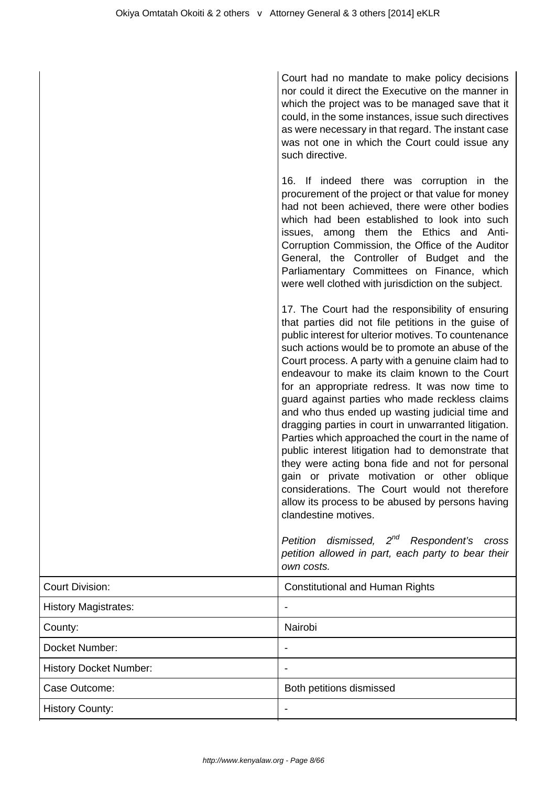| Court had no mandate to make policy decisions       |  |  |
|-----------------------------------------------------|--|--|
| nor could it direct the Executive on the manner in  |  |  |
| which the project was to be managed save that it    |  |  |
| could, in the some instances, issue such directives |  |  |
| as were necessary in that regard. The instant case  |  |  |
| was not one in which the Court could issue any      |  |  |
| such directive.                                     |  |  |

16. If indeed there was corruption in the procurement of the project or that value for money had not been achieved, there were other bodies which had been established to look into such issues, among them the Ethics and Anti-Corruption Commission, the Office of the Auditor General, the Controller of Budget and the Parliamentary Committees on Finance, which were well clothed with jurisdiction on the subject.

17. The Court had the responsibility of ensuring that parties did not file petitions in the guise of public interest for ulterior motives. To countenance such actions would be to promote an abuse of the Court process. A party with a genuine claim had to endeavour to make its claim known to the Court for an appropriate redress. It was now time to guard against parties who made reckless claims and who thus ended up wasting judicial time and dragging parties in court in unwarranted litigation. Parties which approached the court in the name of public interest litigation had to demonstrate that they were acting bona fide and not for personal gain or private motivation or other oblique considerations. The Court would not therefore allow its process to be abused by persons having clandestine motives.

Petition dismissed, 2<sup>nd</sup> Respondent's cross petition allowed in part, each party to bear their own costs.

| <b>Court Division:</b>        | <b>Constitutional and Human Rights</b> |
|-------------------------------|----------------------------------------|
| <b>History Magistrates:</b>   | ۰                                      |
| County:                       | Nairobi                                |
| Docket Number:                |                                        |
| <b>History Docket Number:</b> | -                                      |
| Case Outcome:                 | Both petitions dismissed               |
| <b>History County:</b>        | ٠                                      |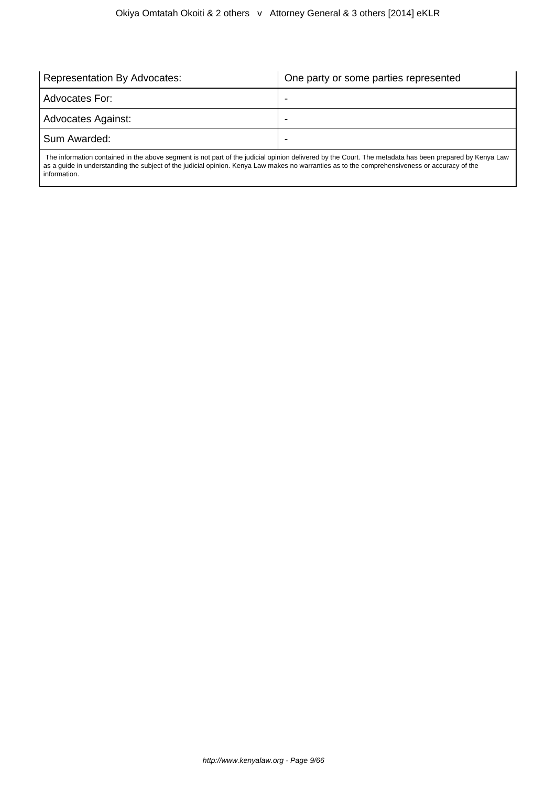| <b>Representation By Advocates:</b>                                                                                                                    | One party or some parties represented |  |
|--------------------------------------------------------------------------------------------------------------------------------------------------------|---------------------------------------|--|
| Advocates For:                                                                                                                                         |                                       |  |
| Advocates Against:                                                                                                                                     | -                                     |  |
| Sum Awarded:                                                                                                                                           |                                       |  |
| The information contained in the above segment is not part of the judicial opinion delivered by the Court. The metadata has been prepared by Kenya Law |                                       |  |

 The information contained in the above segment is not part of the judicial opinion delivered by the Court. The metadata has been prepared by Kenya Law as a guide in understanding the subject of the judicial opinion. Kenya Law makes no warranties as to the comprehensiveness or accuracy of the information.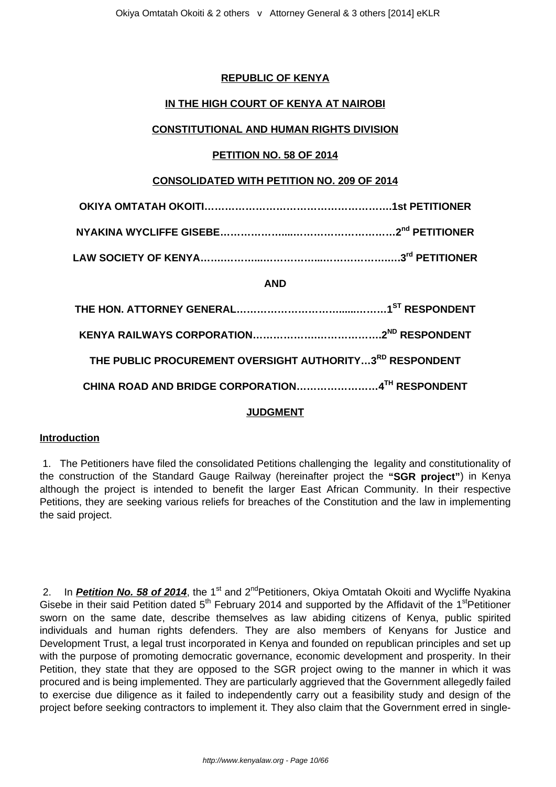## **REPUBLIC OF KENYA**

## **IN THE HIGH COURT OF KENYA AT NAIROBI**

## **CONSTITUTIONAL AND HUMAN RIGHTS DIVISION**

## **PETITION NO. 58 OF 2014**

## **CONSOLIDATED WITH PETITION NO. 209 OF 2014**

|--|--|

|--|--|

**LAW SOCIETY OF KENYA…….………...……………...……………….….3rd PETITIONER**

## **AND**

| THE PUBLIC PROCUREMENT OVERSIGHT AUTHORITY3RD RESPONDENT |  |
|----------------------------------------------------------|--|
| CHINA ROAD AND BRIDGE CORPORATION4TH RESPONDENT          |  |

## **JUDGMENT**

## **Introduction**

1. The Petitioners have filed the consolidated Petitions challenging the legality and constitutionality of the construction of the Standard Gauge Railway (hereinafter project the **"SGR project"**) in Kenya although the project is intended to benefit the larger East African Community. In their respective Petitions, they are seeking various reliefs for breaches of the Constitution and the law in implementing the said project.

2. In **Petition No. 58 of 2014**, the 1<sup>st</sup> and 2<sup>nd</sup>Petitioners, Okiya Omtatah Okoiti and Wycliffe Nyakina Gisebe in their said Petition dated  $5<sup>th</sup>$  February 2014 and supported by the Affidavit of the 1<sup>st</sup>Petitioner sworn on the same date, describe themselves as law abiding citizens of Kenya, public spirited individuals and human rights defenders. They are also members of Kenyans for Justice and Development Trust, a legal trust incorporated in Kenya and founded on republican principles and set up with the purpose of promoting democratic governance, economic development and prosperity. In their Petition, they state that they are opposed to the SGR project owing to the manner in which it was procured and is being implemented. They are particularly aggrieved that the Government allegedly failed to exercise due diligence as it failed to independently carry out a feasibility study and design of the project before seeking contractors to implement it. They also claim that the Government erred in single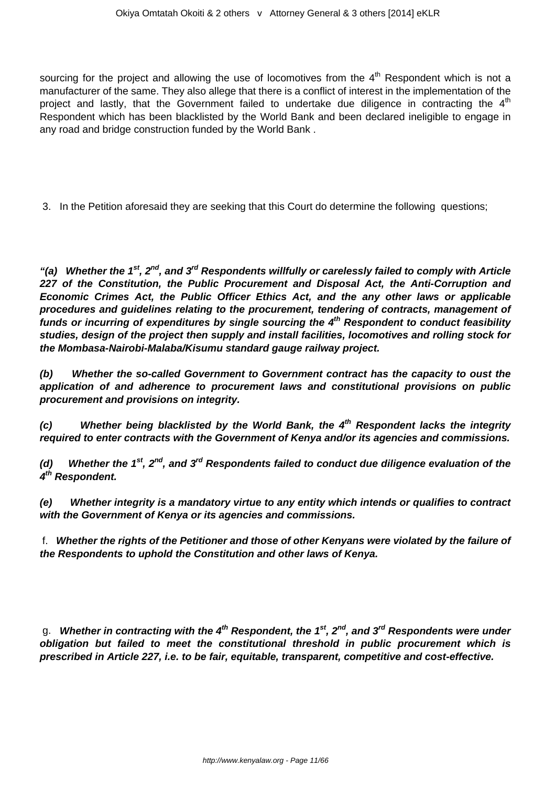sourcing for the project and allowing the use of locomotives from the  $4<sup>th</sup>$  Respondent which is not a manufacturer of the same. They also allege that there is a conflict of interest in the implementation of the project and lastly, that the Government failed to undertake due diligence in contracting the  $4<sup>th</sup>$ Respondent which has been blacklisted by the World Bank and been declared ineligible to engage in any road and bridge construction funded by the World Bank .

3. In the Petition aforesaid they are seeking that this Court do determine the following questions;

**"(a) Whether the 1st, 2nd, and 3rd Respondents willfully or carelessly failed to comply with Article 227 of the Constitution, the Public Procurement and Disposal Act, the Anti-Corruption and Economic Crimes Act, the Public Officer Ethics Act, and the any other laws or applicable procedures and guidelines relating to the procurement, tendering of contracts, management of funds or incurring of expenditures by single sourcing the 4th Respondent to conduct feasibility studies, design of the project then supply and install facilities, locomotives and rolling stock for the Mombasa-Nairobi-Malaba/Kisumu standard gauge railway project.**

**(b) Whether the so-called Government to Government contract has the capacity to oust the application of and adherence to procurement laws and constitutional provisions on public procurement and provisions on integrity.**

**(c) Whether being blacklisted by the World Bank, the 4th Respondent lacks the integrity required to enter contracts with the Government of Kenya and/or its agencies and commissions.**

**(d) Whether the 1st, 2nd, and 3rd Respondents failed to conduct due diligence evaluation of the 4 th Respondent.**

**(e) Whether integrity is a mandatory virtue to any entity which intends or qualifies to contract with the Government of Kenya or its agencies and commissions.**

f. **Whether the rights of the Petitioner and those of other Kenyans were violated by the failure of the Respondents to uphold the Constitution and other laws of Kenya.**

g. **Whether in contracting with the 4th Respondent, the 1st, 2nd, and 3rd Respondents were under obligation but failed to meet the constitutional threshold in public procurement which is prescribed in Article 227, i.e. to be fair, equitable, transparent, competitive and cost-effective.**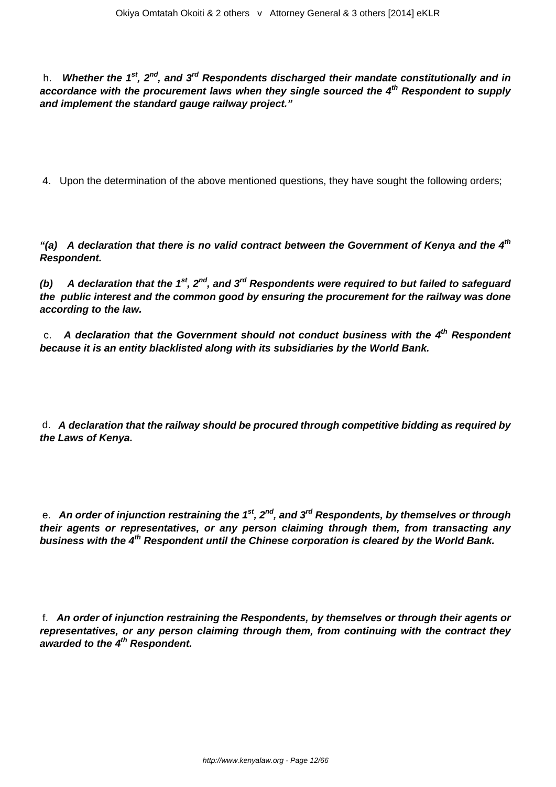h. **Whether the 1st, 2nd, and 3rd Respondents discharged their mandate constitutionally and in accordance with the procurement laws when they single sourced the 4th Respondent to supply and implement the standard gauge railway project."**

4. Upon the determination of the above mentioned questions, they have sought the following orders;

**"(a) A declaration that there is no valid contract between the Government of Kenya and the 4th Respondent.**

**(b) A declaration that the 1st, 2nd, and 3rd Respondents were required to but failed to safeguard the public interest and the common good by ensuring the procurement for the railway was done according to the law.**

c. **A declaration that the Government should not conduct business with the 4th Respondent because it is an entity blacklisted along with its subsidiaries by the World Bank.**

d. **A declaration that the railway should be procured through competitive bidding as required by the Laws of Kenya.**

e. **An order of injunction restraining the 1st, 2nd, and 3rd Respondents, by themselves or through their agents or representatives, or any person claiming through them, from transacting any business with the 4th Respondent until the Chinese corporation is cleared by the World Bank.**

f. **An order of injunction restraining the Respondents, by themselves or through their agents or representatives, or any person claiming through them, from continuing with the contract they awarded to the 4th Respondent.**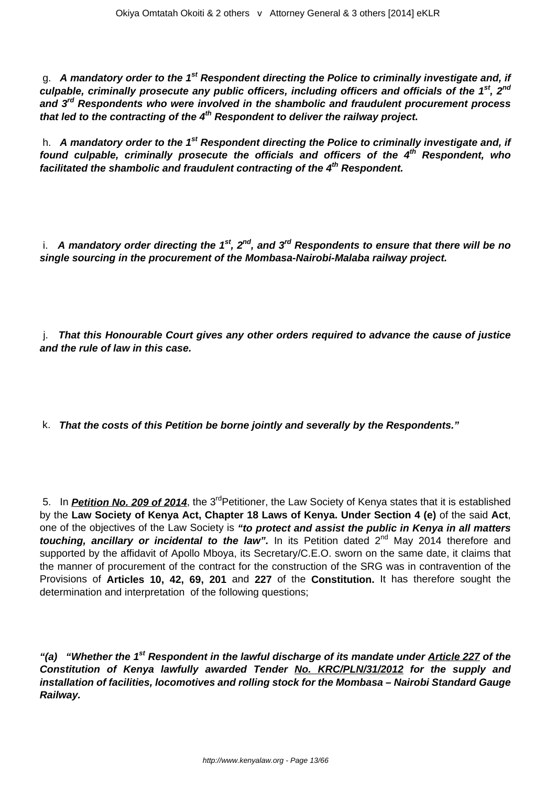g. **A mandatory order to the 1st Respondent directing the Police to criminally investigate and, if culpable, criminally prosecute any public officers, including officers and officials of the 1st, 2nd and 3rd Respondents who were involved in the shambolic and fraudulent procurement process that led to the contracting of the 4th Respondent to deliver the railway project.**

h. **A mandatory order to the 1st Respondent directing the Police to criminally investigate and, if found culpable, criminally prosecute the officials and officers of the 4th Respondent, who facilitated the shambolic and fraudulent contracting of the 4th Respondent.**

i. **A mandatory order directing the 1st, 2nd, and 3rd Respondents to ensure that there will be no single sourcing in the procurement of the Mombasa-Nairobi-Malaba railway project.**

j. **That this Honourable Court gives any other orders required to advance the cause of justice and the rule of law in this case.**

k. **That the costs of this Petition be borne jointly and severally by the Respondents."**

5. In **Petition No. 209 of 2014**, the 3<sup>rd</sup> Petitioner, the Law Society of Kenya states that it is established by the **Law Society of Kenya Act, Chapter 18 Laws of Kenya. Under Section 4 (e)** of the said **Act**, one of the objectives of the Law Society is **"to protect and assist the public in Kenya in all matters touching, ancillary or incidental to the law".** In its Petition dated 2<sup>nd</sup> May 2014 therefore and supported by the affidavit of Apollo Mboya, its Secretary/C.E.O. sworn on the same date, it claims that the manner of procurement of the contract for the construction of the SRG was in contravention of the Provisions of **Articles 10, 42, 69, 201** and **227** of the **Constitution.** It has therefore sought the determination and interpretation of the following questions;

**"(a) "Whether the 1st Respondent in the lawful discharge of its mandate under Article 227 of the Constitution of Kenya lawfully awarded Tender No. KRC/PLN/31/2012 for the supply and installation of facilities, locomotives and rolling stock for the Mombasa – Nairobi Standard Gauge Railway.**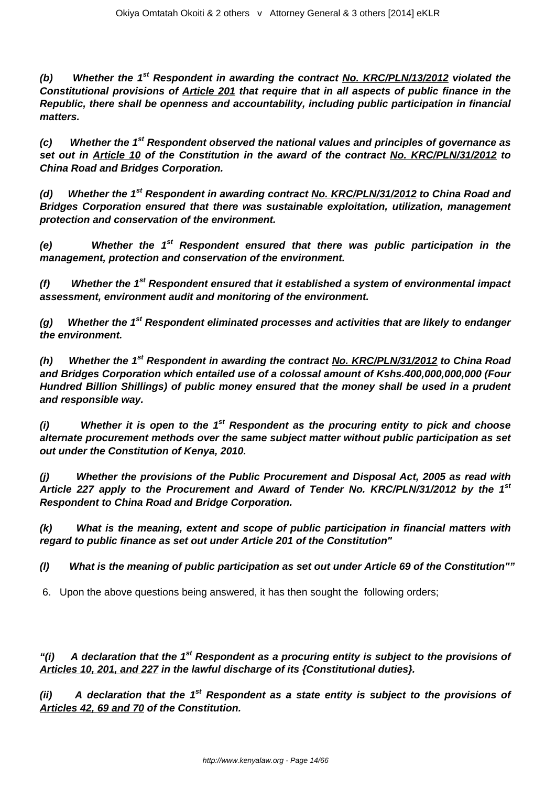**(b) Whether the 1st Respondent in awarding the contract No. KRC/PLN/13/2012 violated the Constitutional provisions of Article 201 that require that in all aspects of public finance in the Republic, there shall be openness and accountability, including public participation in financial matters.**

**(c) Whether the 1st Respondent observed the national values and principles of governance as set out in Article 10 of the Constitution in the award of the contract No. KRC/PLN/31/2012 to China Road and Bridges Corporation.**

**(d) Whether the 1st Respondent in awarding contract No. KRC/PLN/31/2012 to China Road and Bridges Corporation ensured that there was sustainable exploitation, utilization, management protection and conservation of the environment.**

**(e) Whether the 1st Respondent ensured that there was public participation in the management, protection and conservation of the environment.**

**(f) Whether the 1st Respondent ensured that it established a system of environmental impact assessment, environment audit and monitoring of the environment.**

**(g) Whether the 1st Respondent eliminated processes and activities that are likely to endanger the environment.**

**(h) Whether the 1st Respondent in awarding the contract No. KRC/PLN/31/2012 to China Road and Bridges Corporation which entailed use of a colossal amount of Kshs.400,000,000,000 (Four Hundred Billion Shillings) of public money ensured that the money shall be used in a prudent and responsible way.**

**(i) Whether it is open to the 1st Respondent as the procuring entity to pick and choose alternate procurement methods over the same subject matter without public participation as set out under the Constitution of Kenya, 2010.**

**(j) Whether the provisions of the Public Procurement and Disposal Act, 2005 as read with Article 227 apply to the Procurement and Award of Tender No. KRC/PLN/31/2012 by the 1st Respondent to China Road and Bridge Corporation.**

**(k) What is the meaning, extent and scope of public participation in financial matters with regard to public finance as set out under Article 201 of the Constitution"**

**(l) What is the meaning of public participation as set out under Article 69 of the Constitution""**

6. Upon the above questions being answered, it has then sought the following orders;

**"(i) A declaration that the 1st Respondent as a procuring entity is subject to the provisions of Articles 10, 201, and 227 in the lawful discharge of its {Constitutional duties}.**

**(ii) A declaration that the 1st Respondent as a state entity is subject to the provisions of Articles 42, 69 and 70 of the Constitution.**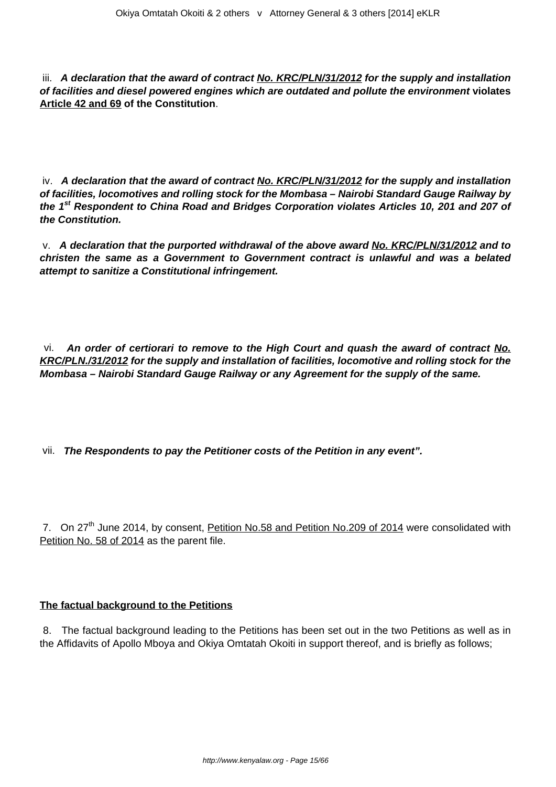iii. **A declaration that the award of contract No. KRC/PLN/31/2012 for the supply and installation of facilities and diesel powered engines which are outdated and pollute the environment violates Article 42 and 69 of the Constitution**.

iv. **A declaration that the award of contract No. KRC/PLN/31/2012 for the supply and installation of facilities, locomotives and rolling stock for the Mombasa – Nairobi Standard Gauge Railway by the 1st Respondent to China Road and Bridges Corporation violates Articles 10, 201 and 207 of the Constitution.**

v. **A declaration that the purported withdrawal of the above award No. KRC/PLN/31/2012 and to christen the same as a Government to Government contract is unlawful and was a belated attempt to sanitize a Constitutional infringement.**

vi. **An order of certiorari to remove to the High Court and quash the award of contract No. KRC/PLN./31/2012 for the supply and installation of facilities, locomotive and rolling stock for the Mombasa – Nairobi Standard Gauge Railway or any Agreement for the supply of the same.**

vii. **The Respondents to pay the Petitioner costs of the Petition in any event".**

7. On 27<sup>th</sup> June 2014, by consent, Petition No.58 and Petition No.209 of 2014 were consolidated with Petition No. 58 of 2014 as the parent file.

## **The factual background to the Petitions**

8. The factual background leading to the Petitions has been set out in the two Petitions as well as in the Affidavits of Apollo Mboya and Okiya Omtatah Okoiti in support thereof, and is briefly as follows;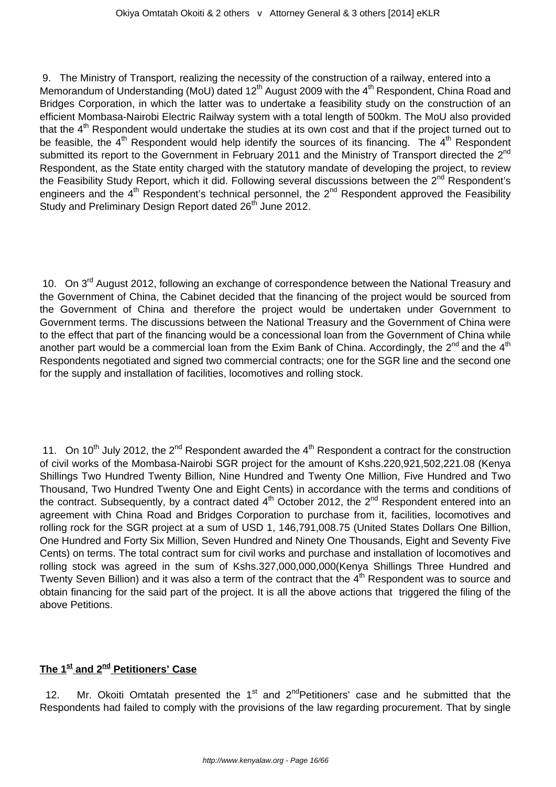9. The Ministry of Transport, realizing the necessity of the construction of a railway, entered into a Memorandum of Understanding (MoU) dated  $12<sup>th</sup>$  August 2009 with the 4<sup>th</sup> Respondent, China Road and Bridges Corporation, in which the latter was to undertake a feasibility study on the construction of an efficient Mombasa-Nairobi Electric Railway system with a total length of 500km. The MoU also provided that the  $4<sup>th</sup>$  Respondent would undertake the studies at its own cost and that if the project turned out to be feasible, the  $4<sup>th</sup>$  Respondent would help identify the sources of its financing. The  $4<sup>th</sup>$  Respondent submitted its report to the Government in February 2011 and the Ministry of Transport directed the 2<sup>nd</sup> Respondent, as the State entity charged with the statutory mandate of developing the project, to review the Feasibility Study Report, which it did. Following several discussions between the 2<sup>nd</sup> Respondent's engineers and the  $4<sup>th</sup>$  Respondent's technical personnel, the  $2<sup>nd</sup>$  Respondent approved the Feasibility Study and Preliminary Design Report dated 26<sup>th</sup> June 2012.

10. On 3<sup>rd</sup> August 2012, following an exchange of correspondence between the National Treasury and the Government of China, the Cabinet decided that the financing of the project would be sourced from the Government of China and therefore the project would be undertaken under Government to Government terms. The discussions between the National Treasury and the Government of China were to the effect that part of the financing would be a concessional loan from the Government of China while another part would be a commercial loan from the Exim Bank of China. Accordingly, the  $2^{nd}$  and the  $4^{th}$ Respondents negotiated and signed two commercial contracts; one for the SGR line and the second one for the supply and installation of facilities, locomotives and rolling stock.

11. On 10<sup>th</sup> July 2012, the 2<sup>nd</sup> Respondent awarded the 4<sup>th</sup> Respondent a contract for the construction of civil works of the Mombasa-Nairobi SGR project for the amount of Kshs.220,921,502,221.08 (Kenya Shillings Two Hundred Twenty Billion, Nine Hundred and Twenty One Million, Five Hundred and Two Thousand, Two Hundred Twenty One and Eight Cents) in accordance with the terms and conditions of the contract. Subsequently, by a contract dated  $4<sup>th</sup>$  October 2012, the  $2<sup>nd</sup>$  Respondent entered into an agreement with China Road and Bridges Corporation to purchase from it, facilities, locomotives and rolling rock for the SGR project at a sum of USD 1, 146,791,008.75 (United States Dollars One Billion, One Hundred and Forty Six Million, Seven Hundred and Ninety One Thousands, Eight and Seventy Five Cents) on terms. The total contract sum for civil works and purchase and installation of locomotives and rolling stock was agreed in the sum of Kshs.327,000,000,000(Kenya Shillings Three Hundred and Twenty Seven Billion) and it was also a term of the contract that the 4<sup>th</sup> Respondent was to source and obtain financing for the said part of the project. It is all the above actions that triggered the filing of the above Petitions.

## **The 1st and 2nd Petitioners' Case**

12. Mr. Okoiti Omtatah presented the  $1<sup>st</sup>$  and  $2<sup>nd</sup>Petitioners'$  case and he submitted that the Respondents had failed to comply with the provisions of the law regarding procurement. That by single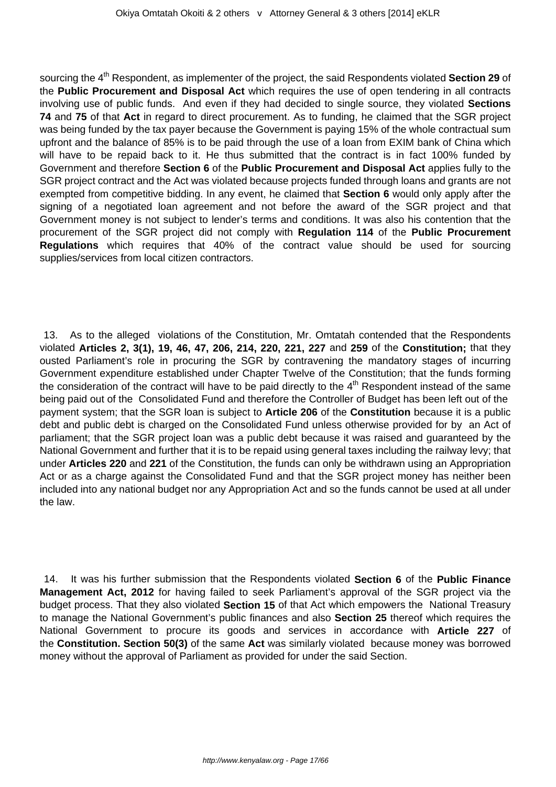sourcing the 4<sup>th</sup> Respondent, as implementer of the project, the said Respondents violated **Section 29** of the **Public Procurement and Disposal Act** which requires the use of open tendering in all contracts involving use of public funds. And even if they had decided to single source, they violated **Sections 74** and **75** of that **Act** in regard to direct procurement. As to funding, he claimed that the SGR project was being funded by the tax payer because the Government is paying 15% of the whole contractual sum upfront and the balance of 85% is to be paid through the use of a loan from EXIM bank of China which will have to be repaid back to it. He thus submitted that the contract is in fact 100% funded by Government and therefore **Section 6** of the **Public Procurement and Disposal Act** applies fully to the SGR project contract and the Act was violated because projects funded through loans and grants are not exempted from competitive bidding. In any event, he claimed that **Section 6** would only apply after the signing of a negotiated loan agreement and not before the award of the SGR project and that Government money is not subject to lender's terms and conditions. It was also his contention that the procurement of the SGR project did not comply with **Regulation 114** of the **Public Procurement Regulations** which requires that 40% of the contract value should be used for sourcing supplies/services from local citizen contractors.

13. As to the alleged violations of the Constitution, Mr. Omtatah contended that the Respondents violated **Articles 2, 3(1), 19, 46, 47, 206, 214, 220, 221, 227** and **259** of the **Constitution;** that they ousted Parliament's role in procuring the SGR by contravening the mandatory stages of incurring Government expenditure established under Chapter Twelve of the Constitution; that the funds forming the consideration of the contract will have to be paid directly to the  $4<sup>th</sup>$  Respondent instead of the same being paid out of the Consolidated Fund and therefore the Controller of Budget has been left out of the payment system; that the SGR loan is subject to **Article 206** of the **Constitution** because it is a public debt and public debt is charged on the Consolidated Fund unless otherwise provided for by an Act of parliament; that the SGR project loan was a public debt because it was raised and guaranteed by the National Government and further that it is to be repaid using general taxes including the railway levy; that under **Articles 220** and **221** of the Constitution, the funds can only be withdrawn using an Appropriation Act or as a charge against the Consolidated Fund and that the SGR project money has neither been included into any national budget nor any Appropriation Act and so the funds cannot be used at all under the law.

14. It was his further submission that the Respondents violated **Section 6** of the **Public Finance Management Act, 2012** for having failed to seek Parliament's approval of the SGR project via the budget process. That they also violated **Section 15** of that Act which empowers the National Treasury to manage the National Government's public finances and also **Section 25** thereof which requires the National Government to procure its goods and services in accordance with **Article 227** of the **Constitution. Section 50(3)** of the same **Act** was similarly violated because money was borrowed money without the approval of Parliament as provided for under the said Section.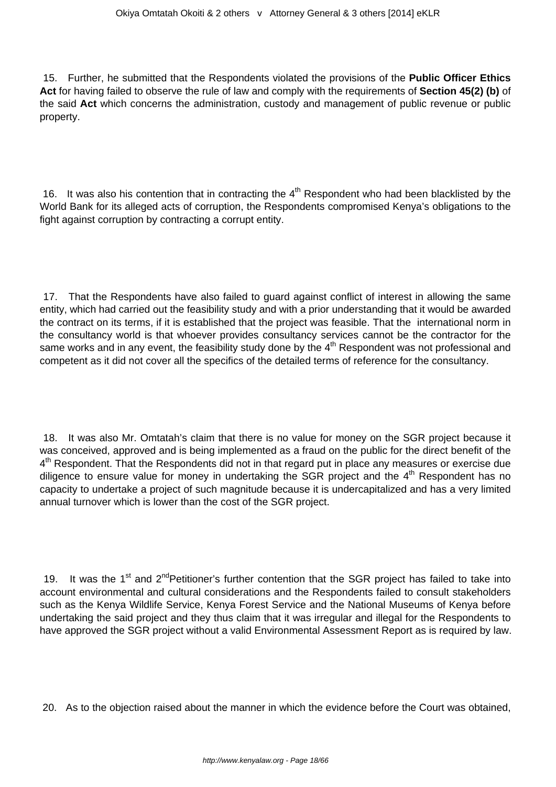15. Further, he submitted that the Respondents violated the provisions of the **Public Officer Ethics Act** for having failed to observe the rule of law and comply with the requirements of **Section 45(2) (b)** of the said **Act** which concerns the administration, custody and management of public revenue or public property.

16. It was also his contention that in contracting the  $4<sup>th</sup>$  Respondent who had been blacklisted by the World Bank for its alleged acts of corruption, the Respondents compromised Kenya's obligations to the fight against corruption by contracting a corrupt entity.

17. That the Respondents have also failed to guard against conflict of interest in allowing the same entity, which had carried out the feasibility study and with a prior understanding that it would be awarded the contract on its terms, if it is established that the project was feasible. That the international norm in the consultancy world is that whoever provides consultancy services cannot be the contractor for the same works and in any event, the feasibility study done by the 4<sup>th</sup> Respondent was not professional and competent as it did not cover all the specifics of the detailed terms of reference for the consultancy.

18. It was also Mr. Omtatah's claim that there is no value for money on the SGR project because it was conceived, approved and is being implemented as a fraud on the public for the direct benefit of the 4<sup>th</sup> Respondent. That the Respondents did not in that regard put in place any measures or exercise due diligence to ensure value for money in undertaking the SGR project and the  $4<sup>th</sup>$  Respondent has no capacity to undertake a project of such magnitude because it is undercapitalized and has a very limited annual turnover which is lower than the cost of the SGR project.

19. It was the 1<sup>st</sup> and 2<sup>nd</sup>Petitioner's further contention that the SGR project has failed to take into account environmental and cultural considerations and the Respondents failed to consult stakeholders such as the Kenya Wildlife Service, Kenya Forest Service and the National Museums of Kenya before undertaking the said project and they thus claim that it was irregular and illegal for the Respondents to have approved the SGR project without a valid Environmental Assessment Report as is required by law.

20. As to the objection raised about the manner in which the evidence before the Court was obtained,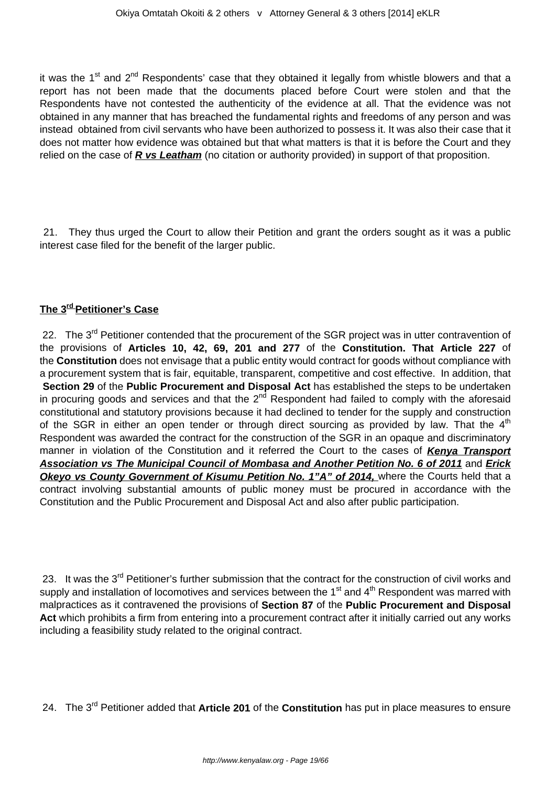it was the 1<sup>st</sup> and 2<sup>nd</sup> Respondents' case that they obtained it legally from whistle blowers and that a report has not been made that the documents placed before Court were stolen and that the Respondents have not contested the authenticity of the evidence at all. That the evidence was not obtained in any manner that has breached the fundamental rights and freedoms of any person and was instead obtained from civil servants who have been authorized to possess it. It was also their case that it does not matter how evidence was obtained but that what matters is that it is before the Court and they relied on the case of **R vs Leatham** (no citation or authority provided) in support of that proposition.

21. They thus urged the Court to allow their Petition and grant the orders sought as it was a public interest case filed for the benefit of the larger public.

## **The 3rd Petitioner's Case**

22. The 3<sup>rd</sup> Petitioner contended that the procurement of the SGR project was in utter contravention of the provisions of **Articles 10, 42, 69, 201 and 277** of the **Constitution. That Article 227** of the **Constitution** does not envisage that a public entity would contract for goods without compliance with a procurement system that is fair, equitable, transparent, competitive and cost effective. In addition, that **Section 29** of the **Public Procurement and Disposal Act** has established the steps to be undertaken in procuring goods and services and that the  $2^{nd}$  Respondent had failed to comply with the aforesaid constitutional and statutory provisions because it had declined to tender for the supply and construction of the SGR in either an open tender or through direct sourcing as provided by law. That the  $4<sup>th</sup>$ Respondent was awarded the contract for the construction of the SGR in an opaque and discriminatory manner in violation of the Constitution and it referred the Court to the cases of **Kenya Transport Association vs The Municipal Council of Mombasa and Another Petition No. 6 of 2011** and **Erick Okeyo vs County Government of Kisumu Petition No. 1"A" of 2014, where the Courts held that a** contract involving substantial amounts of public money must be procured in accordance with the Constitution and the Public Procurement and Disposal Act and also after public participation.

23. It was the 3<sup>rd</sup> Petitioner's further submission that the contract for the construction of civil works and supply and installation of locomotives and services between the  $1<sup>st</sup>$  and  $4<sup>th</sup>$  Respondent was marred with malpractices as it contravened the provisions of **Section 87** of the **Public Procurement and Disposal Act** which prohibits a firm from entering into a procurement contract after it initially carried out any works including a feasibility study related to the original contract.

24. The 3rd Petitioner added that **Article 201** of the **Constitution** has put in place measures to ensure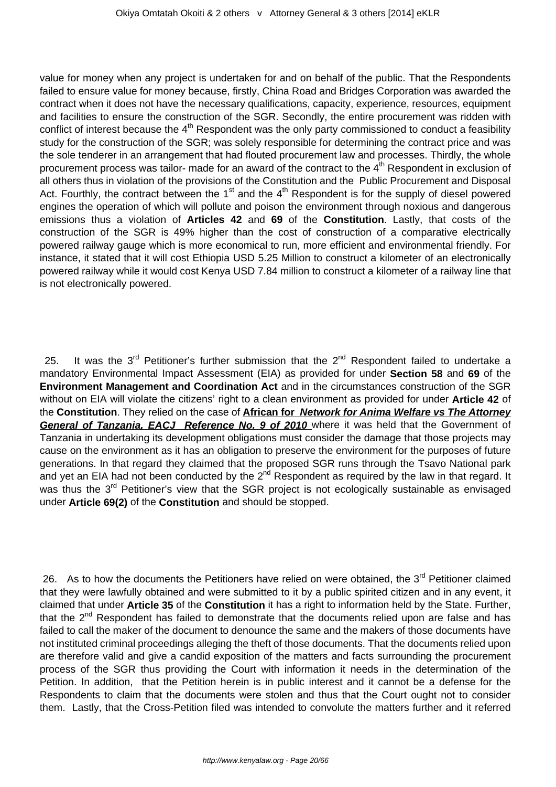value for money when any project is undertaken for and on behalf of the public. That the Respondents failed to ensure value for money because, firstly, China Road and Bridges Corporation was awarded the contract when it does not have the necessary qualifications, capacity, experience, resources, equipment and facilities to ensure the construction of the SGR. Secondly, the entire procurement was ridden with conflict of interest because the  $4<sup>th</sup>$  Respondent was the only party commissioned to conduct a feasibility study for the construction of the SGR; was solely responsible for determining the contract price and was the sole tenderer in an arrangement that had flouted procurement law and processes. Thirdly, the whole procurement process was tailor- made for an award of the contract to the 4<sup>th</sup> Respondent in exclusion of all others thus in violation of the provisions of the Constitution and the Public Procurement and Disposal Act. Fourthly, the contract between the  $1<sup>st</sup>$  and the  $4<sup>th</sup>$  Respondent is for the supply of diesel powered engines the operation of which will pollute and poison the environment through noxious and dangerous emissions thus a violation of **Articles 42** and **69** of the **Constitution**. Lastly, that costs of the construction of the SGR is 49% higher than the cost of construction of a comparative electrically powered railway gauge which is more economical to run, more efficient and environmental friendly. For instance, it stated that it will cost Ethiopia USD 5.25 Million to construct a kilometer of an electronically powered railway while it would cost Kenya USD 7.84 million to construct a kilometer of a railway line that is not electronically powered.

25. It was the  $3<sup>rd</sup>$  Petitioner's further submission that the  $2<sup>nd</sup>$  Respondent failed to undertake a mandatory Environmental Impact Assessment (EIA) as provided for under **Section 58** and **69** of the **Environment Management and Coordination Act** and in the circumstances construction of the SGR without on EIA will violate the citizens' right to a clean environment as provided for under **Article 42** of the **Constitution**. They relied on the case of **African for Network for Anima Welfare vs The Attorney General of Tanzania, EACJ Reference No. 9 of 2010** where it was held that the Government of Tanzania in undertaking its development obligations must consider the damage that those projects may cause on the environment as it has an obligation to preserve the environment for the purposes of future generations. In that regard they claimed that the proposed SGR runs through the Tsavo National park and yet an EIA had not been conducted by the  $2^{nd}$  Respondent as required by the law in that regard. It was thus the 3<sup>rd</sup> Petitioner's view that the SGR project is not ecologically sustainable as envisaged under **Article 69(2)** of the **Constitution** and should be stopped.

26. As to how the documents the Petitioners have relied on were obtained, the 3<sup>rd</sup> Petitioner claimed that they were lawfully obtained and were submitted to it by a public spirited citizen and in any event, it claimed that under **Article 35** of the **Constitution** it has a right to information held by the State. Further, that the  $2<sup>nd</sup>$  Respondent has failed to demonstrate that the documents relied upon are false and has failed to call the maker of the document to denounce the same and the makers of those documents have not instituted criminal proceedings alleging the theft of those documents. That the documents relied upon are therefore valid and give a candid exposition of the matters and facts surrounding the procurement process of the SGR thus providing the Court with information it needs in the determination of the Petition. In addition, that the Petition herein is in public interest and it cannot be a defense for the Respondents to claim that the documents were stolen and thus that the Court ought not to consider them. Lastly, that the Cross-Petition filed was intended to convolute the matters further and it referred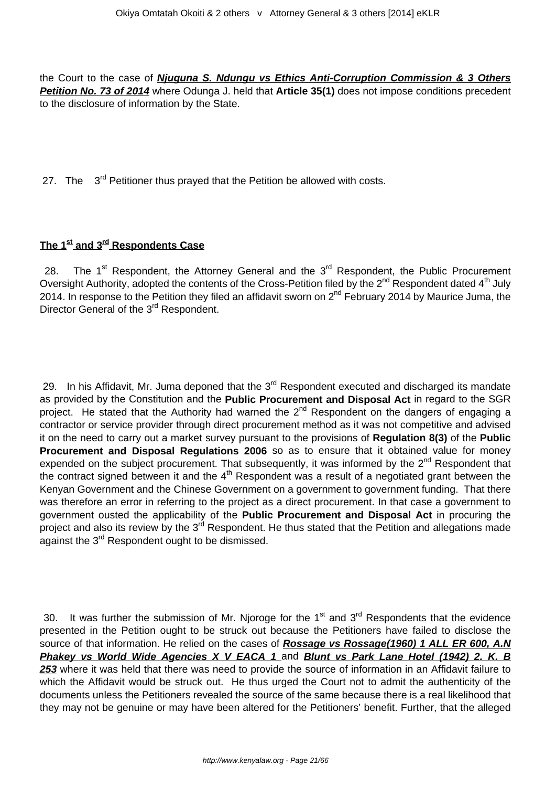the Court to the case of **Njuguna S. Ndungu vs Ethics Anti-Corruption Commission & 3 Others Petition No. 73 of 2014** where Odunga J. held that **Article 35(1)** does not impose conditions precedent to the disclosure of information by the State.

27. The 3<sup>rd</sup> Petitioner thus prayed that the Petition be allowed with costs.

# **The 1st and 3rd Respondents Case**

28. The  $1<sup>st</sup>$  Respondent, the Attorney General and the  $3<sup>rd</sup>$  Respondent, the Public Procurement Oversight Authority, adopted the contents of the Cross-Petition filed by the 2<sup>nd</sup> Respondent dated 4<sup>th</sup> July 2014. In response to the Petition they filed an affidavit sworn on 2<sup>nd</sup> February 2014 by Maurice Juma, the Director General of the 3<sup>rd</sup> Respondent.

29. In his Affidavit, Mr. Juma deponed that the 3<sup>rd</sup> Respondent executed and discharged its mandate as provided by the Constitution and the **Public Procurement and Disposal Act** in regard to the SGR project. He stated that the Authority had warned the 2<sup>nd</sup> Respondent on the dangers of engaging a contractor or service provider through direct procurement method as it was not competitive and advised it on the need to carry out a market survey pursuant to the provisions of **Regulation 8(3)** of the **Public Procurement and Disposal Regulations 2006** so as to ensure that it obtained value for money expended on the subject procurement. That subsequently, it was informed by the  $2^{nd}$  Respondent that the contract signed between it and the  $4<sup>th</sup>$  Respondent was a result of a negotiated grant between the Kenyan Government and the Chinese Government on a government to government funding. That there was therefore an error in referring to the project as a direct procurement. In that case a government to government ousted the applicability of the **Public Procurement and Disposal Act** in procuring the project and also its review by the 3<sup>rd</sup> Respondent. He thus stated that the Petition and allegations made against the 3rd Respondent ought to be dismissed.

30. It was further the submission of Mr. Njoroge for the  $1<sup>st</sup>$  and  $3<sup>rd</sup>$  Respondents that the evidence presented in the Petition ought to be struck out because the Petitioners have failed to disclose the source of that information. He relied on the cases of Rossage vs Rossage(1960) 1 ALL ER 600, A.N **Phakey vs World Wide Agencies X V EACA 1 and Blunt vs Park Lane Hotel (1942) 2. K. B 253** where it was held that there was need to provide the source of information in an Affidavit failure to which the Affidavit would be struck out. He thus urged the Court not to admit the authenticity of the documents unless the Petitioners revealed the source of the same because there is a real likelihood that they may not be genuine or may have been altered for the Petitioners' benefit. Further, that the alleged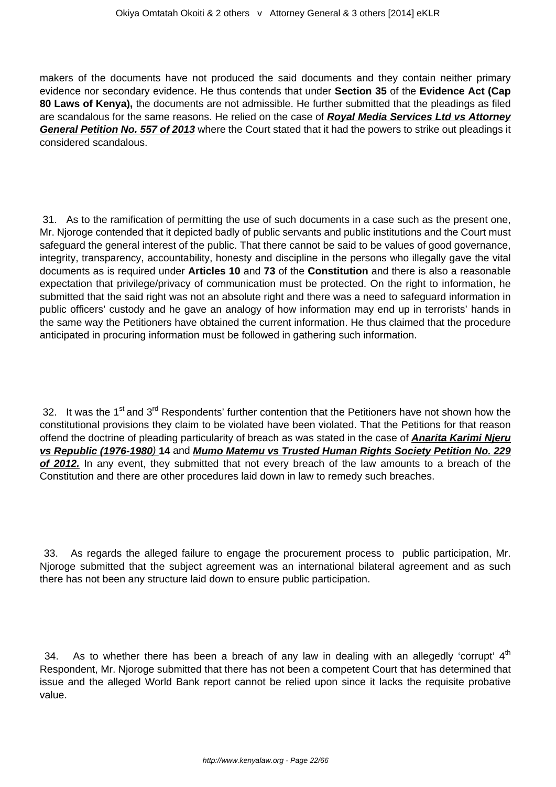makers of the documents have not produced the said documents and they contain neither primary evidence nor secondary evidence. He thus contends that under **Section 35** of the **Evidence Act (Cap 80 Laws of Kenya),** the documents are not admissible. He further submitted that the pleadings as filed are scandalous for the same reasons. He relied on the case of **Royal Media Services Ltd vs Attorney General Petition No. 557 of 2013** where the Court stated that it had the powers to strike out pleadings it considered scandalous.

31. As to the ramification of permitting the use of such documents in a case such as the present one, Mr. Njoroge contended that it depicted badly of public servants and public institutions and the Court must safeguard the general interest of the public. That there cannot be said to be values of good governance, integrity, transparency, accountability, honesty and discipline in the persons who illegally gave the vital documents as is required under **Articles 10** and **73** of the **Constitution** and there is also a reasonable expectation that privilege/privacy of communication must be protected. On the right to information, he submitted that the said right was not an absolute right and there was a need to safeguard information in public officers' custody and he gave an analogy of how information may end up in terrorists' hands in the same way the Petitioners have obtained the current information. He thus claimed that the procedure anticipated in procuring information must be followed in gathering such information.

32. It was the 1<sup>st</sup> and 3<sup>rd</sup> Respondents' further contention that the Petitioners have not shown how the constitutional provisions they claim to be violated have been violated. That the Petitions for that reason offend the doctrine of pleading particularity of breach as was stated in the case of **Anarita Karimi Njeru vs Republic (1976-1980**) **14** and **Mumo Matemu vs Trusted Human Rights Society Petition No. 229 of 2012.** In any event, they submitted that not every breach of the law amounts to a breach of the Constitution and there are other procedures laid down in law to remedy such breaches.

33. As regards the alleged failure to engage the procurement process to public participation, Mr. Njoroge submitted that the subject agreement was an international bilateral agreement and as such there has not been any structure laid down to ensure public participation.

34. As to whether there has been a breach of any law in dealing with an allegedly 'corrupt'  $4<sup>th</sup>$ Respondent, Mr. Njoroge submitted that there has not been a competent Court that has determined that issue and the alleged World Bank report cannot be relied upon since it lacks the requisite probative value.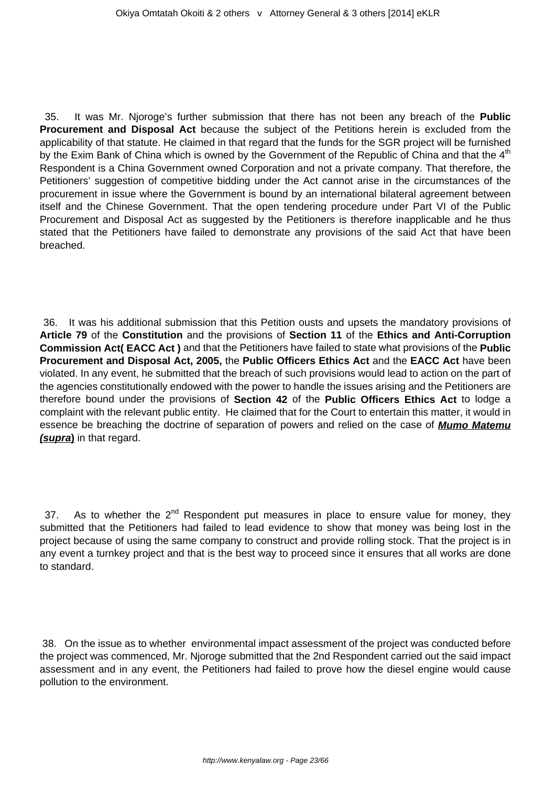35. It was Mr. Njoroge's further submission that there has not been any breach of the **Public Procurement and Disposal Act** because the subject of the Petitions herein is excluded from the applicability of that statute. He claimed in that regard that the funds for the SGR project will be furnished by the Exim Bank of China which is owned by the Government of the Republic of China and that the  $4<sup>th</sup>$ Respondent is a China Government owned Corporation and not a private company. That therefore, the Petitioners' suggestion of competitive bidding under the Act cannot arise in the circumstances of the procurement in issue where the Government is bound by an international bilateral agreement between itself and the Chinese Government. That the open tendering procedure under Part VI of the Public Procurement and Disposal Act as suggested by the Petitioners is therefore inapplicable and he thus stated that the Petitioners have failed to demonstrate any provisions of the said Act that have been breached.

36. It was his additional submission that this Petition ousts and upsets the mandatory provisions of **Article 79** of the **Constitution** and the provisions of **Section 11** of the **Ethics and Anti-Corruption Commission Act( EACC Act )** and that the Petitioners have failed to state what provisions of the **Public Procurement and Disposal Act, 2005,** the **Public Officers Ethics Act** and the **EACC Act** have been violated. In any event, he submitted that the breach of such provisions would lead to action on the part of the agencies constitutionally endowed with the power to handle the issues arising and the Petitioners are therefore bound under the provisions of **Section 42** of the **Public Officers Ethics Act** to lodge a complaint with the relevant public entity. He claimed that for the Court to entertain this matter, it would in essence be breaching the doctrine of separation of powers and relied on the case of **Mumo Matemu (supra)** in that regard.

37. As to whether the  $2^{nd}$  Respondent put measures in place to ensure value for money, they submitted that the Petitioners had failed to lead evidence to show that money was being lost in the project because of using the same company to construct and provide rolling stock. That the project is in any event a turnkey project and that is the best way to proceed since it ensures that all works are done to standard.

38. On the issue as to whether environmental impact assessment of the project was conducted before the project was commenced, Mr. Njoroge submitted that the 2nd Respondent carried out the said impact assessment and in any event, the Petitioners had failed to prove how the diesel engine would cause pollution to the environment.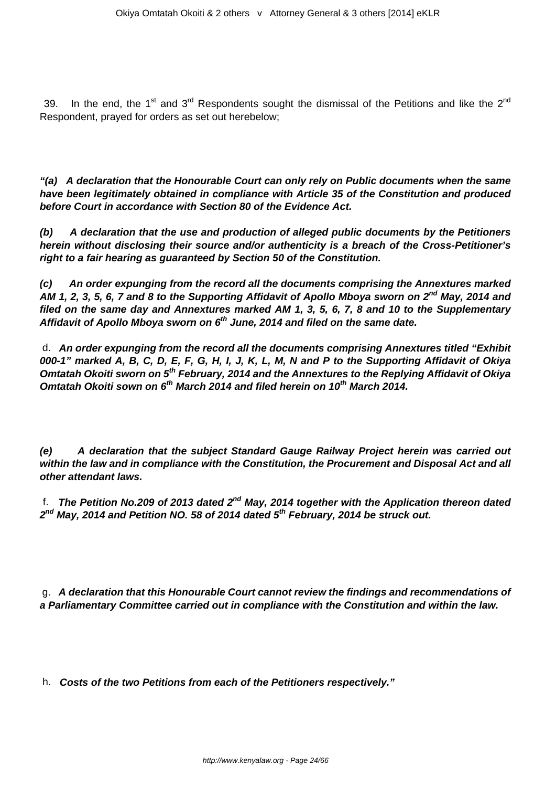39. In the end, the 1<sup>st</sup> and 3<sup>rd</sup> Respondents sought the dismissal of the Petitions and like the 2<sup>nd</sup> Respondent, prayed for orders as set out herebelow;

**"(a) A declaration that the Honourable Court can only rely on Public documents when the same have been legitimately obtained in compliance with Article 35 of the Constitution and produced before Court in accordance with Section 80 of the Evidence Act.**

**(b) A declaration that the use and production of alleged public documents by the Petitioners herein without disclosing their source and/or authenticity is a breach of the Cross-Petitioner's right to a fair hearing as guaranteed by Section 50 of the Constitution.**

**(c) An order expunging from the record all the documents comprising the Annextures marked AM 1, 2, 3, 5, 6, 7 and 8 to the Supporting Affidavit of Apollo Mboya sworn on 2nd May, 2014 and filed on the same day and Annextures marked AM 1, 3, 5, 6, 7, 8 and 10 to the Supplementary Affidavit of Apollo Mboya sworn on 6th June, 2014 and filed on the same date.**

d. **An order expunging from the record all the documents comprising Annextures titled "Exhibit 000-1" marked A, B, C, D, E, F, G, H, I, J, K, L, M, N and P to the Supporting Affidavit of Okiya Omtatah Okoiti sworn on 5th February, 2014 and the Annextures to the Replying Affidavit of Okiya Omtatah Okoiti sown on 6th March 2014 and filed herein on 10th March 2014.**

**(e) A declaration that the subject Standard Gauge Railway Project herein was carried out within the law and in compliance with the Constitution, the Procurement and Disposal Act and all other attendant laws.**

f. **The Petition No.209 of 2013 dated 2nd May, 2014 together with the Application thereon dated 2 nd May, 2014 and Petition NO. 58 of 2014 dated 5th February, 2014 be struck out.**

g. **A declaration that this Honourable Court cannot review the findings and recommendations of a Parliamentary Committee carried out in compliance with the Constitution and within the law.**

h. **Costs of the two Petitions from each of the Petitioners respectively."**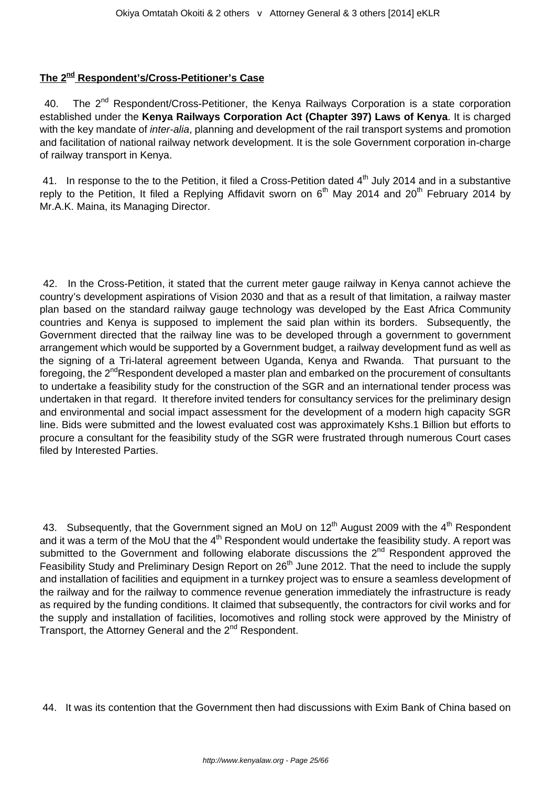## **The 2nd Respondent's/Cross-Petitioner's Case**

40. The 2<sup>nd</sup> Respondent/Cross-Petitioner, the Kenya Railways Corporation is a state corporation established under the **Kenya Railways Corporation Act (Chapter 397) Laws of Kenya**. It is charged with the key mandate of *inter-alia*, planning and development of the rail transport systems and promotion and facilitation of national railway network development. It is the sole Government corporation in-charge of railway transport in Kenya.

41. In response to the to the Petition, it filed a Cross-Petition dated  $4<sup>th</sup>$  July 2014 and in a substantive reply to the Petition, It filed a Replying Affidavit sworn on 6<sup>th</sup> May 2014 and 20<sup>th</sup> February 2014 by Mr.A.K. Maina, its Managing Director.

42. In the Cross-Petition, it stated that the current meter gauge railway in Kenya cannot achieve the country's development aspirations of Vision 2030 and that as a result of that limitation, a railway master plan based on the standard railway gauge technology was developed by the East Africa Community countries and Kenya is supposed to implement the said plan within its borders. Subsequently, the Government directed that the railway line was to be developed through a government to government arrangement which would be supported by a Government budget, a railway development fund as well as the signing of a Tri-lateral agreement between Uganda, Kenya and Rwanda. That pursuant to the foregoing, the  $2^{nd}$ Respondent developed a master plan and embarked on the procurement of consultants to undertake a feasibility study for the construction of the SGR and an international tender process was undertaken in that regard. It therefore invited tenders for consultancy services for the preliminary design and environmental and social impact assessment for the development of a modern high capacity SGR line. Bids were submitted and the lowest evaluated cost was approximately Kshs.1 Billion but efforts to procure a consultant for the feasibility study of the SGR were frustrated through numerous Court cases filed by Interested Parties.

43. Subsequently, that the Government signed an MoU on  $12<sup>th</sup>$  August 2009 with the 4<sup>th</sup> Respondent and it was a term of the MoU that the 4<sup>th</sup> Respondent would undertake the feasibility study. A report was submitted to the Government and following elaborate discussions the 2<sup>nd</sup> Respondent approved the Feasibility Study and Preliminary Design Report on 26<sup>th</sup> June 2012. That the need to include the supply and installation of facilities and equipment in a turnkey project was to ensure a seamless development of the railway and for the railway to commence revenue generation immediately the infrastructure is ready as required by the funding conditions. It claimed that subsequently, the contractors for civil works and for the supply and installation of facilities, locomotives and rolling stock were approved by the Ministry of Transport, the Attorney General and the 2<sup>nd</sup> Respondent.

44. It was its contention that the Government then had discussions with Exim Bank of China based on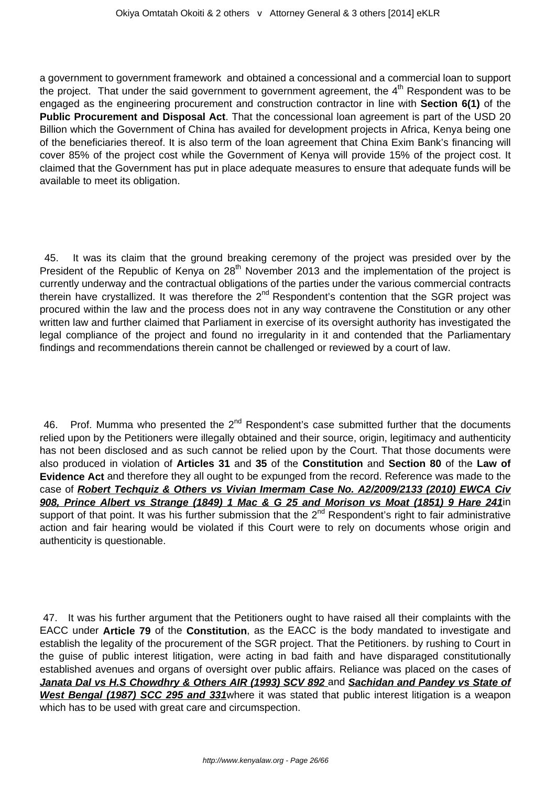a government to government framework and obtained a concessional and a commercial loan to support the project. That under the said government to government agreement, the  $4<sup>th</sup>$  Respondent was to be engaged as the engineering procurement and construction contractor in line with **Section 6(1)** of the **Public Procurement and Disposal Act**. That the concessional loan agreement is part of the USD 20 Billion which the Government of China has availed for development projects in Africa, Kenya being one of the beneficiaries thereof. It is also term of the loan agreement that China Exim Bank's financing will cover 85% of the project cost while the Government of Kenya will provide 15% of the project cost. It claimed that the Government has put in place adequate measures to ensure that adequate funds will be available to meet its obligation.

45. It was its claim that the ground breaking ceremony of the project was presided over by the President of the Republic of Kenya on 28<sup>th</sup> November 2013 and the implementation of the project is currently underway and the contractual obligations of the parties under the various commercial contracts therein have crystallized. It was therefore the 2<sup>nd</sup> Respondent's contention that the SGR project was procured within the law and the process does not in any way contravene the Constitution or any other written law and further claimed that Parliament in exercise of its oversight authority has investigated the legal compliance of the project and found no irregularity in it and contended that the Parliamentary findings and recommendations therein cannot be challenged or reviewed by a court of law.

46. Prof. Mumma who presented the 2<sup>nd</sup> Respondent's case submitted further that the documents relied upon by the Petitioners were illegally obtained and their source, origin, legitimacy and authenticity has not been disclosed and as such cannot be relied upon by the Court. That those documents were also produced in violation of **Articles 31** and **35** of the **Constitution** and **Section 80** of the **Law of Evidence Act** and therefore they all ought to be expunged from the record. Reference was made to the case of **Robert Techquiz & Others vs Vivian Imermam Case No. A2/2009/2133 (2010) EWCA Civ 908, Prince Albert vs Strange (1849) 1 Mac & G 25 and Morison vs Moat (1851) 9 Hare 241**in support of that point. It was his further submission that the 2<sup>nd</sup> Respondent's right to fair administrative action and fair hearing would be violated if this Court were to rely on documents whose origin and authenticity is questionable.

47. It was his further argument that the Petitioners ought to have raised all their complaints with the EACC under **Article 79** of the **Constitution**, as the EACC is the body mandated to investigate and establish the legality of the procurement of the SGR project. That the Petitioners. by rushing to Court in the guise of public interest litigation, were acting in bad faith and have disparaged constitutionally established avenues and organs of oversight over public affairs. Reliance was placed on the cases of **Janata Dal vs H.S Chowdhry & Others AIR (1993) SCV 892** and **Sachidan and Pandey vs State of West Bengal (1987) SCC 295 and 331**where it was stated that public interest litigation is a weapon which has to be used with great care and circumspection.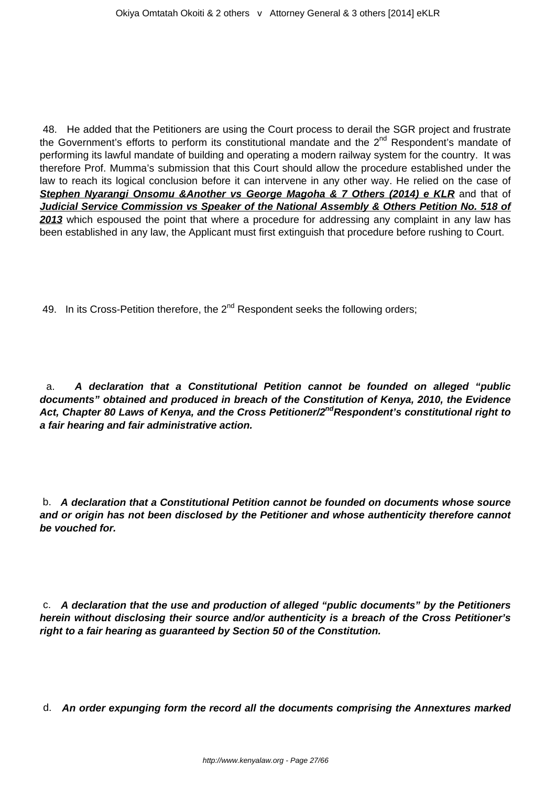48. He added that the Petitioners are using the Court process to derail the SGR project and frustrate the Government's efforts to perform its constitutional mandate and the 2<sup>nd</sup> Respondent's mandate of performing its lawful mandate of building and operating a modern railway system for the country. It was therefore Prof. Mumma's submission that this Court should allow the procedure established under the law to reach its logical conclusion before it can intervene in any other way. He relied on the case of **Stephen Nyarangi Onsomu &Another vs George Magoha & 7 Others (2014) e KLR** and that of **Judicial Service Commission vs Speaker of the National Assembly & Others Petition No. 518 of 2013** which espoused the point that where a procedure for addressing any complaint in any law has been established in any law, the Applicant must first extinguish that procedure before rushing to Court.

49. In its Cross-Petition therefore, the  $2<sup>nd</sup>$  Respondent seeks the following orders;

a. **A declaration that a Constitutional Petition cannot be founded on alleged "public documents" obtained and produced in breach of the Constitution of Kenya, 2010, the Evidence Act, Chapter 80 Laws of Kenya, and the Cross Petitioner/2ndRespondent's constitutional right to a fair hearing and fair administrative action.**

b. **A declaration that a Constitutional Petition cannot be founded on documents whose source and or origin has not been disclosed by the Petitioner and whose authenticity therefore cannot be vouched for.**

c. **A declaration that the use and production of alleged "public documents" by the Petitioners herein without disclosing their source and/or authenticity is a breach of the Cross Petitioner's right to a fair hearing as guaranteed by Section 50 of the Constitution.**

d. **An order expunging form the record all the documents comprising the Annextures marked**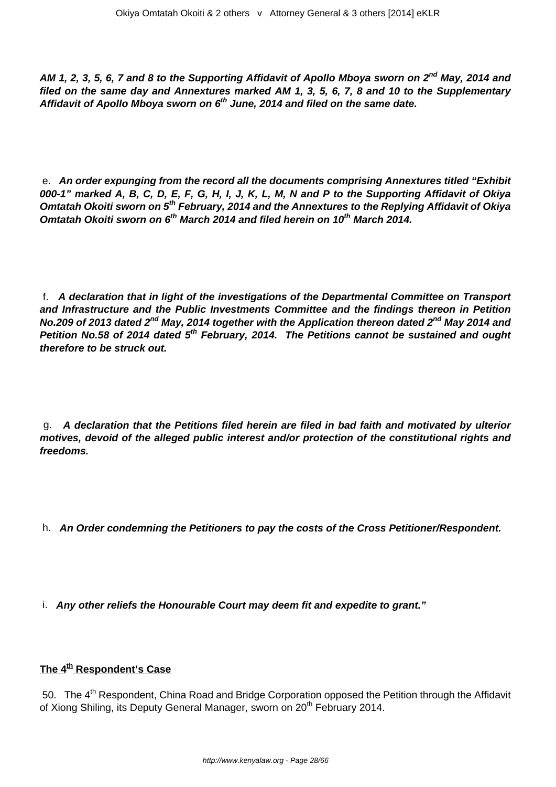**AM 1, 2, 3, 5, 6, 7 and 8 to the Supporting Affidavit of Apollo Mboya sworn on 2nd May, 2014 and filed on the same day and Annextures marked AM 1, 3, 5, 6, 7, 8 and 10 to the Supplementary Affidavit of Apollo Mboya sworn on 6th June, 2014 and filed on the same date.**

e. **An order expunging from the record all the documents comprising Annextures titled "Exhibit 000-1" marked A, B, C, D, E, F, G, H, I, J, K, L, M, N and P to the Supporting Affidavit of Okiya Omtatah Okoiti sworn on 5th February, 2014 and the Annextures to the Replying Affidavit of Okiya Omtatah Okoiti sworn on 6th March 2014 and filed herein on 10th March 2014.**

f. **A declaration that in light of the investigations of the Departmental Committee on Transport and Infrastructure and the Public Investments Committee and the findings thereon in Petition No.209 of 2013 dated 2nd May, 2014 together with the Application thereon dated 2nd May 2014 and Petition No.58 of 2014 dated 5th February, 2014. The Petitions cannot be sustained and ought therefore to be struck out.**

g. **A declaration that the Petitions filed herein are filed in bad faith and motivated by ulterior motives, devoid of the alleged public interest and/or protection of the constitutional rights and freedoms.**

- h. **An Order condemning the Petitioners to pay the costs of the Cross Petitioner/Respondent.**
- i. **Any other reliefs the Honourable Court may deem fit and expedite to grant."**

## **The 4th Respondent's Case**

50. The 4<sup>th</sup> Respondent, China Road and Bridge Corporation opposed the Petition through the Affidavit of Xiong Shiling, its Deputy General Manager, sworn on 20<sup>th</sup> February 2014.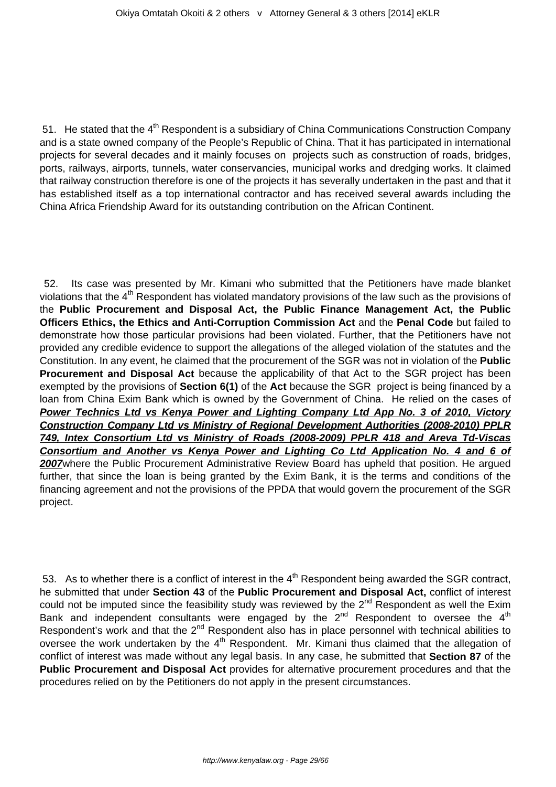51. He stated that the  $4<sup>th</sup>$  Respondent is a subsidiary of China Communications Construction Company and is a state owned company of the People's Republic of China. That it has participated in international projects for several decades and it mainly focuses on projects such as construction of roads, bridges, ports, railways, airports, tunnels, water conservancies, municipal works and dredging works. It claimed that railway construction therefore is one of the projects it has severally undertaken in the past and that it has established itself as a top international contractor and has received several awards including the China Africa Friendship Award for its outstanding contribution on the African Continent.

52. Its case was presented by Mr. Kimani who submitted that the Petitioners have made blanket violations that the 4<sup>th</sup> Respondent has violated mandatory provisions of the law such as the provisions of the **Public Procurement and Disposal Act, the Public Finance Management Act, the Public Officers Ethics, the Ethics and Anti-Corruption Commission Act** and the **Penal Code** but failed to demonstrate how those particular provisions had been violated. Further, that the Petitioners have not provided any credible evidence to support the allegations of the alleged violation of the statutes and the Constitution. In any event, he claimed that the procurement of the SGR was not in violation of the **Public Procurement and Disposal Act** because the applicability of that Act to the SGR project has been exempted by the provisions of **Section 6(1)** of the **Act** because the SGR project is being financed by a loan from China Exim Bank which is owned by the Government of China. He relied on the cases of **Power Technics Ltd vs Kenya Power and Lighting Company Ltd App No. 3 of 2010, Victory Construction Company Ltd vs Ministry of Regional Development Authorities (2008-2010) PPLR 749, Intex Consortium Ltd vs Ministry of Roads (2008-2009) PPLR 418 and Areva Td-Viscas Consortium and Another vs Kenya Power and Lighting Co Ltd Application No. 4 and 6 of 2007**where the Public Procurement Administrative Review Board has upheld that position. He argued further, that since the loan is being granted by the Exim Bank, it is the terms and conditions of the financing agreement and not the provisions of the PPDA that would govern the procurement of the SGR project.

53. As to whether there is a conflict of interest in the  $4<sup>th</sup>$  Respondent being awarded the SGR contract, he submitted that under **Section 43** of the **Public Procurement and Disposal Act,** conflict of interest could not be imputed since the feasibility study was reviewed by the  $2^{nd}$  Respondent as well the Exim Bank and independent consultants were engaged by the  $2^{nd}$  Respondent to oversee the  $4^{th}$ Respondent's work and that the  $2^{nd}$  Respondent also has in place personnel with technical abilities to oversee the work undertaken by the  $4<sup>th</sup>$  Respondent. Mr. Kimani thus claimed that the allegation of conflict of interest was made without any legal basis. In any case, he submitted that **Section 87** of the **Public Procurement and Disposal Act** provides for alternative procurement procedures and that the procedures relied on by the Petitioners do not apply in the present circumstances.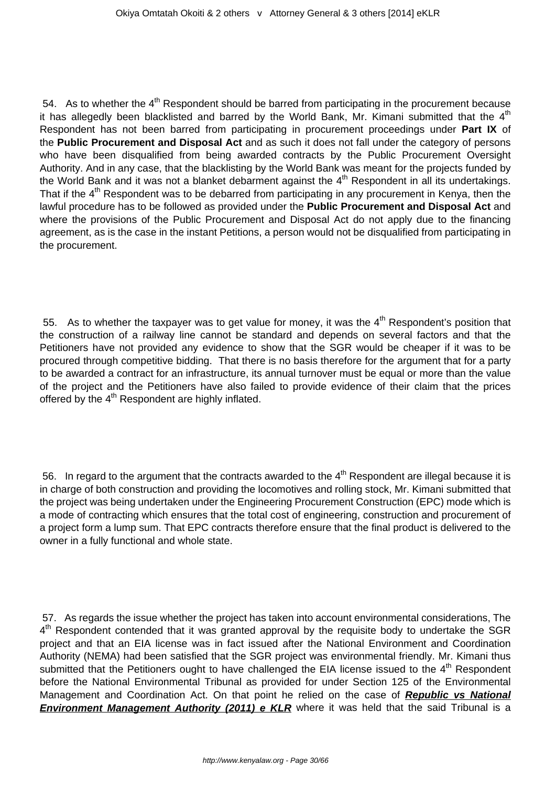54. As to whether the  $4<sup>th</sup>$  Respondent should be barred from participating in the procurement because it has allegedly been blacklisted and barred by the World Bank, Mr. Kimani submitted that the  $4<sup>th</sup>$ Respondent has not been barred from participating in procurement proceedings under **Part IX** of the **Public Procurement and Disposal Act** and as such it does not fall under the category of persons who have been disqualified from being awarded contracts by the Public Procurement Oversight Authority. And in any case, that the blacklisting by the World Bank was meant for the projects funded by the World Bank and it was not a blanket debarment against the 4<sup>th</sup> Respondent in all its undertakings. That if the  $4<sup>th</sup>$  Respondent was to be debarred from participating in any procurement in Kenya, then the lawful procedure has to be followed as provided under the **Public Procurement and Disposal Act** and where the provisions of the Public Procurement and Disposal Act do not apply due to the financing agreement, as is the case in the instant Petitions, a person would not be disqualified from participating in the procurement.

55. As to whether the taxpayer was to get value for money, it was the  $4<sup>th</sup>$  Respondent's position that the construction of a railway line cannot be standard and depends on several factors and that the Petitioners have not provided any evidence to show that the SGR would be cheaper if it was to be procured through competitive bidding. That there is no basis therefore for the argument that for a party to be awarded a contract for an infrastructure, its annual turnover must be equal or more than the value of the project and the Petitioners have also failed to provide evidence of their claim that the prices offered by the  $4<sup>th</sup>$  Respondent are highly inflated.

56. In regard to the argument that the contracts awarded to the  $4<sup>th</sup>$  Respondent are illegal because it is in charge of both construction and providing the locomotives and rolling stock, Mr. Kimani submitted that the project was being undertaken under the Engineering Procurement Construction (EPC) mode which is a mode of contracting which ensures that the total cost of engineering, construction and procurement of a project form a lump sum. That EPC contracts therefore ensure that the final product is delivered to the owner in a fully functional and whole state.

57. As regards the issue whether the project has taken into account environmental considerations, The 4<sup>th</sup> Respondent contended that it was granted approval by the requisite body to undertake the SGR project and that an EIA license was in fact issued after the National Environment and Coordination Authority (NEMA) had been satisfied that the SGR project was environmental friendly. Mr. Kimani thus submitted that the Petitioners ought to have challenged the EIA license issued to the 4<sup>th</sup> Respondent before the National Environmental Tribunal as provided for under Section 125 of the Environmental Management and Coordination Act. On that point he relied on the case of **Republic vs National Environment Management Authority (2011) e KLR** where it was held that the said Tribunal is a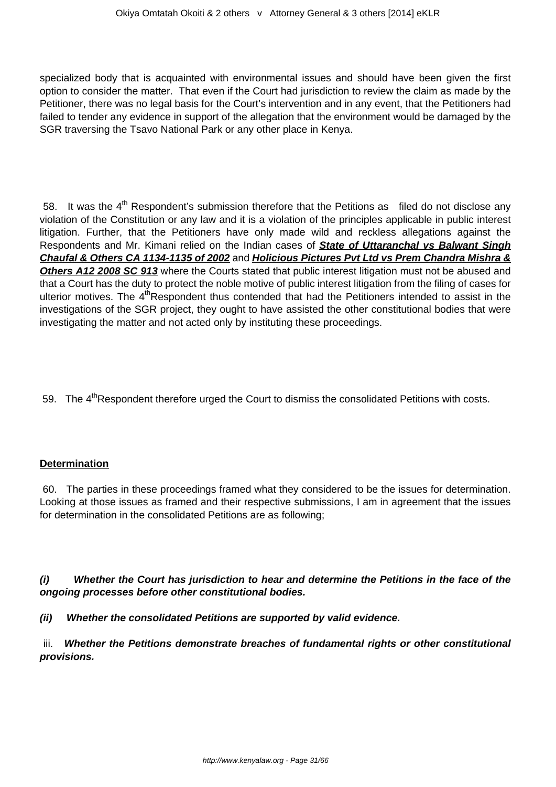specialized body that is acquainted with environmental issues and should have been given the first option to consider the matter. That even if the Court had jurisdiction to review the claim as made by the Petitioner, there was no legal basis for the Court's intervention and in any event, that the Petitioners had failed to tender any evidence in support of the allegation that the environment would be damaged by the SGR traversing the Tsavo National Park or any other place in Kenya.

58. It was the  $4<sup>th</sup>$  Respondent's submission therefore that the Petitions as filed do not disclose any violation of the Constitution or any law and it is a violation of the principles applicable in public interest litigation. Further, that the Petitioners have only made wild and reckless allegations against the Respondents and Mr. Kimani relied on the Indian cases of **State of Uttaranchal vs Balwant Singh Chaufal & Others CA 1134-1135 of 2002** and **Holicious Pictures Pvt Ltd vs Prem Chandra Mishra & Others A12 2008 SC 913** where the Courts stated that public interest litigation must not be abused and that a Court has the duty to protect the noble motive of public interest litigation from the filing of cases for ulterior motives. The 4<sup>th</sup>Respondent thus contended that had the Petitioners intended to assist in the investigations of the SGR project, they ought to have assisted the other constitutional bodies that were investigating the matter and not acted only by instituting these proceedings.

59. The  $4<sup>th</sup>$ Respondent therefore urged the Court to dismiss the consolidated Petitions with costs.

#### **Determination**

60. The parties in these proceedings framed what they considered to be the issues for determination. Looking at those issues as framed and their respective submissions, I am in agreement that the issues for determination in the consolidated Petitions are as following;

**(i) Whether the Court has jurisdiction to hear and determine the Petitions in the face of the ongoing processes before other constitutional bodies.** 

**(ii) Whether the consolidated Petitions are supported by valid evidence.**

iii. **Whether the Petitions demonstrate breaches of fundamental rights or other constitutional provisions.**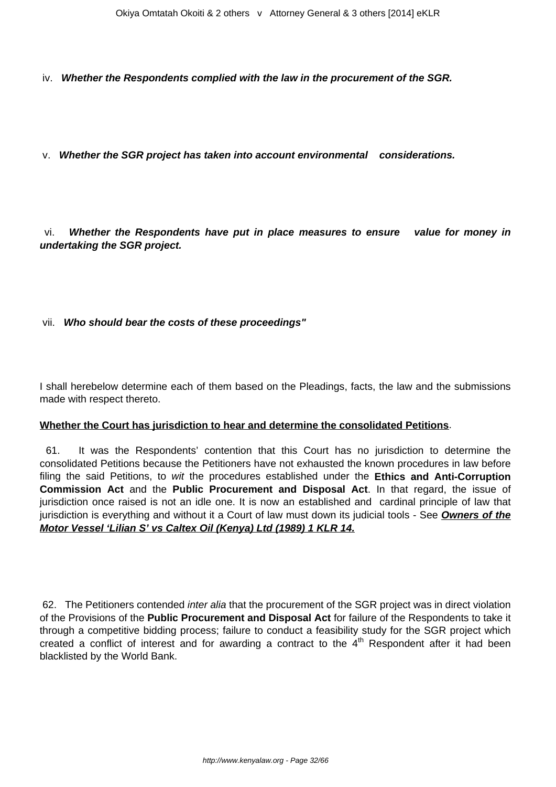iv. **Whether the Respondents complied with the law in the procurement of the SGR.**

v. **Whether the SGR project has taken into account environmental considerations.**

vi. **Whether the Respondents have put in place measures to ensure value for money in undertaking the SGR project.**

## vii. **Who should bear the costs of these proceedings"**

I shall herebelow determine each of them based on the Pleadings, facts, the law and the submissions made with respect thereto.

#### **Whether the Court has jurisdiction to hear and determine the consolidated Petitions**.

61. It was the Respondents' contention that this Court has no jurisdiction to determine the consolidated Petitions because the Petitioners have not exhausted the known procedures in law before filing the said Petitions, to wit the procedures established under the **Ethics and Anti-Corruption Commission Act** and the **Public Procurement and Disposal Act**. In that regard, the issue of jurisdiction once raised is not an idle one. It is now an established and cardinal principle of law that jurisdiction is everything and without it a Court of law must down its judicial tools - See **Owners of the Motor Vessel 'Lilian S' vs Caltex Oil (Kenya) Ltd (1989) 1 KLR 14.**

62. The Petitioners contended *inter alia* that the procurement of the SGR project was in direct violation of the Provisions of the **Public Procurement and Disposal Act** for failure of the Respondents to take it through a competitive bidding process; failure to conduct a feasibility study for the SGR project which created a conflict of interest and for awarding a contract to the  $4<sup>th</sup>$  Respondent after it had been blacklisted by the World Bank.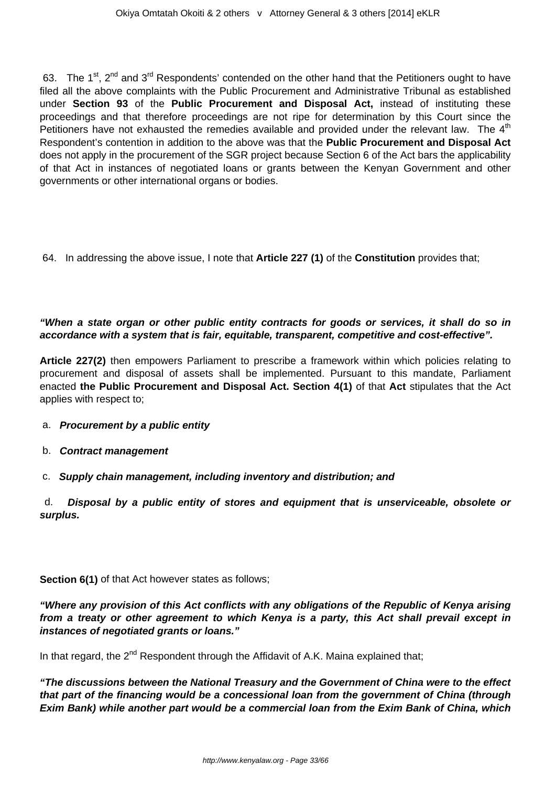63. The 1<sup>st</sup>, 2<sup>nd</sup> and 3<sup>rd</sup> Respondents' contended on the other hand that the Petitioners ought to have filed all the above complaints with the Public Procurement and Administrative Tribunal as established under **Section 93** of the **Public Procurement and Disposal Act,** instead of instituting these proceedings and that therefore proceedings are not ripe for determination by this Court since the Petitioners have not exhausted the remedies available and provided under the relevant law. The  $4<sup>th</sup>$ Respondent's contention in addition to the above was that the **Public Procurement and Disposal Act** does not apply in the procurement of the SGR project because Section 6 of the Act bars the applicability of that Act in instances of negotiated loans or grants between the Kenyan Government and other governments or other international organs or bodies.

64. In addressing the above issue, I note that **Article 227 (1)** of the **Constitution** provides that;

## **"When a state organ or other public entity contracts for goods or services, it shall do so in accordance with a system that is fair, equitable, transparent, competitive and cost-effective".**

**Article 227(2)** then empowers Parliament to prescribe a framework within which policies relating to procurement and disposal of assets shall be implemented. Pursuant to this mandate, Parliament enacted **the Public Procurement and Disposal Act. Section 4(1)** of that **Act** stipulates that the Act applies with respect to;

- a. **Procurement by a public entity**
- b. **Contract management**
- c. **Supply chain management, including inventory and distribution; and**

d. **Disposal by a public entity of stores and equipment that is unserviceable, obsolete or surplus.** 

**Section 6(1)** of that Act however states as follows;

**"Where any provision of this Act conflicts with any obligations of the Republic of Kenya arising from a treaty or other agreement to which Kenya is a party, this Act shall prevail except in instances of negotiated grants or loans."**

In that regard, the  $2^{nd}$  Respondent through the Affidavit of A.K. Maina explained that;

**"The discussions between the National Treasury and the Government of China were to the effect that part of the financing would be a concessional loan from the government of China (through Exim Bank) while another part would be a commercial loan from the Exim Bank of China, which**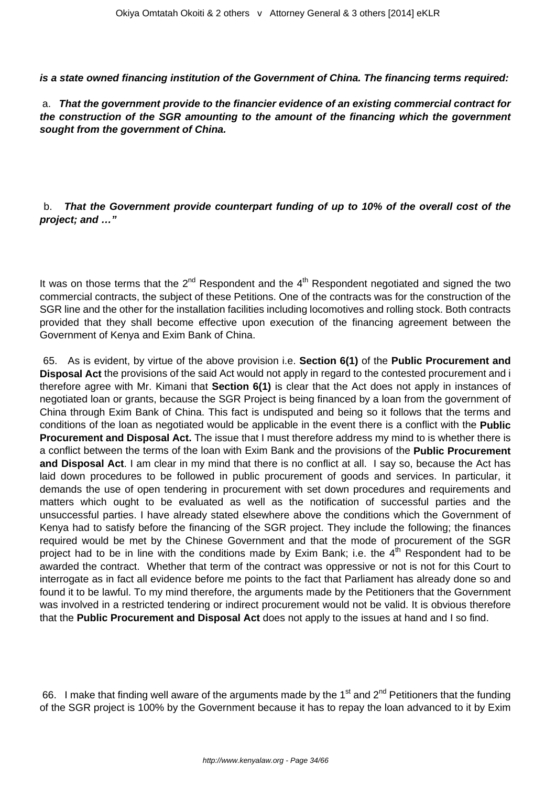**is a state owned financing institution of the Government of China. The financing terms required:**

a. **That the government provide to the financier evidence of an existing commercial contract for the construction of the SGR amounting to the amount of the financing which the government sought from the government of China.** 

b. **That the Government provide counterpart funding of up to 10% of the overall cost of the project; and …"**

It was on those terms that the  $2^{nd}$  Respondent and the  $4^{th}$  Respondent negotiated and signed the two commercial contracts, the subject of these Petitions. One of the contracts was for the construction of the SGR line and the other for the installation facilities including locomotives and rolling stock. Both contracts provided that they shall become effective upon execution of the financing agreement between the Government of Kenya and Exim Bank of China.

65. As is evident, by virtue of the above provision i.e. **Section 6(1)** of the **Public Procurement and Disposal Act** the provisions of the said Act would not apply in regard to the contested procurement and i therefore agree with Mr. Kimani that **Section 6(1)** is clear that the Act does not apply in instances of negotiated loan or grants, because the SGR Project is being financed by a loan from the government of China through Exim Bank of China. This fact is undisputed and being so it follows that the terms and conditions of the loan as negotiated would be applicable in the event there is a conflict with the **Public Procurement and Disposal Act.** The issue that I must therefore address my mind to is whether there is a conflict between the terms of the loan with Exim Bank and the provisions of the **Public Procurement and Disposal Act**. I am clear in my mind that there is no conflict at all. I say so, because the Act has laid down procedures to be followed in public procurement of goods and services. In particular, it demands the use of open tendering in procurement with set down procedures and requirements and matters which ought to be evaluated as well as the notification of successful parties and the unsuccessful parties. I have already stated elsewhere above the conditions which the Government of Kenya had to satisfy before the financing of the SGR project. They include the following; the finances required would be met by the Chinese Government and that the mode of procurement of the SGR project had to be in line with the conditions made by Exim Bank; i.e. the  $4<sup>th</sup>$  Respondent had to be awarded the contract. Whether that term of the contract was oppressive or not is not for this Court to interrogate as in fact all evidence before me points to the fact that Parliament has already done so and found it to be lawful. To my mind therefore, the arguments made by the Petitioners that the Government was involved in a restricted tendering or indirect procurement would not be valid. It is obvious therefore that the **Public Procurement and Disposal Act** does not apply to the issues at hand and I so find.

66. I make that finding well aware of the arguments made by the 1<sup>st</sup> and 2<sup>nd</sup> Petitioners that the funding of the SGR project is 100% by the Government because it has to repay the loan advanced to it by Exim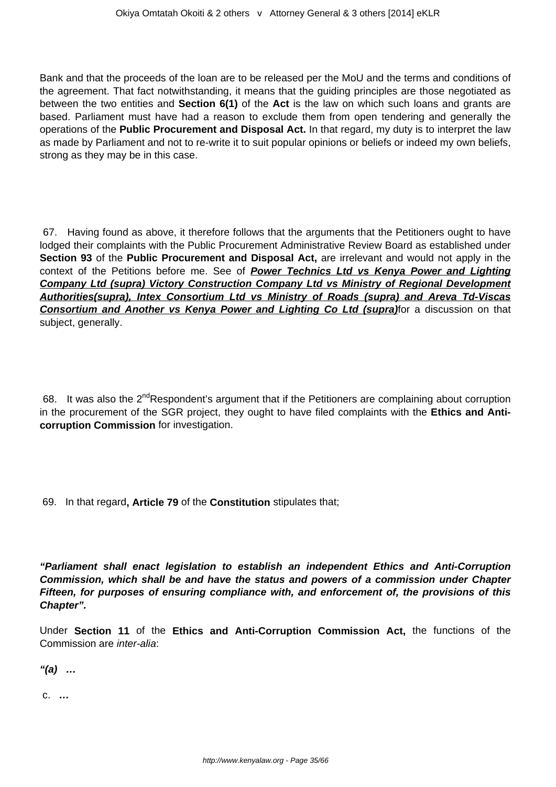Bank and that the proceeds of the loan are to be released per the MoU and the terms and conditions of the agreement. That fact notwithstanding, it means that the guiding principles are those negotiated as between the two entities and **Section 6(1)** of the **Act** is the law on which such loans and grants are based. Parliament must have had a reason to exclude them from open tendering and generally the operations of the **Public Procurement and Disposal Act.** In that regard, my duty is to interpret the law as made by Parliament and not to re-write it to suit popular opinions or beliefs or indeed my own beliefs, strong as they may be in this case.

67. Having found as above, it therefore follows that the arguments that the Petitioners ought to have lodged their complaints with the Public Procurement Administrative Review Board as established under **Section 93** of the **Public Procurement and Disposal Act,** are irrelevant and would not apply in the context of the Petitions before me. See of **Power Technics Ltd vs Kenya Power and Lighting Company Ltd (supra) Victory Construction Company Ltd vs Ministry of Regional Development Authorities(supra), Intex Consortium Ltd vs Ministry of Roads (supra) and Areva Td-Viscas Consortium and Another vs Kenya Power and Lighting Co Ltd (supra)** for a discussion on that subject, generally.

68. It was also the  $2^{nd}$ Respondent's argument that if the Petitioners are complaining about corruption in the procurement of the SGR project, they ought to have filed complaints with the **Ethics and Anticorruption Commission** for investigation.

69. In that regard**, Article 79** of the **Constitution** stipulates that;

**"Parliament shall enact legislation to establish an independent Ethics and Anti-Corruption Commission, which shall be and have the status and powers of a commission under Chapter Fifteen, for purposes of ensuring compliance with, and enforcement of, the provisions of this Chapter".**

Under **Section 11** of the **Ethics and Anti-Corruption Commission Act,** the functions of the Commission are inter-alia:

**"(a) …**

c. **…**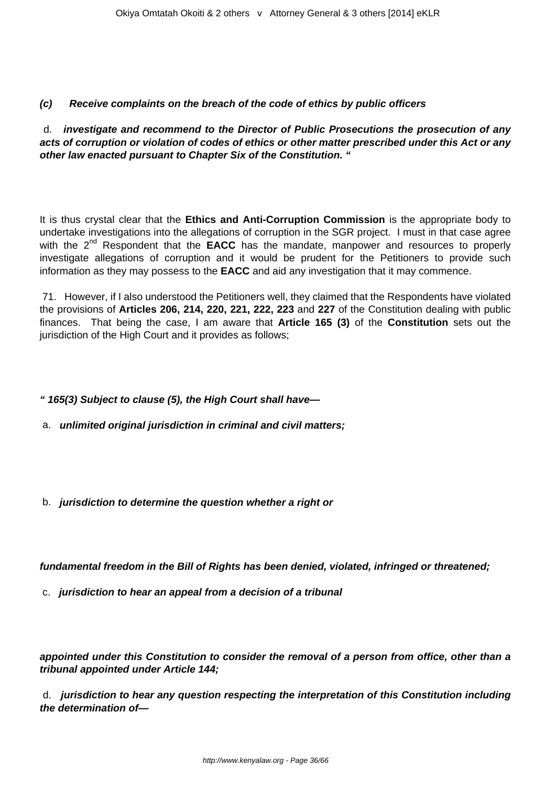## **(c) Receive complaints on the breach of the code of ethics by public officers**

d. **investigate and recommend to the Director of Public Prosecutions the prosecution of any acts of corruption or violation of codes of ethics or other matter prescribed under this Act or any other law enacted pursuant to Chapter Six of the Constitution. "**

It is thus crystal clear that the **Ethics and Anti-Corruption Commission** is the appropriate body to undertake investigations into the allegations of corruption in the SGR project. I must in that case agree with the 2<sup>nd</sup> Respondent that the **EACC** has the mandate, manpower and resources to properly investigate allegations of corruption and it would be prudent for the Petitioners to provide such information as they may possess to the **EACC** and aid any investigation that it may commence.

71. However, if I also understood the Petitioners well, they claimed that the Respondents have violated the provisions of **Articles 206, 214, 220, 221, 222, 223** and **227** of the Constitution dealing with public finances. That being the case, I am aware that **Article 165 (3)** of the **Constitution** sets out the jurisdiction of the High Court and it provides as follows:

- **" 165(3) Subject to clause (5), the High Court shall have—**
- a. **unlimited original jurisdiction in criminal and civil matters;**
- b. **jurisdiction to determine the question whether a right or**

**fundamental freedom in the Bill of Rights has been denied, violated, infringed or threatened;** 

c. **jurisdiction to hear an appeal from a decision of a tribunal** 

**appointed under this Constitution to consider the removal of a person from office, other than a tribunal appointed under Article 144;** 

d. **jurisdiction to hear any question respecting the interpretation of this Constitution including the determination of—**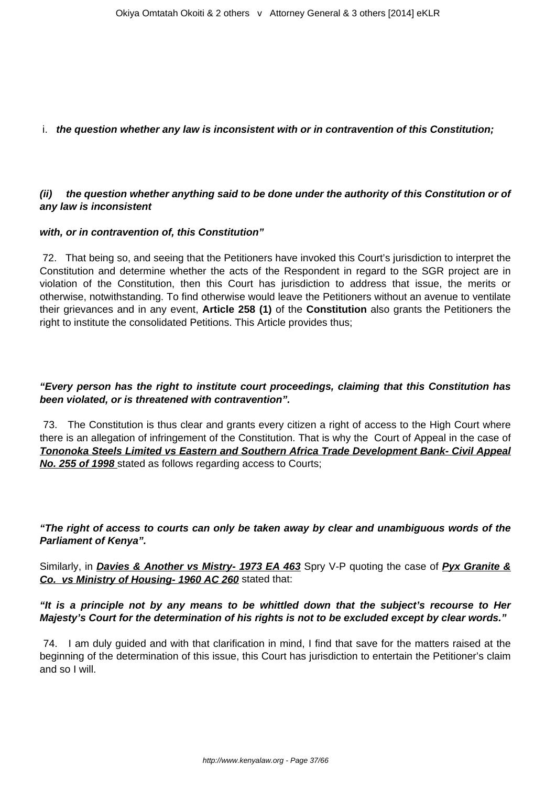## i. **the question whether any law is inconsistent with or in contravention of this Constitution;**

## **(ii) the question whether anything said to be done under the authority of this Constitution or of any law is inconsistent**

#### **with, or in contravention of, this Constitution"**

72. That being so, and seeing that the Petitioners have invoked this Court's jurisdiction to interpret the Constitution and determine whether the acts of the Respondent in regard to the SGR project are in violation of the Constitution, then this Court has jurisdiction to address that issue, the merits or otherwise, notwithstanding. To find otherwise would leave the Petitioners without an avenue to ventilate their grievances and in any event, **Article 258 (1)** of the **Constitution** also grants the Petitioners the right to institute the consolidated Petitions. This Article provides thus;

## **"Every person has the right to institute court proceedings, claiming that this Constitution has been violated, or is threatened with contravention".**

73. The Constitution is thus clear and grants every citizen a right of access to the High Court where there is an allegation of infringement of the Constitution. That is why the Court of Appeal in the case of **Tononoka Steels Limited vs Eastern and Southern Africa Trade Development Bank- Civil Appeal No. 255 of 1998** stated as follows regarding access to Courts;

**"The right of access to courts can only be taken away by clear and unambiguous words of the Parliament of Kenya".**

Similarly, in **Davies & Another vs Mistry- 1973 EA 463** Spry V-P quoting the case of **Pyx Granite & Co. vs Ministry of Housing- 1960 AC 260** stated that:

## **"It is a principle not by any means to be whittled down that the subject's recourse to Her Majesty's Court for the determination of his rights is not to be excluded except by clear words."**

74. I am duly guided and with that clarification in mind, I find that save for the matters raised at the beginning of the determination of this issue, this Court has jurisdiction to entertain the Petitioner's claim and so I will.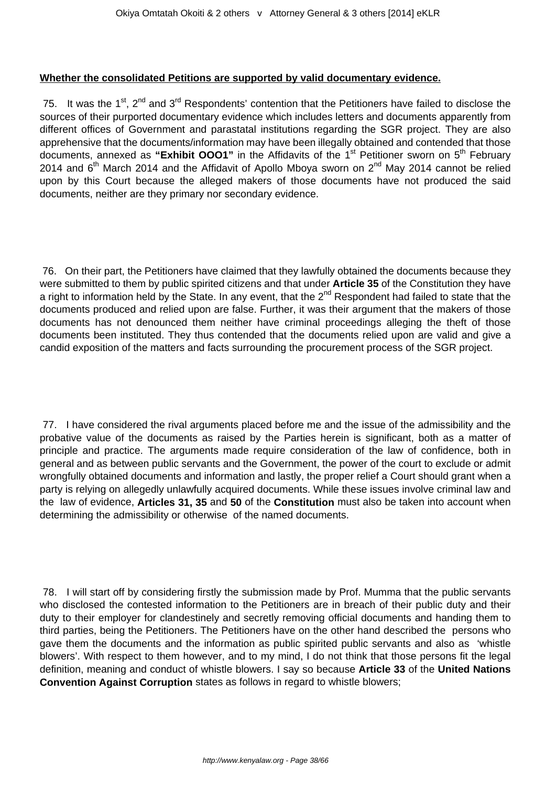#### **Whether the consolidated Petitions are supported by valid documentary evidence.**

75. It was the 1<sup>st</sup>, 2<sup>nd</sup> and 3<sup>rd</sup> Respondents' contention that the Petitioners have failed to disclose the sources of their purported documentary evidence which includes letters and documents apparently from different offices of Government and parastatal institutions regarding the SGR project. They are also apprehensive that the documents/information may have been illegally obtained and contended that those documents, annexed as "Exhibit OOO1" in the Affidavits of the 1<sup>st</sup> Petitioner sworn on 5<sup>th</sup> February 2014 and  $6<sup>th</sup>$  March 2014 and the Affidavit of Apollo Mboya sworn on  $2<sup>nd</sup>$  May 2014 cannot be relied upon by this Court because the alleged makers of those documents have not produced the said documents, neither are they primary nor secondary evidence.

76. On their part, the Petitioners have claimed that they lawfully obtained the documents because they were submitted to them by public spirited citizens and that under **Article 35** of the Constitution they have a right to information held by the State. In any event, that the 2<sup>nd</sup> Respondent had failed to state that the documents produced and relied upon are false. Further, it was their argument that the makers of those documents has not denounced them neither have criminal proceedings alleging the theft of those documents been instituted. They thus contended that the documents relied upon are valid and give a candid exposition of the matters and facts surrounding the procurement process of the SGR project.

77. I have considered the rival arguments placed before me and the issue of the admissibility and the probative value of the documents as raised by the Parties herein is significant, both as a matter of principle and practice. The arguments made require consideration of the law of confidence, both in general and as between public servants and the Government, the power of the court to exclude or admit wrongfully obtained documents and information and lastly, the proper relief a Court should grant when a party is relying on allegedly unlawfully acquired documents. While these issues involve criminal law and the law of evidence, **Articles 31, 35** and **50** of the **Constitution** must also be taken into account when determining the admissibility or otherwise of the named documents.

78. I will start off by considering firstly the submission made by Prof. Mumma that the public servants who disclosed the contested information to the Petitioners are in breach of their public duty and their duty to their employer for clandestinely and secretly removing official documents and handing them to third parties, being the Petitioners. The Petitioners have on the other hand described the persons who gave them the documents and the information as public spirited public servants and also as 'whistle blowers'. With respect to them however, and to my mind, I do not think that those persons fit the legal definition, meaning and conduct of whistle blowers. I say so because **Article 33** of the **United Nations Convention Against Corruption** states as follows in regard to whistle blowers;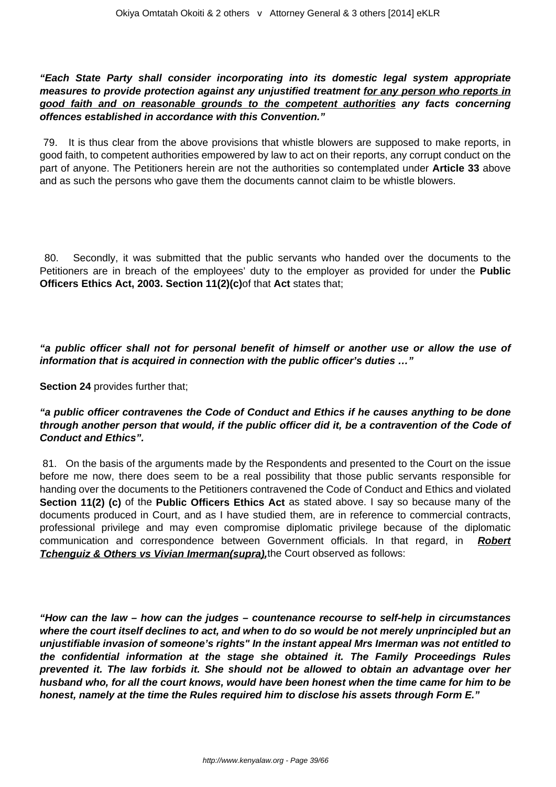**"Each State Party shall consider incorporating into its domestic legal system appropriate measures to provide protection against any unjustified treatment for any person who reports in good faith and on reasonable grounds to the competent authorities any facts concerning offences established in accordance with this Convention."**

79. It is thus clear from the above provisions that whistle blowers are supposed to make reports, in good faith, to competent authorities empowered by law to act on their reports, any corrupt conduct on the part of anyone. The Petitioners herein are not the authorities so contemplated under **Article 33** above and as such the persons who gave them the documents cannot claim to be whistle blowers.

80. Secondly, it was submitted that the public servants who handed over the documents to the Petitioners are in breach of the employees' duty to the employer as provided for under the **Public Officers Ethics Act, 2003. Section 11(2)(c)**of that **Act** states that;

**"a public officer shall not for personal benefit of himself or another use or allow the use of information that is acquired in connection with the public officer's duties …"**

**Section 24** provides further that;

## **"a public officer contravenes the Code of Conduct and Ethics if he causes anything to be done through another person that would, if the public officer did it, be a contravention of the Code of Conduct and Ethics".**

81. On the basis of the arguments made by the Respondents and presented to the Court on the issue before me now, there does seem to be a real possibility that those public servants responsible for handing over the documents to the Petitioners contravened the Code of Conduct and Ethics and violated **Section 11(2) (c)** of the **Public Officers Ethics Act** as stated above. I say so because many of the documents produced in Court, and as I have studied them, are in reference to commercial contracts, professional privilege and may even compromise diplomatic privilege because of the diplomatic communication and correspondence between Government officials. In that regard, in **Robert Tchenguiz & Others vs Vivian Imerman(supra)**, the Court observed as follows:

**"How can the law – how can the judges – countenance recourse to self-help in circumstances where the court itself declines to act, and when to do so would be not merely unprincipled but an unjustifiable invasion of someone's rights" In the instant appeal Mrs Imerman was not entitled to the confidential information at the stage she obtained it. The Family Proceedings Rules prevented it. The law forbids it. She should not be allowed to obtain an advantage over her husband who, for all the court knows, would have been honest when the time came for him to be honest, namely at the time the Rules required him to disclose his assets through Form E."**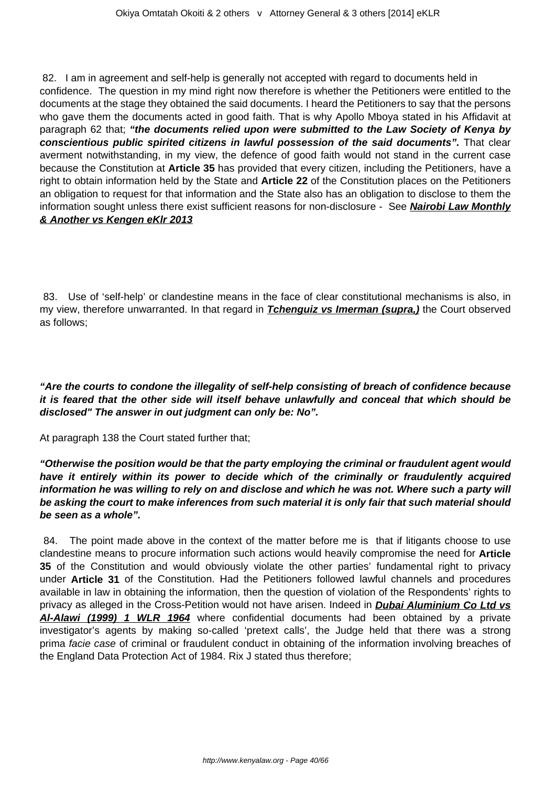82. I am in agreement and self-help is generally not accepted with regard to documents held in confidence. The question in my mind right now therefore is whether the Petitioners were entitled to the documents at the stage they obtained the said documents. I heard the Petitioners to say that the persons who gave them the documents acted in good faith. That is why Apollo Mboya stated in his Affidavit at paragraph 62 that; **"the documents relied upon were submitted to the Law Society of Kenya by conscientious public spirited citizens in lawful possession of the said documents".** That clear averment notwithstanding, in my view, the defence of good faith would not stand in the current case because the Constitution at **Article 35** has provided that every citizen, including the Petitioners, have a right to obtain information held by the State and **Article 22** of the Constitution places on the Petitioners an obligation to request for that information and the State also has an obligation to disclose to them the information sought unless there exist sufficient reasons for non-disclosure - See **Nairobi Law Monthly & Another vs Kengen eKlr 2013**

83. Use of 'self-help' or clandestine means in the face of clear constitutional mechanisms is also, in my view, therefore unwarranted. In that regard in **Tchenguiz vs Imerman (supra,)** the Court observed as follows;

**"Are the courts to condone the illegality of self-help consisting of breach of confidence because it is feared that the other side will itself behave unlawfully and conceal that which should be disclosed" The answer in out judgment can only be: No".** 

At paragraph 138 the Court stated further that;

**"Otherwise the position would be that the party employing the criminal or fraudulent agent would have it entirely within its power to decide which of the criminally or fraudulently acquired information he was willing to rely on and disclose and which he was not. Where such a party will be asking the court to make inferences from such material it is only fair that such material should be seen as a whole".**

84. The point made above in the context of the matter before me is that if litigants choose to use clandestine means to procure information such actions would heavily compromise the need for **Article 35** of the Constitution and would obviously violate the other parties' fundamental right to privacy under **Article 31** of the Constitution. Had the Petitioners followed lawful channels and procedures available in law in obtaining the information, then the question of violation of the Respondents' rights to privacy as alleged in the Cross-Petition would not have arisen. Indeed in **Dubai Aluminium Co Ltd vs Al-Alawi (1999) 1 WLR 1964** where confidential documents had been obtained by a private investigator's agents by making so-called 'pretext calls', the Judge held that there was a strong prima facie case of criminal or fraudulent conduct in obtaining of the information involving breaches of the England Data Protection Act of 1984. Rix J stated thus therefore;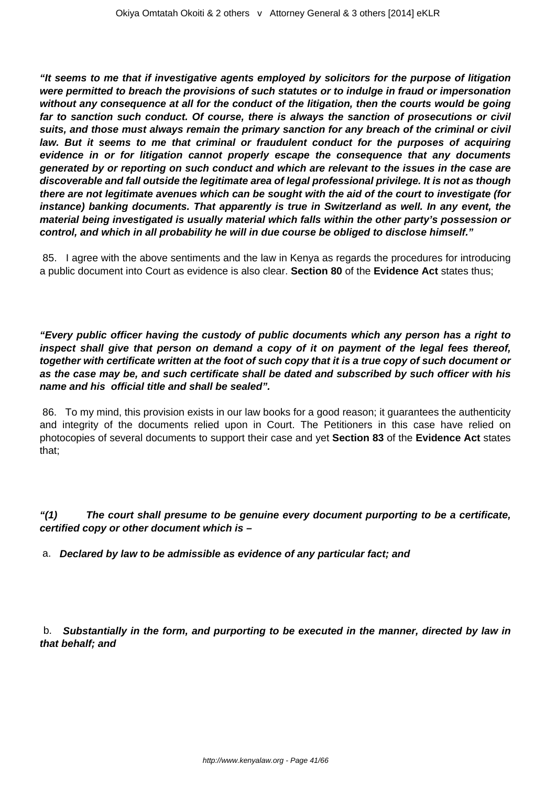**"It seems to me that if investigative agents employed by solicitors for the purpose of litigation were permitted to breach the provisions of such statutes or to indulge in fraud or impersonation without any consequence at all for the conduct of the litigation, then the courts would be going far to sanction such conduct. Of course, there is always the sanction of prosecutions or civil suits, and those must always remain the primary sanction for any breach of the criminal or civil law. But it seems to me that criminal or fraudulent conduct for the purposes of acquiring evidence in or for litigation cannot properly escape the consequence that any documents generated by or reporting on such conduct and which are relevant to the issues in the case are discoverable and fall outside the legitimate area of legal professional privilege. It is not as though there are not legitimate avenues which can be sought with the aid of the court to investigate (for instance) banking documents. That apparently is true in Switzerland as well. In any event, the material being investigated is usually material which falls within the other party's possession or control, and which in all probability he will in due course be obliged to disclose himself."**

85. I agree with the above sentiments and the law in Kenya as regards the procedures for introducing a public document into Court as evidence is also clear. **Section 80** of the **Evidence Act** states thus;

**"Every public officer having the custody of public documents which any person has a right to inspect shall give that person on demand a copy of it on payment of the legal fees thereof, together with certificate written at the foot of such copy that it is a true copy of such document or as the case may be, and such certificate shall be dated and subscribed by such officer with his name and his official title and shall be sealed".** 

86. To my mind, this provision exists in our law books for a good reason; it guarantees the authenticity and integrity of the documents relied upon in Court. The Petitioners in this case have relied on photocopies of several documents to support their case and yet **Section 83** of the **Evidence Act** states that;

**"(1) The court shall presume to be genuine every document purporting to be a certificate, certified copy or other document which is –**

a. **Declared by law to be admissible as evidence of any particular fact; and**

b. **Substantially in the form, and purporting to be executed in the manner, directed by law in that behalf; and**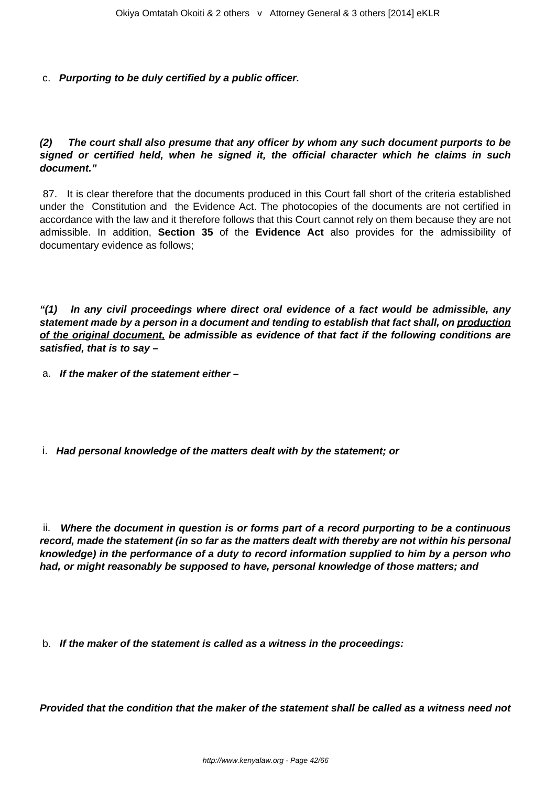c. **Purporting to be duly certified by a public officer.**

**(2) The court shall also presume that any officer by whom any such document purports to be signed or certified held, when he signed it, the official character which he claims in such document."**

87. It is clear therefore that the documents produced in this Court fall short of the criteria established under the Constitution and the Evidence Act. The photocopies of the documents are not certified in accordance with the law and it therefore follows that this Court cannot rely on them because they are not admissible. In addition, **Section 35** of the **Evidence Act** also provides for the admissibility of documentary evidence as follows;

**"(1) In any civil proceedings where direct oral evidence of a fact would be admissible, any statement made by a person in a document and tending to establish that fact shall, on production of the original document, be admissible as evidence of that fact if the following conditions are satisfied, that is to say –**

a. **If the maker of the statement either –**

i. **Had personal knowledge of the matters dealt with by the statement; or** 

ii. **Where the document in question is or forms part of a record purporting to be a continuous record, made the statement (in so far as the matters dealt with thereby are not within his personal knowledge) in the performance of a duty to record information supplied to him by a person who had, or might reasonably be supposed to have, personal knowledge of those matters; and**

b. **If the maker of the statement is called as a witness in the proceedings:**

**Provided that the condition that the maker of the statement shall be called as a witness need not**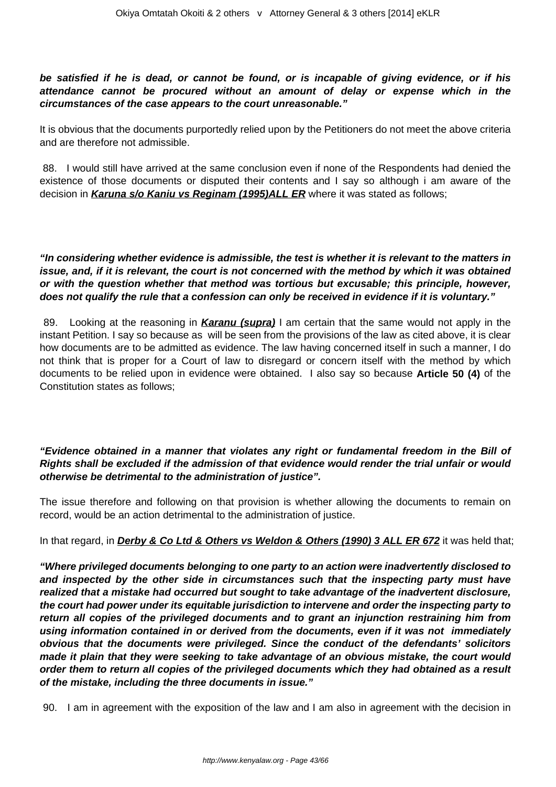## **be satisfied if he is dead, or cannot be found, or is incapable of giving evidence, or if his attendance cannot be procured without an amount of delay or expense which in the circumstances of the case appears to the court unreasonable."**

It is obvious that the documents purportedly relied upon by the Petitioners do not meet the above criteria and are therefore not admissible.

88. I would still have arrived at the same conclusion even if none of the Respondents had denied the existence of those documents or disputed their contents and I say so although i am aware of the decision in **Karuna s/o Kaniu vs Reginam (1995)ALL ER** where it was stated as follows;

## **"In considering whether evidence is admissible, the test is whether it is relevant to the matters in issue, and, if it is relevant, the court is not concerned with the method by which it was obtained or with the question whether that method was tortious but excusable; this principle, however, does not qualify the rule that a confession can only be received in evidence if it is voluntary."**

89. Looking at the reasoning in **Karanu (supra)** I am certain that the same would not apply in the instant Petition. I say so because as will be seen from the provisions of the law as cited above, it is clear how documents are to be admitted as evidence. The law having concerned itself in such a manner, I do not think that is proper for a Court of law to disregard or concern itself with the method by which documents to be relied upon in evidence were obtained. I also say so because **Article 50 (4)** of the Constitution states as follows;

## **"Evidence obtained in a manner that violates any right or fundamental freedom in the Bill of Rights shall be excluded if the admission of that evidence would render the trial unfair or would otherwise be detrimental to the administration of justice".**

The issue therefore and following on that provision is whether allowing the documents to remain on record, would be an action detrimental to the administration of justice.

## In that regard, in **Derby & Co Ltd & Others vs Weldon & Others (1990) 3 ALL ER 672** it was held that;

**"Where privileged documents belonging to one party to an action were inadvertently disclosed to and inspected by the other side in circumstances such that the inspecting party must have realized that a mistake had occurred but sought to take advantage of the inadvertent disclosure, the court had power under its equitable jurisdiction to intervene and order the inspecting party to return all copies of the privileged documents and to grant an injunction restraining him from using information contained in or derived from the documents, even if it was not immediately obvious that the documents were privileged. Since the conduct of the defendants' solicitors made it plain that they were seeking to take advantage of an obvious mistake, the court would order them to return all copies of the privileged documents which they had obtained as a result of the mistake, including the three documents in issue."**

90. I am in agreement with the exposition of the law and I am also in agreement with the decision in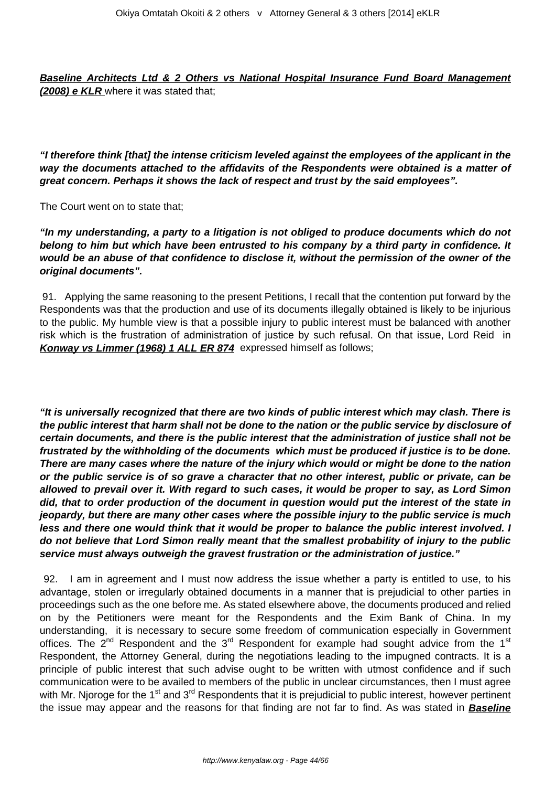**Baseline Architects Ltd & 2 Others vs National Hospital Insurance Fund Board Management (2008) e KLR** where it was stated that;

**"I therefore think [that] the intense criticism leveled against the employees of the applicant in the way the documents attached to the affidavits of the Respondents were obtained is a matter of great concern. Perhaps it shows the lack of respect and trust by the said employees".** 

The Court went on to state that;

**"In my understanding, a party to a litigation is not obliged to produce documents which do not belong to him but which have been entrusted to his company by a third party in confidence. It would be an abuse of that confidence to disclose it, without the permission of the owner of the original documents".**

91. Applying the same reasoning to the present Petitions, I recall that the contention put forward by the Respondents was that the production and use of its documents illegally obtained is likely to be injurious to the public. My humble view is that a possible injury to public interest must be balanced with another risk which is the frustration of administration of justice by such refusal. On that issue, Lord Reid in **Konway vs Limmer (1968) 1 ALL ER 874** expressed himself as follows;

**"It is universally recognized that there are two kinds of public interest which may clash. There is the public interest that harm shall not be done to the nation or the public service by disclosure of certain documents, and there is the public interest that the administration of justice shall not be frustrated by the withholding of the documents which must be produced if justice is to be done. There are many cases where the nature of the injury which would or might be done to the nation or the public service is of so grave a character that no other interest, public or private, can be allowed to prevail over it. With regard to such cases, it would be proper to say, as Lord Simon did, that to order production of the document in question would put the interest of the state in jeopardy, but there are many other cases where the possible injury to the public service is much less and there one would think that it would be proper to balance the public interest involved. I do not believe that Lord Simon really meant that the smallest probability of injury to the public service must always outweigh the gravest frustration or the administration of justice."** 

92. I am in agreement and I must now address the issue whether a party is entitled to use, to his advantage, stolen or irregularly obtained documents in a manner that is prejudicial to other parties in proceedings such as the one before me. As stated elsewhere above, the documents produced and relied on by the Petitioners were meant for the Respondents and the Exim Bank of China. In my understanding, it is necessary to secure some freedom of communication especially in Government offices. The  $2^{nd}$  Respondent and the  $3^{rd}$  Respondent for example had sought advice from the 1<sup>st</sup> Respondent, the Attorney General, during the negotiations leading to the impugned contracts. It is a principle of public interest that such advise ought to be written with utmost confidence and if such communication were to be availed to members of the public in unclear circumstances, then I must agree with Mr. Njoroge for the 1<sup>st</sup> and 3<sup>rd</sup> Respondents that it is prejudicial to public interest, however pertinent the issue may appear and the reasons for that finding are not far to find. As was stated in **Baseline**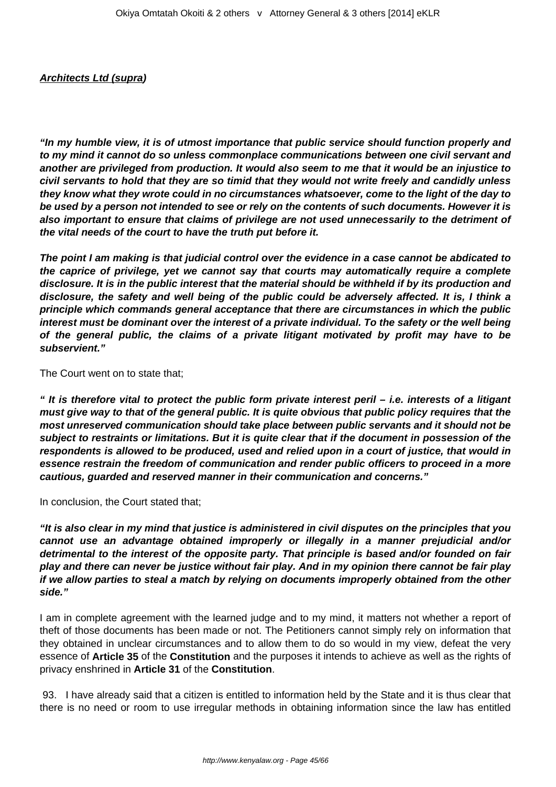#### **Architects Ltd (supra)**

**"In my humble view, it is of utmost importance that public service should function properly and to my mind it cannot do so unless commonplace communications between one civil servant and another are privileged from production. It would also seem to me that it would be an injustice to civil servants to hold that they are so timid that they would not write freely and candidly unless they know what they wrote could in no circumstances whatsoever, come to the light of the day to be used by a person not intended to see or rely on the contents of such documents. However it is also important to ensure that claims of privilege are not used unnecessarily to the detriment of the vital needs of the court to have the truth put before it.**

**The point I am making is that judicial control over the evidence in a case cannot be abdicated to the caprice of privilege, yet we cannot say that courts may automatically require a complete disclosure. It is in the public interest that the material should be withheld if by its production and disclosure, the safety and well being of the public could be adversely affected. It is, I think a principle which commands general acceptance that there are circumstances in which the public interest must be dominant over the interest of a private individual. To the safety or the well being of the general public, the claims of a private litigant motivated by profit may have to be subservient."**

The Court went on to state that;

**" It is therefore vital to protect the public form private interest peril – i.e. interests of a litigant must give way to that of the general public. It is quite obvious that public policy requires that the most unreserved communication should take place between public servants and it should not be subject to restraints or limitations. But it is quite clear that if the document in possession of the respondents is allowed to be produced, used and relied upon in a court of justice, that would in essence restrain the freedom of communication and render public officers to proceed in a more cautious, guarded and reserved manner in their communication and concerns."**

In conclusion, the Court stated that;

**"It is also clear in my mind that justice is administered in civil disputes on the principles that you cannot use an advantage obtained improperly or illegally in a manner prejudicial and/or detrimental to the interest of the opposite party. That principle is based and/or founded on fair play and there can never be justice without fair play. And in my opinion there cannot be fair play if we allow parties to steal a match by relying on documents improperly obtained from the other side."**

I am in complete agreement with the learned judge and to my mind, it matters not whether a report of theft of those documents has been made or not. The Petitioners cannot simply rely on information that they obtained in unclear circumstances and to allow them to do so would in my view, defeat the very essence of **Article 35** of the **Constitution** and the purposes it intends to achieve as well as the rights of privacy enshrined in **Article 31** of the **Constitution**.

93. I have already said that a citizen is entitled to information held by the State and it is thus clear that there is no need or room to use irregular methods in obtaining information since the law has entitled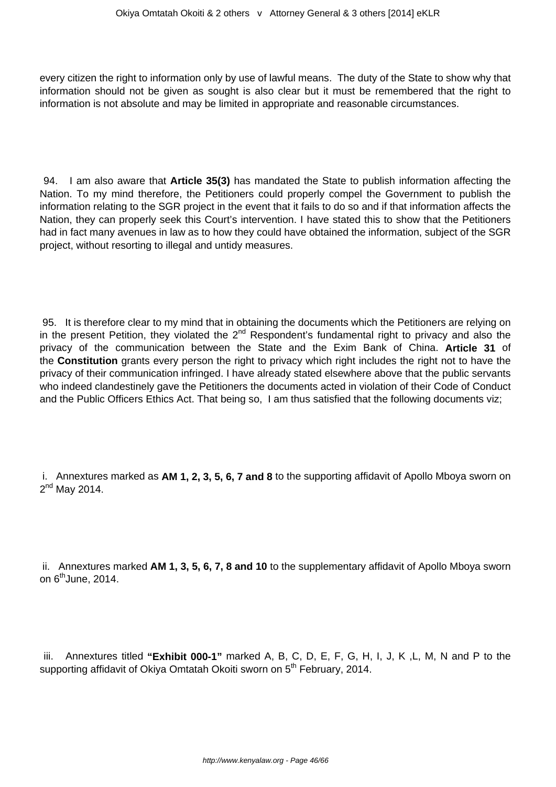every citizen the right to information only by use of lawful means. The duty of the State to show why that information should not be given as sought is also clear but it must be remembered that the right to information is not absolute and may be limited in appropriate and reasonable circumstances.

94. I am also aware that **Article 35(3)** has mandated the State to publish information affecting the Nation. To my mind therefore, the Petitioners could properly compel the Government to publish the information relating to the SGR project in the event that it fails to do so and if that information affects the Nation, they can properly seek this Court's intervention. I have stated this to show that the Petitioners had in fact many avenues in law as to how they could have obtained the information, subject of the SGR project, without resorting to illegal and untidy measures.

95. It is therefore clear to my mind that in obtaining the documents which the Petitioners are relying on in the present Petition, they violated the  $2^{nd}$  Respondent's fundamental right to privacy and also the privacy of the communication between the State and the Exim Bank of China. **Article 31** of the **Constitution** grants every person the right to privacy which right includes the right not to have the privacy of their communication infringed. I have already stated elsewhere above that the public servants who indeed clandestinely gave the Petitioners the documents acted in violation of their Code of Conduct and the Public Officers Ethics Act. That being so, I am thus satisfied that the following documents viz;

i. Annextures marked as **AM 1, 2, 3, 5, 6, 7 and 8** to the supporting affidavit of Apollo Mboya sworn on 2<sup>nd</sup> May 2014.

ii. Annextures marked **AM 1, 3, 5, 6, 7, 8 and 10** to the supplementary affidavit of Apollo Mboya sworn on  $6<sup>th</sup>$ June, 2014.

iii. Annextures titled **"Exhibit 000-1"** marked A, B, C, D, E, F, G, H, I, J, K ,L, M, N and P to the supporting affidavit of Okiya Omtatah Okoiti sworn on 5<sup>th</sup> February, 2014.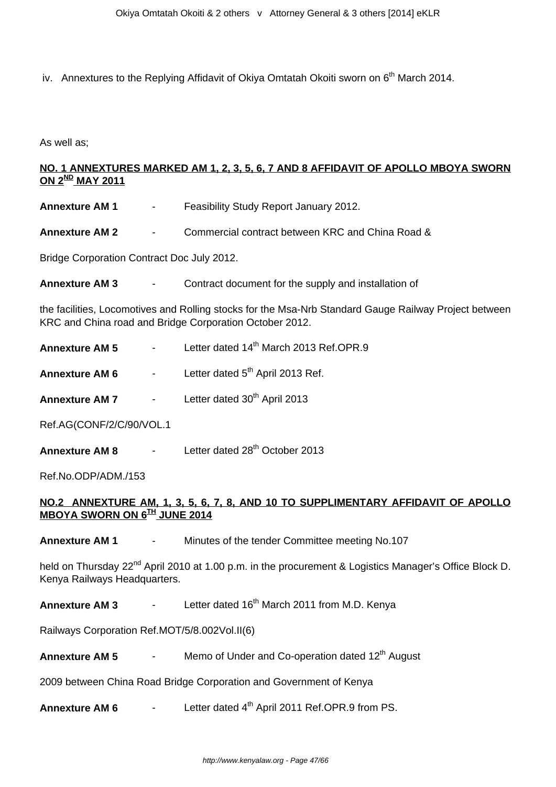iv. Annextures to the Replying Affidavit of Okiva Omtatah Okoiti sworn on 6<sup>th</sup> March 2014.

As well as;

## **NO. 1 ANNEXTURES MARKED AM 1, 2, 3, 5, 6, 7 AND 8 AFFIDAVIT OF APOLLO MBOYA SWORN ON 2ND MAY 2011**

| <b>Annexture AM 1</b>                             | $\sim$ $-$ | Feasibility Study Report January 2012.           |
|---------------------------------------------------|------------|--------------------------------------------------|
| Annexture AM 2                                    | $\sim$     | Commercial contract between KRC and China Road & |
| <b>Bridge Corporation Contract Doc July 2012.</b> |            |                                                  |

| Annexture AM 3 |  | Contract document for the supply and installation of |
|----------------|--|------------------------------------------------------|
|----------------|--|------------------------------------------------------|

the facilities, Locomotives and Rolling stocks for the Msa-Nrb Standard Gauge Railway Project between KRC and China road and Bridge Corporation October 2012.

- **Annexture AM 5** Letter dated 14<sup>th</sup> March 2013 Ref.OPR.9
- **Annexture AM 6** Letter dated 5<sup>th</sup> April 2013 Ref.
- **Annexture AM 7** Letter dated 30<sup>th</sup> April 2013

Ref.AG(CONF/2/C/90/VOL.1

**Annexture AM 8** - Letter dated 28<sup>th</sup> October 2013

Ref.No.ODP/ADM./153

## **NO.2 ANNEXTURE AM, 1, 3, 5, 6, 7, 8, AND 10 TO SUPPLIMENTARY AFFIDAVIT OF APOLLO MBOYA SWORN ON 6TH JUNE 2014**

**Annexture AM 1** - Minutes of the tender Committee meeting No.107

held on Thursday 22<sup>nd</sup> April 2010 at 1.00 p.m. in the procurement & Logistics Manager's Office Block D. Kenya Railways Headquarters.

**Annexture AM 3** - Letter dated 16<sup>th</sup> March 2011 from M.D. Kenya

Railways Corporation Ref.MOT/5/8.002Vol.II(6)

**Annexture AM 5** - Memo of Under and Co-operation dated 12<sup>th</sup> August

2009 between China Road Bridge Corporation and Government of Kenya

**Annexture AM 6** - Letter dated 4<sup>th</sup> April 2011 Ref.OPR.9 from PS.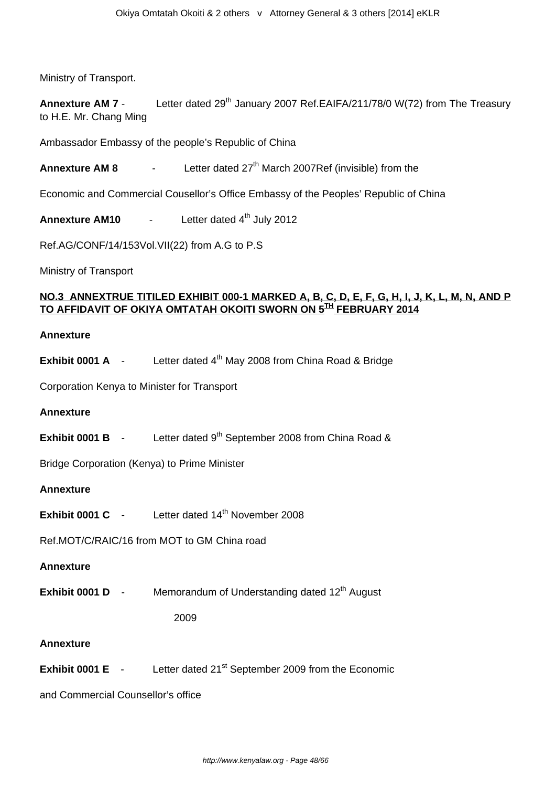Ministry of Transport.

**Annexture AM 7** - Letter dated 29<sup>th</sup> January 2007 Ref.EAIFA/211/78/0 W(72) from The Treasury to H.E. Mr. Chang Ming

Ambassador Embassy of the people's Republic of China

**Annexture AM 8** - Letter dated 27<sup>th</sup> March 2007Ref (invisible) from the

Economic and Commercial Cousellor's Office Embassy of the Peoples' Republic of China

**Annexture AM10** - Letter dated 4<sup>th</sup> July 2012

Ref.AG/CONF/14/153Vol.VII(22) from A.G to P.S

Ministry of Transport

## **NO.3 ANNEXTRUE TITILED EXHIBIT 000-1 MARKED A, B, C, D, E, F, G, H, I, J, K, L, M, N, AND P TO AFFIDAVIT OF OKIYA OMTATAH OKOITI SWORN ON 5TH FEBRUARY 2014**

#### **Annexture**

**Exhibit 0001 A** - Letter dated 4<sup>th</sup> May 2008 from China Road & Bridge

Corporation Kenya to Minister for Transport

#### **Annexture**

**Exhibit 0001 B** - Letter dated 9<sup>th</sup> September 2008 from China Road &

Bridge Corporation (Kenya) to Prime Minister

#### **Annexture**

**Exhibit 0001 C** - Letter dated 14<sup>th</sup> November 2008

Ref.MOT/C/RAIC/16 from MOT to GM China road

#### **Annexture**

**Exhibit 0001 D** - Memorandum of Understanding dated 12<sup>th</sup> August

2009

#### **Annexture**

**Exhibit 0001 E** - Letter dated 21<sup>st</sup> September 2009 from the Economic

and Commercial Counsellor's office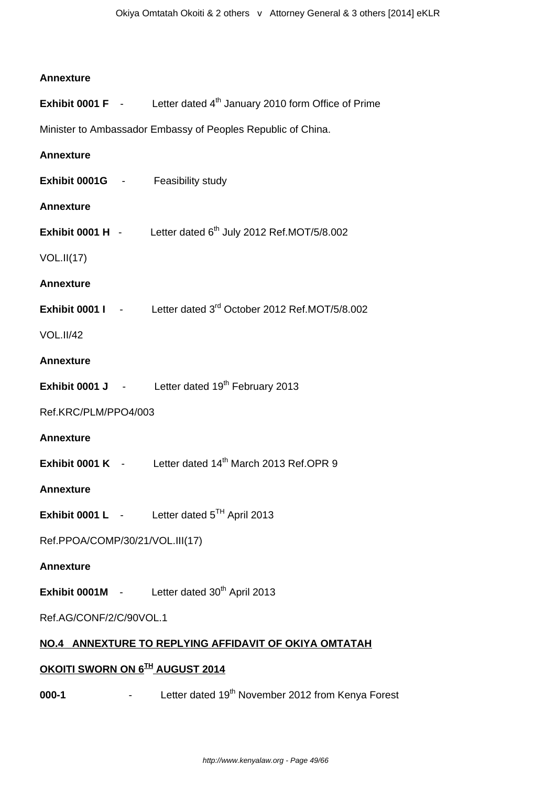#### **Annexture**

**Exhibit 0001 F** - Letter dated 4<sup>th</sup> January 2010 form Office of Prime

Minister to Ambassador Embassy of Peoples Republic of China.

# **Annexture Exhibit 0001G** - Feasibility study **Annexture Exhibit 0001 H**  $\cdot$  Letter dated  $6<sup>th</sup>$  July 2012 Ref.MOT/5/8.002 VOL.II(17) **Annexture Exhibit 0001 I** - Letter dated 3<sup>rd</sup> October 2012 Ref.MOT/5/8.002 VOL.II/42 **Annexture Exhibit 0001 J** - Letter dated 19<sup>th</sup> February 2013 Ref.KRC/PLM/PPO4/003 **Annexture Exhibit 0001 K** - Letter dated 14<sup>th</sup> March 2013 Ref.OPR 9 **Annexture Exhibit 0001 L** - Letter dated 5<sup>TH</sup> April 2013 Ref.PPOA/COMP/30/21/VOL.III(17) **Annexture Exhibit 0001M** - Letter dated 30<sup>th</sup> April 2013 Ref.AG/CONF/2/C/90VOL.1

## **NO.4 ANNEXTURE TO REPLYING AFFIDAVIT OF OKIYA OMTATAH**

## **OKOITI SWORN ON 6TH AUGUST 2014**

**000-1** - Letter dated 19<sup>th</sup> November 2012 from Kenya Forest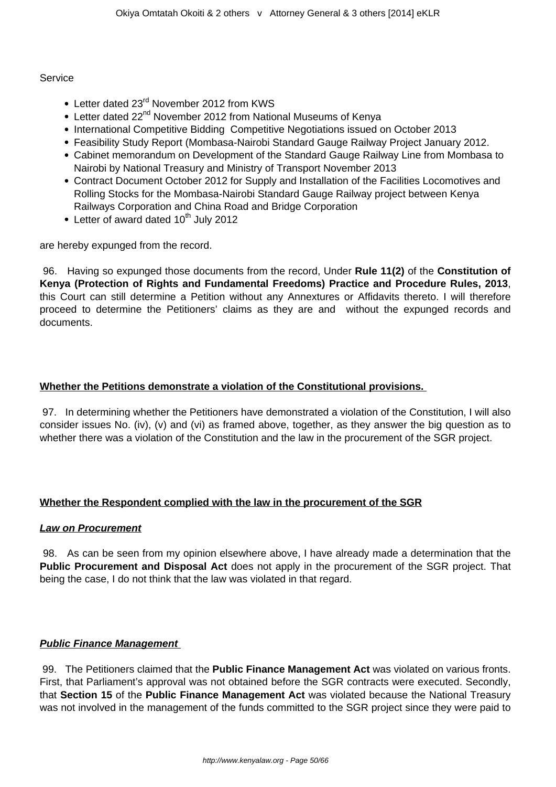#### Service

- Letter dated 23<sup>rd</sup> November 2012 from KWS
- Letter dated 22<sup>nd</sup> November 2012 from National Museums of Kenya
- International Competitive Bidding Competitive Negotiations issued on October 2013
- Feasibility Study Report (Mombasa-Nairobi Standard Gauge Railway Project January 2012.
- Cabinet memorandum on Development of the Standard Gauge Railway Line from Mombasa to Nairobi by National Treasury and Ministry of Transport November 2013
- Contract Document October 2012 for Supply and Installation of the Facilities Locomotives and Rolling Stocks for the Mombasa-Nairobi Standard Gauge Railway project between Kenya Railways Corporation and China Road and Bridge Corporation
- Letter of award dated  $10^{th}$  July 2012

are hereby expunged from the record.

96. Having so expunged those documents from the record, Under **Rule 11(2)** of the **Constitution of Kenya (Protection of Rights and Fundamental Freedoms) Practice and Procedure Rules, 2013**, this Court can still determine a Petition without any Annextures or Affidavits thereto. I will therefore proceed to determine the Petitioners' claims as they are and without the expunged records and documents.

## **Whether the Petitions demonstrate a violation of the Constitutional provisions.**

97. In determining whether the Petitioners have demonstrated a violation of the Constitution, I will also consider issues No. (iv), (v) and (vi) as framed above, together, as they answer the big question as to whether there was a violation of the Constitution and the law in the procurement of the SGR project.

## **Whether the Respondent complied with the law in the procurement of the SGR**

## **Law on Procurement**

98. As can be seen from my opinion elsewhere above, I have already made a determination that the **Public Procurement and Disposal Act** does not apply in the procurement of the SGR project. That being the case, I do not think that the law was violated in that regard.

## **Public Finance Management**

99. The Petitioners claimed that the **Public Finance Management Act** was violated on various fronts. First, that Parliament's approval was not obtained before the SGR contracts were executed. Secondly, that **Section 15** of the **Public Finance Management Act** was violated because the National Treasury was not involved in the management of the funds committed to the SGR project since they were paid to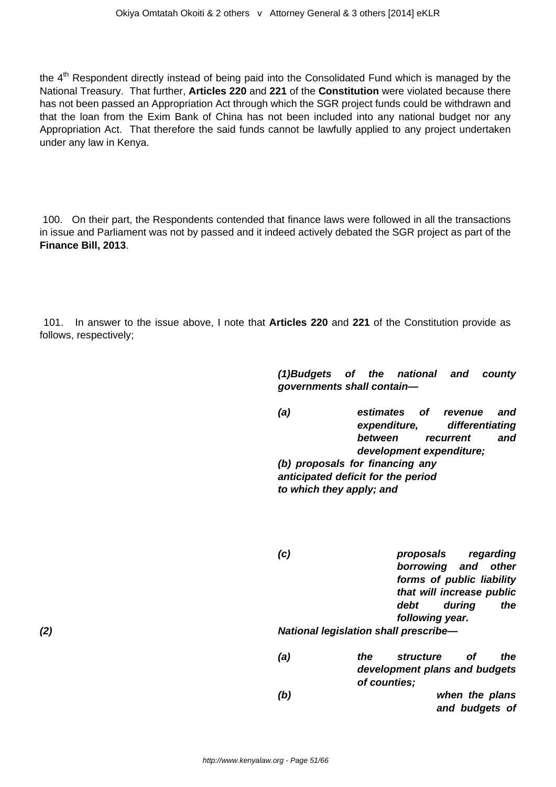the 4<sup>th</sup> Respondent directly instead of being paid into the Consolidated Fund which is managed by the National Treasury. That further, **Articles 220** and **221** of the **Constitution** were violated because there has not been passed an Appropriation Act through which the SGR project funds could be withdrawn and that the loan from the Exim Bank of China has not been included into any national budget nor any Appropriation Act. That therefore the said funds cannot be lawfully applied to any project undertaken under any law in Kenya.

100. On their part, the Respondents contended that finance laws were followed in all the transactions in issue and Parliament was not by passed and it indeed actively debated the SGR project as part of the **Finance Bill, 2013**.

101. In answer to the issue above, I note that **Articles 220** and **221** of the Constitution provide as follows, respectively;

> **(1)Budgets of the national and county governments shall contain—**

> **(a) estimates of revenue and expenditure, differentiating between recurrent and development expenditure; (b) proposals for financing any anticipated deficit for the period**

**to which they apply; and**

|     | (c)                                          | proposals<br>regarding<br>borrowing and<br>other<br>forms of public liability<br>that will increase public<br>during<br>debt<br>the<br>following year. |  |
|-----|----------------------------------------------|--------------------------------------------------------------------------------------------------------------------------------------------------------|--|
| (2) | <b>National legislation shall prescribe-</b> |                                                                                                                                                        |  |
|     | (a)                                          | <i>structure</i><br>the<br>the<br>Οf<br>development plans and budgets<br>of counties;                                                                  |  |
|     | (b)                                          | when the plans<br>and budgets of                                                                                                                       |  |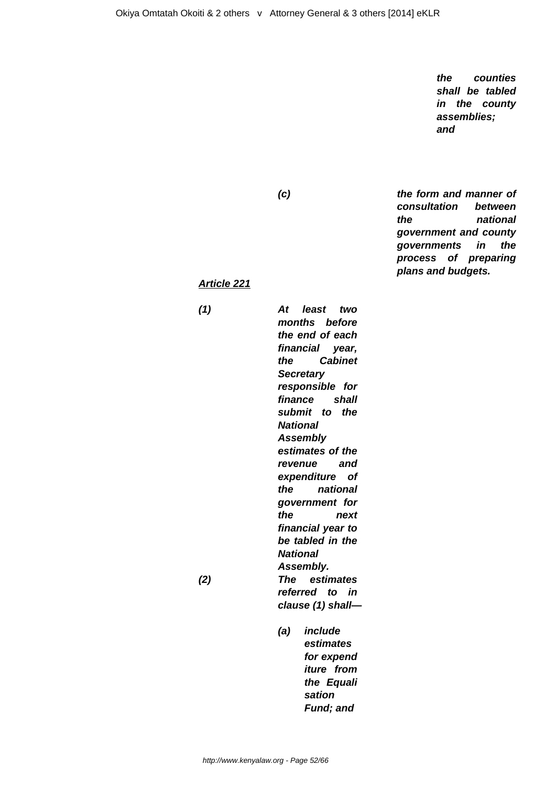**the counties shall be tabled in the county assemblies; and**

**(c) the form and manner of consultation between the national government and county governments in the process of preparing plans and budgets.**

#### **Article 221**

**(1) At least two months before the end of each financial year, the Cabinet Secretary responsible for finance shall submit to the National Assembly estimates of the revenue and expenditure of the national government for the next financial year to be tabled in the National Assembly. (2) The estimates referred to in clause (1) shall—**

> **(a) include estimates for expend iture from the Equali sation Fund; and**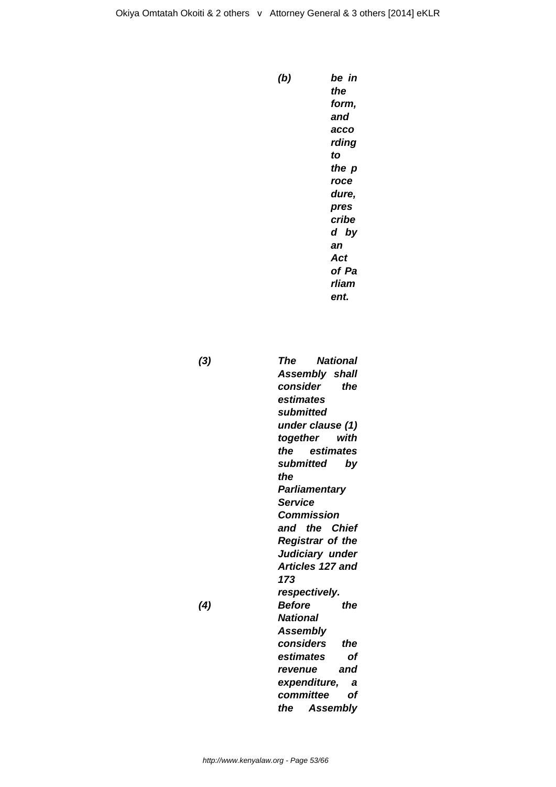```
(b) be in
the
form,
and
acco
rding
to
the p
roce
dure,
pres
cribe
d by
an
Act
of Pa
rliam
ent.
```
**(3) The National Assembly shall consider the estimates submitted under clause (1) together with the estimates submitted by the Parliamentary Service Commission and the Chief Registrar of the Judiciary under Articles 127 and 173 respectively. (4) Before the National Assembly considers the estimates of revenue and expenditure, a committee of the Assembly**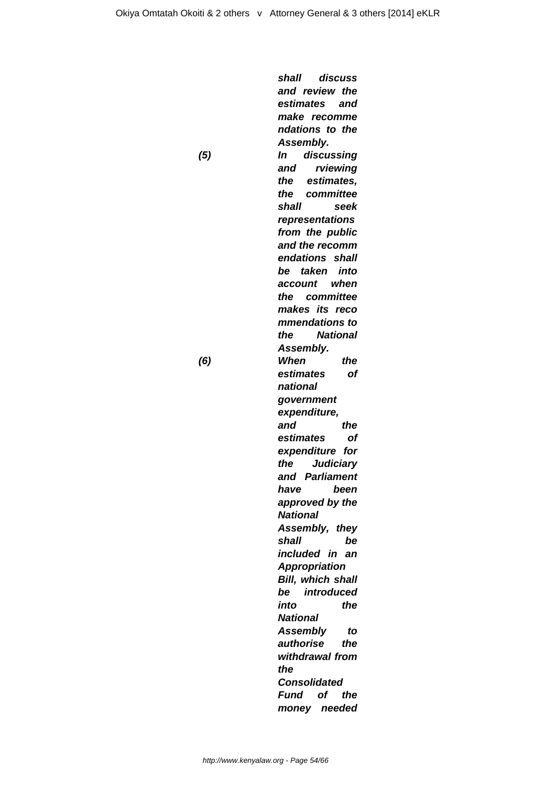**shall discuss and review the estimates and make recomme ndations to the Assembly. (5) In discussing and rviewing the estimates, the committee shall seek representations from the public and the recomm endations shall be taken into account when the committee makes its reco mmendations to the National Assembly. (6) When the estimates of national government expenditure, and the estimates of expenditure for the Judiciary and Parliament have been approved by the National Assembly, they shall be included in an Appropriation Bill, which shall be introduced into the National Assembly to authorise the withdrawal from the Consolidated Fund of the money needed**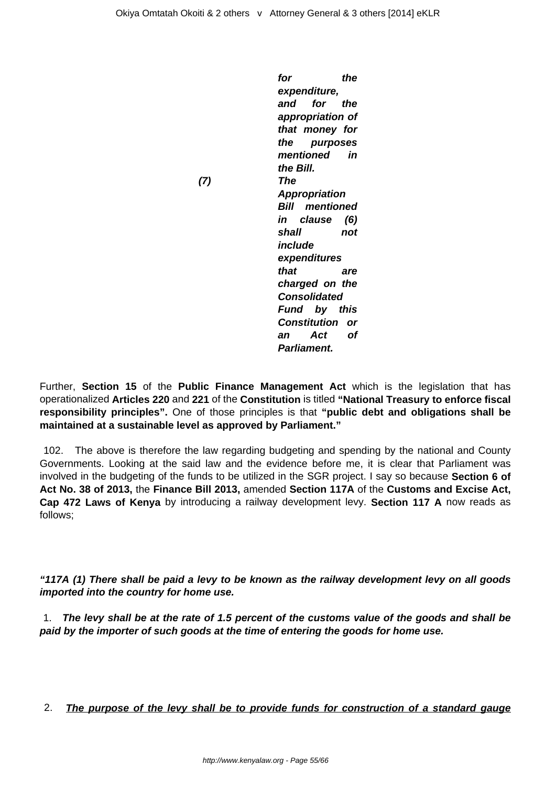**for the expenditure, and for the appropriation of that money for the purposes mentioned in the Bill. (7) The Appropriation Bill mentioned in clause (6) shall not include expenditures that are charged on the Consolidated Fund by this Constitution or an Act of Parliament.**

Further, **Section 15** of the **Public Finance Management Act** which is the legislation that has operationalized **Articles 220** and **221** of the **Constitution** is titled **"National Treasury to enforce fiscal responsibility principles".** One of those principles is that **"public debt and obligations shall be maintained at a sustainable level as approved by Parliament."**

102. The above is therefore the law regarding budgeting and spending by the national and County Governments. Looking at the said law and the evidence before me, it is clear that Parliament was involved in the budgeting of the funds to be utilized in the SGR project. I say so because **Section 6 of Act No. 38 of 2013,** the **Finance Bill 2013,** amended **Section 117A** of the **Customs and Excise Act, Cap 472 Laws of Kenya** by introducing a railway development levy. **Section 117 A** now reads as follows;

**"117A (1) There shall be paid a levy to be known as the railway development levy on all goods imported into the country for home use.**

1. **The levy shall be at the rate of 1.5 percent of the customs value of the goods and shall be paid by the importer of such goods at the time of entering the goods for home use.**

2. **The purpose of the levy shall be to provide funds for construction of a standard gauge**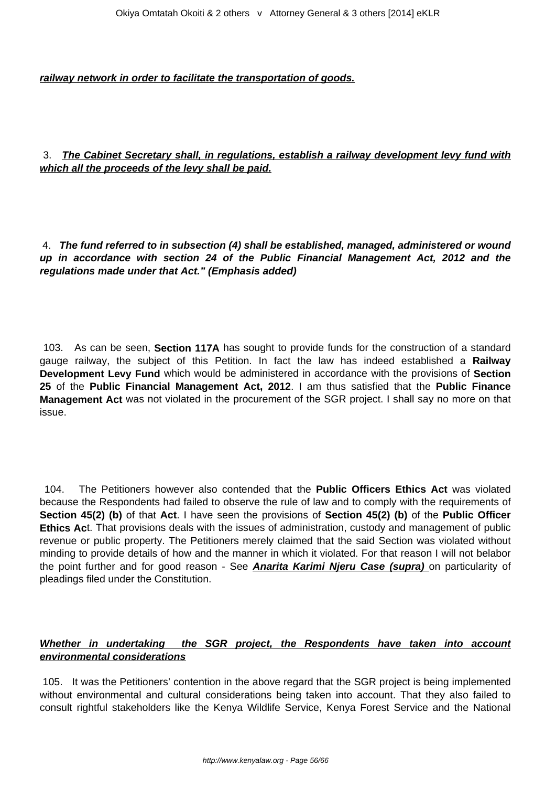**railway network in order to facilitate the transportation of goods.**

3. **The Cabinet Secretary shall, in regulations, establish a railway development levy fund with which all the proceeds of the levy shall be paid.**

4. **The fund referred to in subsection (4) shall be established, managed, administered or wound up in accordance with section 24 of the Public Financial Management Act, 2012 and the regulations made under that Act." (Emphasis added)**

103. As can be seen, **Section 117A** has sought to provide funds for the construction of a standard gauge railway, the subject of this Petition. In fact the law has indeed established a **Railway Development Levy Fund** which would be administered in accordance with the provisions of **Section 25** of the **Public Financial Management Act, 2012**. I am thus satisfied that the **Public Finance Management Act** was not violated in the procurement of the SGR project. I shall say no more on that issue.

104. The Petitioners however also contended that the **Public Officers Ethics Act** was violated because the Respondents had failed to observe the rule of law and to comply with the requirements of **Section 45(2) (b)** of that **Act**. I have seen the provisions of **Section 45(2) (b)** of the **Public Officer Ethics Ac**t. That provisions deals with the issues of administration, custody and management of public revenue or public property. The Petitioners merely claimed that the said Section was violated without minding to provide details of how and the manner in which it violated. For that reason I will not belabor the point further and for good reason - See **Anarita Karimi Njeru Case (supra)** on particularity of pleadings filed under the Constitution.

## **Whether in undertaking the SGR project, the Respondents have taken into account environmental considerations**

105. It was the Petitioners' contention in the above regard that the SGR project is being implemented without environmental and cultural considerations being taken into account. That they also failed to consult rightful stakeholders like the Kenya Wildlife Service, Kenya Forest Service and the National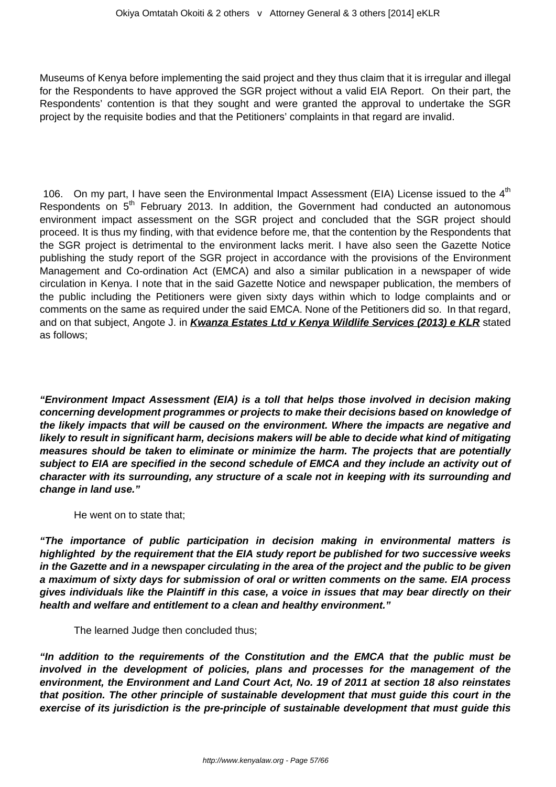Museums of Kenya before implementing the said project and they thus claim that it is irregular and illegal for the Respondents to have approved the SGR project without a valid EIA Report. On their part, the Respondents' contention is that they sought and were granted the approval to undertake the SGR project by the requisite bodies and that the Petitioners' complaints in that regard are invalid.

106. On my part, I have seen the Environmental Impact Assessment (EIA) License issued to the  $4<sup>th</sup>$ Respondents on  $5<sup>th</sup>$  February 2013. In addition, the Government had conducted an autonomous environment impact assessment on the SGR project and concluded that the SGR project should proceed. It is thus my finding, with that evidence before me, that the contention by the Respondents that the SGR project is detrimental to the environment lacks merit. I have also seen the Gazette Notice publishing the study report of the SGR project in accordance with the provisions of the Environment Management and Co-ordination Act (EMCA) and also a similar publication in a newspaper of wide circulation in Kenya. I note that in the said Gazette Notice and newspaper publication, the members of the public including the Petitioners were given sixty days within which to lodge complaints and or comments on the same as required under the said EMCA. None of the Petitioners did so. In that regard, and on that subject, Angote J. in **Kwanza Estates Ltd v Kenya Wildlife Services (2013) e KLR** stated as follows;

**"Environment Impact Assessment (EIA) is a toll that helps those involved in decision making concerning development programmes or projects to make their decisions based on knowledge of the likely impacts that will be caused on the environment. Where the impacts are negative and likely to result in significant harm, decisions makers will be able to decide what kind of mitigating measures should be taken to eliminate or minimize the harm. The projects that are potentially subject to EIA are specified in the second schedule of EMCA and they include an activity out of character with its surrounding, any structure of a scale not in keeping with its surrounding and change in land use."**

He went on to state that;

**"The importance of public participation in decision making in environmental matters is highlighted by the requirement that the EIA study report be published for two successive weeks in the Gazette and in a newspaper circulating in the area of the project and the public to be given a maximum of sixty days for submission of oral or written comments on the same. EIA process gives individuals like the Plaintiff in this case, a voice in issues that may bear directly on their health and welfare and entitlement to a clean and healthy environment."**

The learned Judge then concluded thus;

**"In addition to the requirements of the Constitution and the EMCA that the public must be involved in the development of policies, plans and processes for the management of the environment, the Environment and Land Court Act, No. 19 of 2011 at section 18 also reinstates that position. The other principle of sustainable development that must guide this court in the exercise of its jurisdiction is the pre-principle of sustainable development that must guide this**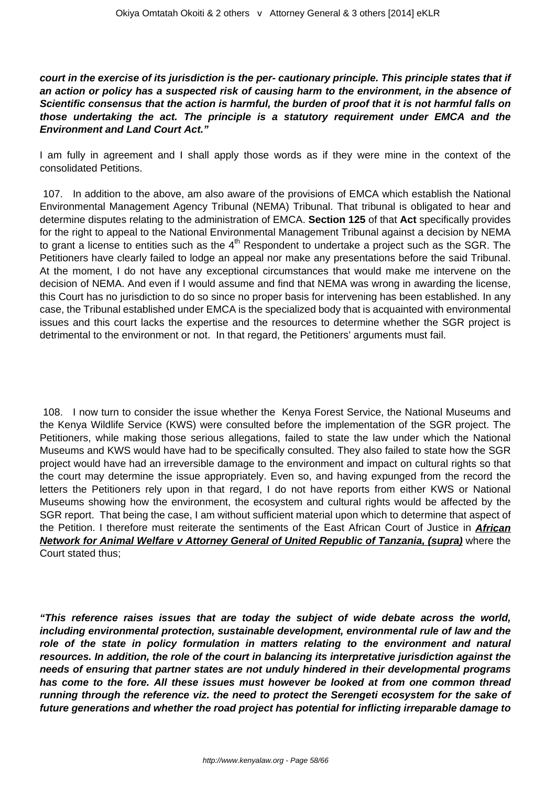**court in the exercise of its jurisdiction is the per- cautionary principle. This principle states that if an action or policy has a suspected risk of causing harm to the environment, in the absence of Scientific consensus that the action is harmful, the burden of proof that it is not harmful falls on those undertaking the act. The principle is a statutory requirement under EMCA and the Environment and Land Court Act."** 

I am fully in agreement and I shall apply those words as if they were mine in the context of the consolidated Petitions.

107. In addition to the above, am also aware of the provisions of EMCA which establish the National Environmental Management Agency Tribunal (NEMA) Tribunal. That tribunal is obligated to hear and determine disputes relating to the administration of EMCA. **Section 125** of that **Act** specifically provides for the right to appeal to the National Environmental Management Tribunal against a decision by NEMA to grant a license to entities such as the  $4<sup>th</sup>$  Respondent to undertake a project such as the SGR. The Petitioners have clearly failed to lodge an appeal nor make any presentations before the said Tribunal. At the moment, I do not have any exceptional circumstances that would make me intervene on the decision of NEMA. And even if I would assume and find that NEMA was wrong in awarding the license, this Court has no jurisdiction to do so since no proper basis for intervening has been established. In any case, the Tribunal established under EMCA is the specialized body that is acquainted with environmental issues and this court lacks the expertise and the resources to determine whether the SGR project is detrimental to the environment or not. In that regard, the Petitioners' arguments must fail.

108. I now turn to consider the issue whether the Kenya Forest Service, the National Museums and the Kenya Wildlife Service (KWS) were consulted before the implementation of the SGR project. The Petitioners, while making those serious allegations, failed to state the law under which the National Museums and KWS would have had to be specifically consulted. They also failed to state how the SGR project would have had an irreversible damage to the environment and impact on cultural rights so that the court may determine the issue appropriately. Even so, and having expunged from the record the letters the Petitioners rely upon in that regard, I do not have reports from either KWS or National Museums showing how the environment, the ecosystem and cultural rights would be affected by the SGR report. That being the case, I am without sufficient material upon which to determine that aspect of the Petition. I therefore must reiterate the sentiments of the East African Court of Justice in **African Network for Animal Welfare v Attorney General of United Republic of Tanzania, (supra)** where the Court stated thus;

**"This reference raises issues that are today the subject of wide debate across the world, including environmental protection, sustainable development, environmental rule of law and the role of the state in policy formulation in matters relating to the environment and natural resources. In addition, the role of the court in balancing its interpretative jurisdiction against the needs of ensuring that partner states are not unduly hindered in their developmental programs has come to the fore. All these issues must however be looked at from one common thread running through the reference viz. the need to protect the Serengeti ecosystem for the sake of future generations and whether the road project has potential for inflicting irreparable damage to**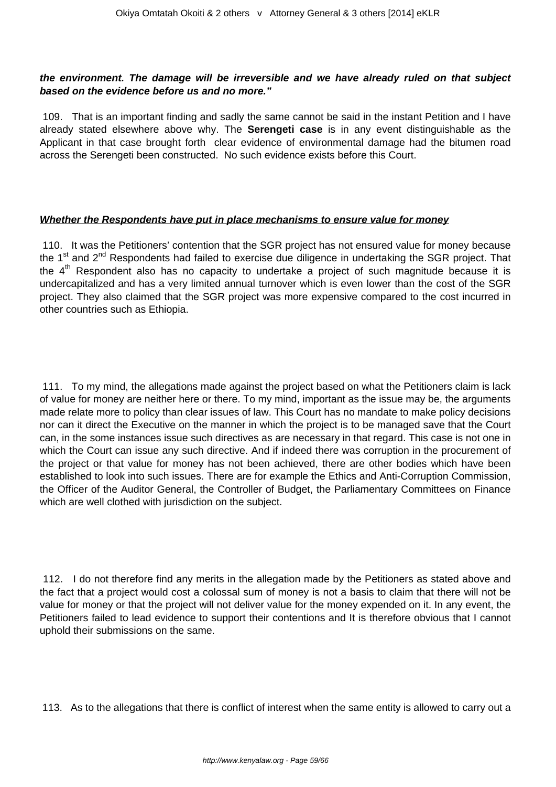## **the environment. The damage will be irreversible and we have already ruled on that subject based on the evidence before us and no more."**

109. That is an important finding and sadly the same cannot be said in the instant Petition and I have already stated elsewhere above why. The **Serengeti case** is in any event distinguishable as the Applicant in that case brought forth clear evidence of environmental damage had the bitumen road across the Serengeti been constructed. No such evidence exists before this Court.

## **Whether the Respondents have put in place mechanisms to ensure value for money**

110. It was the Petitioners' contention that the SGR project has not ensured value for money because the 1<sup>st</sup> and 2<sup>nd</sup> Respondents had failed to exercise due diligence in undertaking the SGR project. That the  $4<sup>th</sup>$  Respondent also has no capacity to undertake a project of such magnitude because it is undercapitalized and has a very limited annual turnover which is even lower than the cost of the SGR project. They also claimed that the SGR project was more expensive compared to the cost incurred in other countries such as Ethiopia.

111. To my mind, the allegations made against the project based on what the Petitioners claim is lack of value for money are neither here or there. To my mind, important as the issue may be, the arguments made relate more to policy than clear issues of law. This Court has no mandate to make policy decisions nor can it direct the Executive on the manner in which the project is to be managed save that the Court can, in the some instances issue such directives as are necessary in that regard. This case is not one in which the Court can issue any such directive. And if indeed there was corruption in the procurement of the project or that value for money has not been achieved, there are other bodies which have been established to look into such issues. There are for example the Ethics and Anti-Corruption Commission, the Officer of the Auditor General, the Controller of Budget, the Parliamentary Committees on Finance which are well clothed with jurisdiction on the subject.

112. I do not therefore find any merits in the allegation made by the Petitioners as stated above and the fact that a project would cost a colossal sum of money is not a basis to claim that there will not be value for money or that the project will not deliver value for the money expended on it. In any event, the Petitioners failed to lead evidence to support their contentions and It is therefore obvious that I cannot uphold their submissions on the same.

113. As to the allegations that there is conflict of interest when the same entity is allowed to carry out a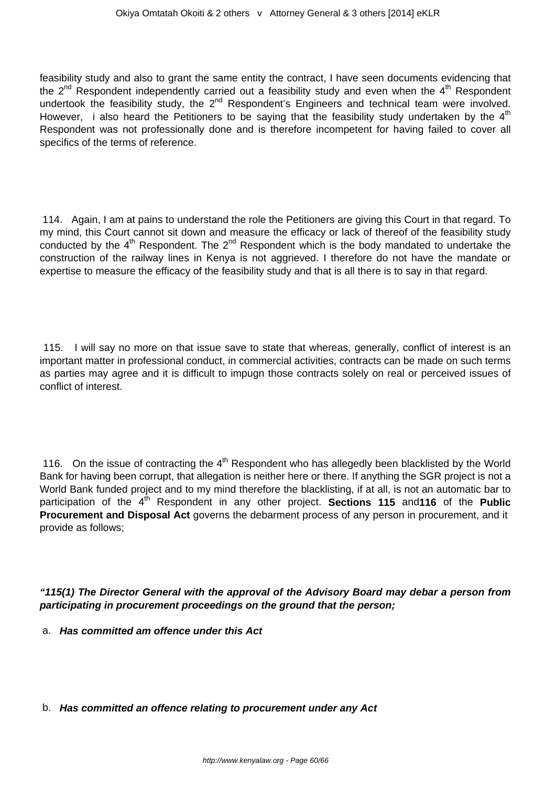feasibility study and also to grant the same entity the contract, I have seen documents evidencing that the  $2^{nd}$  Respondent independently carried out a feasibility study and even when the  $4^{th}$  Respondent undertook the feasibility study, the  $2^{nd}$  Respondent's Engineers and technical team were involved. However, i also heard the Petitioners to be saying that the feasibility study undertaken by the  $4<sup>th</sup>$ Respondent was not professionally done and is therefore incompetent for having failed to cover all specifics of the terms of reference.

114. Again, I am at pains to understand the role the Petitioners are giving this Court in that regard. To my mind, this Court cannot sit down and measure the efficacy or lack of thereof of the feasibility study conducted by the  $4<sup>th</sup>$  Respondent. The  $2<sup>nd</sup>$  Respondent which is the body mandated to undertake the construction of the railway lines in Kenya is not aggrieved. I therefore do not have the mandate or expertise to measure the efficacy of the feasibility study and that is all there is to say in that regard.

115. I will say no more on that issue save to state that whereas, generally, conflict of interest is an important matter in professional conduct, in commercial activities, contracts can be made on such terms as parties may agree and it is difficult to impugn those contracts solely on real or perceived issues of conflict of interest.

116. On the issue of contracting the  $4<sup>th</sup>$  Respondent who has allegedly been blacklisted by the World Bank for having been corrupt, that allegation is neither here or there. If anything the SGR project is not a World Bank funded project and to my mind therefore the blacklisting, if at all, is not an automatic bar to participation of the 4<sup>th</sup> Respondent in any other project. **Sections 115** and 116 of the **Public Procurement and Disposal Act** governs the debarment process of any person in procurement, and it provide as follows;

**"115(1) The Director General with the approval of the Advisory Board may debar a person from participating in procurement proceedings on the ground that the person;**

- a. **Has committed am offence under this Act**
- b. **Has committed an offence relating to procurement under any Act**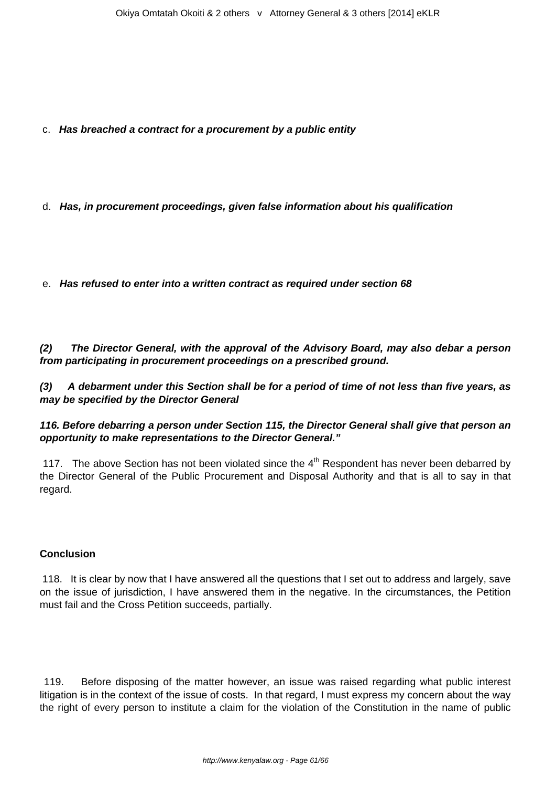c. **Has breached a contract for a procurement by a public entity**

d. **Has, in procurement proceedings, given false information about his qualification**

e. **Has refused to enter into a written contract as required under section 68**

**(2) The Director General, with the approval of the Advisory Board, may also debar a person from participating in procurement proceedings on a prescribed ground.**

**(3) A debarment under this Section shall be for a period of time of not less than five years, as may be specified by the Director General** 

## **116. Before debarring a person under Section 115, the Director General shall give that person an opportunity to make representations to the Director General."**

117. The above Section has not been violated since the  $4<sup>th</sup>$  Respondent has never been debarred by the Director General of the Public Procurement and Disposal Authority and that is all to say in that regard.

## **Conclusion**

118. It is clear by now that I have answered all the questions that I set out to address and largely, save on the issue of jurisdiction, I have answered them in the negative. In the circumstances, the Petition must fail and the Cross Petition succeeds, partially.

119. Before disposing of the matter however, an issue was raised regarding what public interest litigation is in the context of the issue of costs. In that regard, I must express my concern about the way the right of every person to institute a claim for the violation of the Constitution in the name of public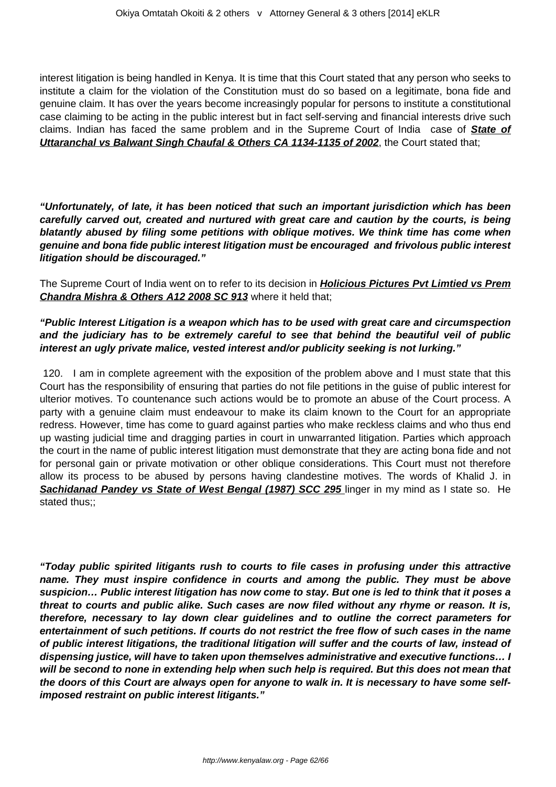interest litigation is being handled in Kenya. It is time that this Court stated that any person who seeks to institute a claim for the violation of the Constitution must do so based on a legitimate, bona fide and genuine claim. It has over the years become increasingly popular for persons to institute a constitutional case claiming to be acting in the public interest but in fact self-serving and financial interests drive such claims. Indian has faced the same problem and in the Supreme Court of India case of **State of Uttaranchal vs Balwant Singh Chaufal & Others CA 1134-1135 of 2002**, the Court stated that;

**"Unfortunately, of late, it has been noticed that such an important jurisdiction which has been carefully carved out, created and nurtured with great care and caution by the courts, is being blatantly abused by filing some petitions with oblique motives. We think time has come when genuine and bona fide public interest litigation must be encouraged and frivolous public interest litigation should be discouraged."**

The Supreme Court of India went on to refer to its decision in **Holicious Pictures Pvt Limtied vs Prem Chandra Mishra & Others A12 2008 SC 913** where it held that;

## **"Public Interest Litigation is a weapon which has to be used with great care and circumspection and the judiciary has to be extremely careful to see that behind the beautiful veil of public interest an ugly private malice, vested interest and/or publicity seeking is not lurking."**

120. I am in complete agreement with the exposition of the problem above and I must state that this Court has the responsibility of ensuring that parties do not file petitions in the guise of public interest for ulterior motives. To countenance such actions would be to promote an abuse of the Court process. A party with a genuine claim must endeavour to make its claim known to the Court for an appropriate redress. However, time has come to guard against parties who make reckless claims and who thus end up wasting judicial time and dragging parties in court in unwarranted litigation. Parties which approach the court in the name of public interest litigation must demonstrate that they are acting bona fide and not for personal gain or private motivation or other oblique considerations. This Court must not therefore allow its process to be abused by persons having clandestine motives. The words of Khalid J. in **Sachidanad Pandey vs State of West Bengal (1987) SCC 295** linger in my mind as I state so. He stated thus;;

**"Today public spirited litigants rush to courts to file cases in profusing under this attractive name. They must inspire confidence in courts and among the public. They must be above suspicion… Public interest litigation has now come to stay. But one is led to think that it poses a threat to courts and public alike. Such cases are now filed without any rhyme or reason. It is, therefore, necessary to lay down clear guidelines and to outline the correct parameters for entertainment of such petitions. If courts do not restrict the free flow of such cases in the name of public interest litigations, the traditional litigation will suffer and the courts of law, instead of dispensing justice, will have to taken upon themselves administrative and executive functions… I will be second to none in extending help when such help is required. But this does not mean that the doors of this Court are always open for anyone to walk in. It is necessary to have some selfimposed restraint on public interest litigants."**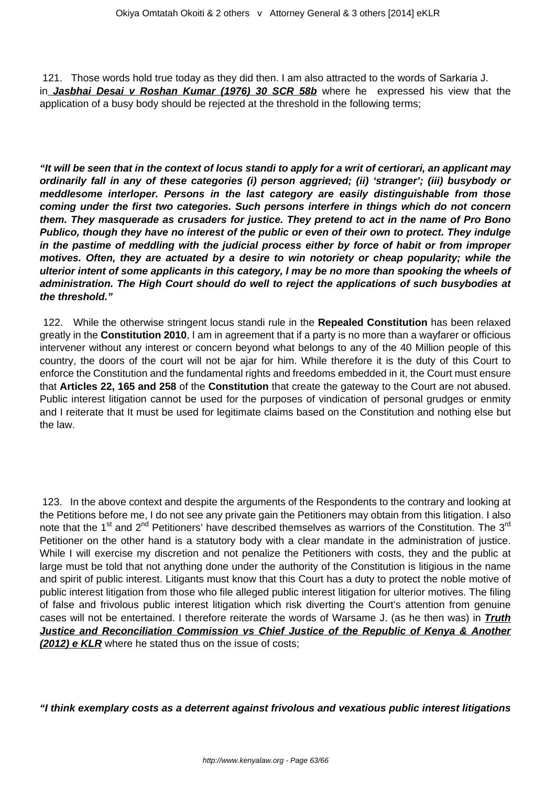121. Those words hold true today as they did then. I am also attracted to the words of Sarkaria J. in **Jasbhai Desai v Roshan Kumar (1976) 30 SCR 58b** where he expressed his view that the application of a busy body should be rejected at the threshold in the following terms;

**"It will be seen that in the context of locus standi to apply for a writ of certiorari, an applicant may ordinarily fall in any of these categories (i) person aggrieved; (ii) 'stranger'; (iii) busybody or meddlesome interloper. Persons in the last category are easily distinguishable from those coming under the first two categories. Such persons interfere in things which do not concern them. They masquerade as crusaders for justice. They pretend to act in the name of Pro Bono Publico, though they have no interest of the public or even of their own to protect. They indulge in the pastime of meddling with the judicial process either by force of habit or from improper motives. Often, they are actuated by a desire to win notoriety or cheap popularity; while the ulterior intent of some applicants in this category, l may be no more than spooking the wheels of administration. The High Court should do well to reject the applications of such busybodies at the threshold."**

122. While the otherwise stringent locus standi rule in the **Repealed Constitution** has been relaxed greatly in the **Constitution 2010**, I am in agreement that if a party is no more than a wayfarer or officious intervener without any interest or concern beyond what belongs to any of the 40 Million people of this country, the doors of the court will not be ajar for him. While therefore it is the duty of this Court to enforce the Constitution and the fundamental rights and freedoms embedded in it, the Court must ensure that **Articles 22, 165 and 258** of the **Constitution** that create the gateway to the Court are not abused. Public interest litigation cannot be used for the purposes of vindication of personal grudges or enmity and I reiterate that It must be used for legitimate claims based on the Constitution and nothing else but the law.

123. In the above context and despite the arguments of the Respondents to the contrary and looking at the Petitions before me, I do not see any private gain the Petitioners may obtain from this litigation. I also note that the 1<sup>st</sup> and 2<sup>nd</sup> Petitioners' have described themselves as warriors of the Constitution. The 3<sup>rd</sup> Petitioner on the other hand is a statutory body with a clear mandate in the administration of justice. While I will exercise my discretion and not penalize the Petitioners with costs, they and the public at large must be told that not anything done under the authority of the Constitution is litigious in the name and spirit of public interest. Litigants must know that this Court has a duty to protect the noble motive of public interest litigation from those who file alleged public interest litigation for ulterior motives. The filing of false and frivolous public interest litigation which risk diverting the Court's attention from genuine cases will not be entertained. I therefore reiterate the words of Warsame J. (as he then was) in **Truth Justice and Reconciliation Commission vs Chief Justice of the Republic of Kenya & Another (2012) e KLR** where he stated thus on the issue of costs;

**"I think exemplary costs as a deterrent against frivolous and vexatious public interest litigations**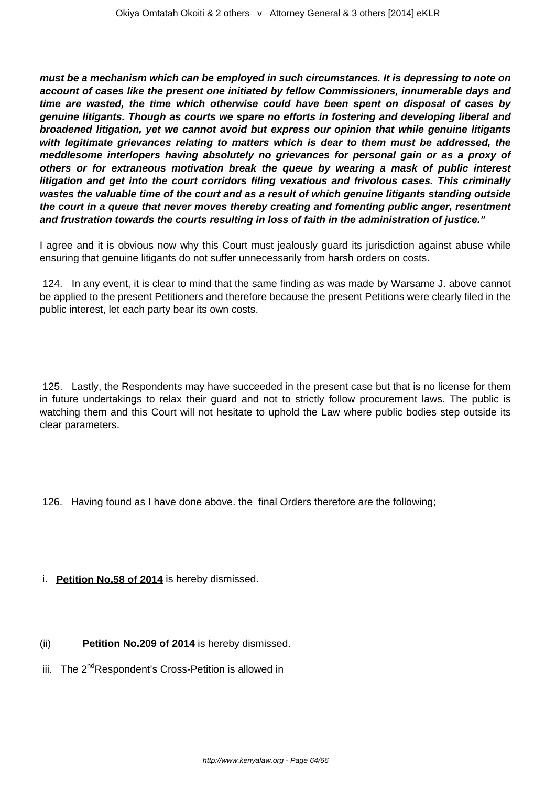**must be a mechanism which can be employed in such circumstances. It is depressing to note on account of cases like the present one initiated by fellow Commissioners, innumerable days and time are wasted, the time which otherwise could have been spent on disposal of cases by genuine litigants. Though as courts we spare no efforts in fostering and developing liberal and broadened litigation, yet we cannot avoid but express our opinion that while genuine litigants with legitimate grievances relating to matters which is dear to them must be addressed, the meddlesome interlopers having absolutely no grievances for personal gain or as a proxy of others or for extraneous motivation break the queue by wearing a mask of public interest litigation and get into the court corridors filing vexatious and frivolous cases. This criminally wastes the valuable time of the court and as a result of which genuine litigants standing outside the court in a queue that never moves thereby creating and fomenting public anger, resentment and frustration towards the courts resulting in loss of faith in the administration of justice."**

I agree and it is obvious now why this Court must jealously guard its jurisdiction against abuse while ensuring that genuine litigants do not suffer unnecessarily from harsh orders on costs.

124. In any event, it is clear to mind that the same finding as was made by Warsame J. above cannot be applied to the present Petitioners and therefore because the present Petitions were clearly filed in the public interest, let each party bear its own costs.

125. Lastly, the Respondents may have succeeded in the present case but that is no license for them in future undertakings to relax their guard and not to strictly follow procurement laws. The public is watching them and this Court will not hesitate to uphold the Law where public bodies step outside its clear parameters.

126. Having found as I have done above. the final Orders therefore are the following;

## i. **Petition No.58 of 2014** is hereby dismissed.

## (ii) **Petition No.209 of 2014** is hereby dismissed.

iii. The 2<sup>nd</sup>Respondent's Cross-Petition is allowed in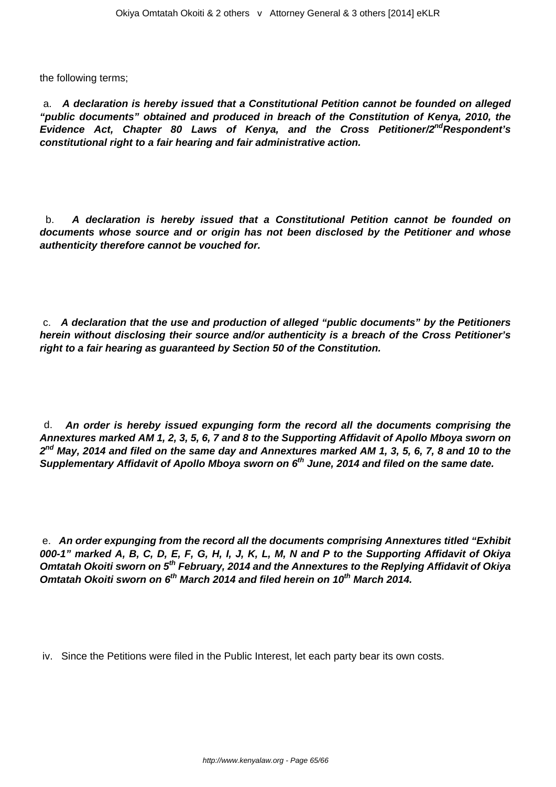the following terms;

a. **A declaration is hereby issued that a Constitutional Petition cannot be founded on alleged "public documents" obtained and produced in breach of the Constitution of Kenya, 2010, the Evidence Act, Chapter 80 Laws of Kenya, and the Cross Petitioner/2ndRespondent's constitutional right to a fair hearing and fair administrative action.**

b. **A declaration is hereby issued that a Constitutional Petition cannot be founded on documents whose source and or origin has not been disclosed by the Petitioner and whose authenticity therefore cannot be vouched for.**

c. **A declaration that the use and production of alleged "public documents" by the Petitioners herein without disclosing their source and/or authenticity is a breach of the Cross Petitioner's right to a fair hearing as guaranteed by Section 50 of the Constitution.**

d. **An order is hereby issued expunging form the record all the documents comprising the Annextures marked AM 1, 2, 3, 5, 6, 7 and 8 to the Supporting Affidavit of Apollo Mboya sworn on 2 nd May, 2014 and filed on the same day and Annextures marked AM 1, 3, 5, 6, 7, 8 and 10 to the Supplementary Affidavit of Apollo Mboya sworn on 6th June, 2014 and filed on the same date.**

e. **An order expunging from the record all the documents comprising Annextures titled "Exhibit 000-1" marked A, B, C, D, E, F, G, H, I, J, K, L, M, N and P to the Supporting Affidavit of Okiya Omtatah Okoiti sworn on 5th February, 2014 and the Annextures to the Replying Affidavit of Okiya Omtatah Okoiti sworn on 6th March 2014 and filed herein on 10th March 2014.**

iv. Since the Petitions were filed in the Public Interest, let each party bear its own costs.